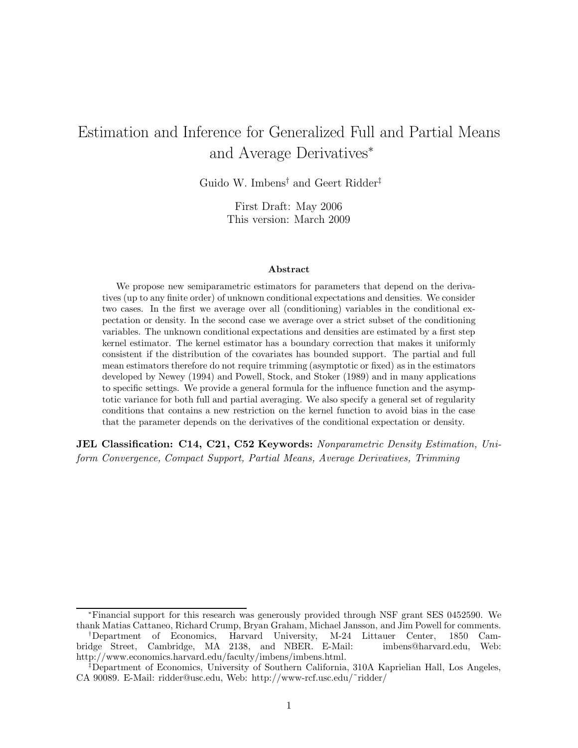# Estimation and Inference for Generalized Full and Partial Means and Average Derivatives<sup>∗</sup>

Guido W. Imbens† and Geert Ridder‡

First Draft: May 2006 This version: March 2009

#### Abstract

We propose new semiparametric estimators for parameters that depend on the derivatives (up to any finite order) of unknown conditional expectations and densities. We consider two cases. In the first we average over all (conditioning) variables in the conditional expectation or density. In the second case we average over a strict subset of the conditioning variables. The unknown conditional expectations and densities are estimated by a first step kernel estimator. The kernel estimator has a boundary correction that makes it uniformly consistent if the distribution of the covariates has bounded support. The partial and full mean estimators therefore do not require trimming (asymptotic or fixed) as in the estimators developed by Newey (1994) and Powell, Stock, and Stoker (1989) and in many applications to specific settings. We provide a general formula for the influence function and the asymptotic variance for both full and partial averaging. We also specify a general set of regularity conditions that contains a new restriction on the kernel function to avoid bias in the case that the parameter depends on the derivatives of the conditional expectation or density.

**JEL Classification: C14, C21, C52 Keywords:** Nonparametric Density Estimation, Uniform Convergence, Compact Support, Partial Means, Average Derivatives, Trimming

<sup>∗</sup>Financial support for this research was generously provided through NSF grant SES 0452590. We thank Matias Cattaneo, Richard Crump, Bryan Graham, Michael Jansson, and Jim Powell for comments.

<sup>†</sup>Department of Economics, Harvard University, M-24 Littauer Center, 1850 Cambridge Street, Cambridge, MA 2138, and NBER. E-Mail: imbens@harvard.edu, Web: http://www.economics.harvard.edu/faculty/imbens/imbens.html.

<sup>‡</sup>Department of Economics, University of Southern California, 310A Kaprielian Hall, Los Angeles, CA 90089. E-Mail: ridder@usc.edu, Web: http://www-rcf.usc.edu/˜ridder/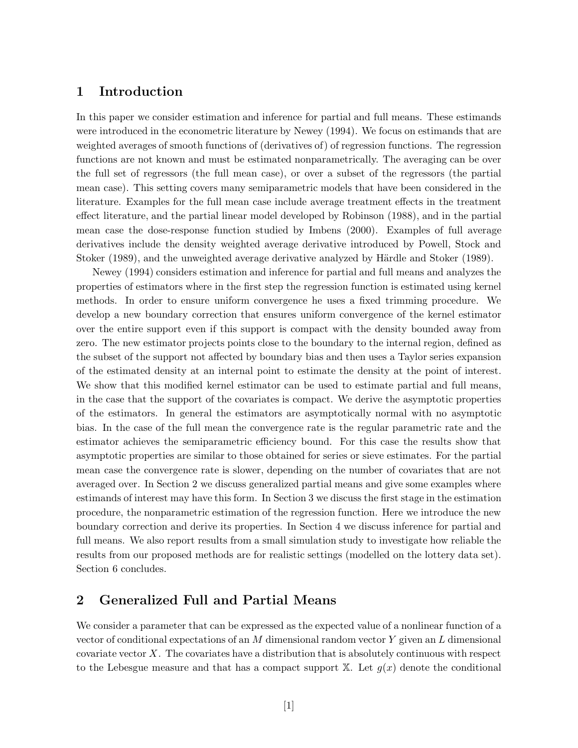## 1 Introduction

In this paper we consider estimation and inference for partial and full means. These estimands were introduced in the econometric literature by Newey (1994). We focus on estimands that are weighted averages of smooth functions of (derivatives of) of regression functions. The regression functions are not known and must be estimated nonparametrically. The averaging can be over the full set of regressors (the full mean case), or over a subset of the regressors (the partial mean case). This setting covers many semiparametric models that have been considered in the literature. Examples for the full mean case include average treatment effects in the treatment effect literature, and the partial linear model developed by Robinson (1988), and in the partial mean case the dose-response function studied by Imbens (2000). Examples of full average derivatives include the density weighted average derivative introduced by Powell, Stock and Stoker (1989), and the unweighted average derivative analyzed by Härdle and Stoker (1989).

Newey (1994) considers estimation and inference for partial and full means and analyzes the properties of estimators where in the first step the regression function is estimated using kernel methods. In order to ensure uniform convergence he uses a fixed trimming procedure. We develop a new boundary correction that ensures uniform convergence of the kernel estimator over the entire support even if this support is compact with the density bounded away from zero. The new estimator projects points close to the boundary to the internal region, defined as the subset of the support not affected by boundary bias and then uses a Taylor series expansion of the estimated density at an internal point to estimate the density at the point of interest. We show that this modified kernel estimator can be used to estimate partial and full means, in the case that the support of the covariates is compact. We derive the asymptotic properties of the estimators. In general the estimators are asymptotically normal with no asymptotic bias. In the case of the full mean the convergence rate is the regular parametric rate and the estimator achieves the semiparametric efficiency bound. For this case the results show that asymptotic properties are similar to those obtained for series or sieve estimates. For the partial mean case the convergence rate is slower, depending on the number of covariates that are not averaged over. In Section 2 we discuss generalized partial means and give some examples where estimands of interest may have this form. In Section 3 we discuss the first stage in the estimation procedure, the nonparametric estimation of the regression function. Here we introduce the new boundary correction and derive its properties. In Section 4 we discuss inference for partial and full means. We also report results from a small simulation study to investigate how reliable the results from our proposed methods are for realistic settings (modelled on the lottery data set). Section 6 concludes.

## 2 Generalized Full and Partial Means

We consider a parameter that can be expressed as the expected value of a nonlinear function of a vector of conditional expectations of an M dimensional random vector Y given an L dimensional covariate vector X. The covariates have a distribution that is absolutely continuous with respect to the Lebesgue measure and that has a compact support  $X$ . Let  $g(x)$  denote the conditional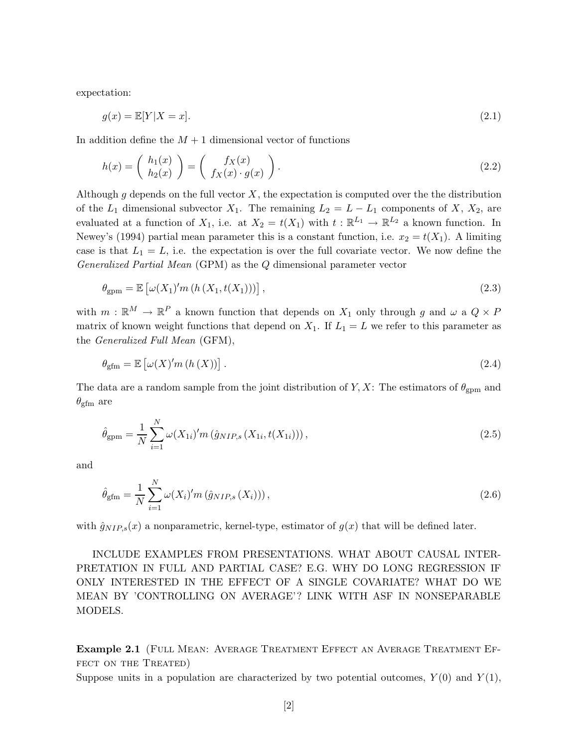expectation:

$$
g(x) = \mathbb{E}[Y|X=x].
$$
\n<sup>(2.1)</sup>

In addition define the  $M + 1$  dimensional vector of functions

$$
h(x) = \begin{pmatrix} h_1(x) \\ h_2(x) \end{pmatrix} = \begin{pmatrix} f_X(x) \\ f_X(x) \cdot g(x) \end{pmatrix}.
$$
 (2.2)

Although g depends on the full vector  $X$ , the expectation is computed over the the distribution of the  $L_1$  dimensional subvector  $X_1$ . The remaining  $L_2 = L - L_1$  components of  $X, X_2$ , are evaluated at a function of  $X_1$ , i.e. at  $X_2 = t(X_1)$  with  $t : \mathbb{R}^{L_1} \to \mathbb{R}^{L_2}$  a known function. In Newey's (1994) partial mean parameter this is a constant function, i.e.  $x_2 = t(X_1)$ . A limiting case is that  $L_1 = L$ , i.e. the expectation is over the full covariate vector. We now define the Generalized Partial Mean (GPM) as the Q dimensional parameter vector

$$
\theta_{\rm gpm} = \mathbb{E}\left[\omega(X_1)'m\left(h\left(X_1, t(X_1)\right)\right)\right],\tag{2.3}
$$

with  $m : \mathbb{R}^M \to \mathbb{R}^P$  a known function that depends on  $X_1$  only through g and  $\omega$  a  $Q \times P$ matrix of known weight functions that depend on  $X_1$ . If  $L_1 = L$  we refer to this parameter as the Generalized Full Mean (GFM),

$$
\theta_{\rm gfm} = \mathbb{E}\left[\omega(X)'m\left(h\left(X\right)\right)\right].\tag{2.4}
$$

The data are a random sample from the joint distribution of Y, X: The estimators of  $\theta_{\text{gpm}}$  and  $\theta_{\text{gfm}}$  are

$$
\hat{\theta}_{\rm gpm} = \frac{1}{N} \sum_{i=1}^{N} \omega(X_{1i})' m\left(\hat{g}_{NIP,s}(X_{1i}, t(X_{1i}))\right),\tag{2.5}
$$

and

$$
\hat{\theta}_{\text{gfm}} = \frac{1}{N} \sum_{i=1}^{N} \omega(X_i)' m(\hat{g}_{NIP,s}(X_i))),
$$
\n(2.6)

with  $\hat{g}_{NIP,s}(x)$  a nonparametric, kernel-type, estimator of  $g(x)$  that will be defined later.

INCLUDE EXAMPLES FROM PRESENTATIONS. WHAT ABOUT CAUSAL INTER-PRETATION IN FULL AND PARTIAL CASE? E.G. WHY DO LONG REGRESSION IF ONLY INTERESTED IN THE EFFECT OF A SINGLE COVARIATE? WHAT DO WE MEAN BY 'CONTROLLING ON AVERAGE' ? LINK WITH ASF IN NONSEPARABLE MODELS.

Example 2.1 (Full Mean: Average Treatment Effect an Average Treatment Ef-FECT ON THE TREATED)

Suppose units in a population are characterized by two potential outcomes,  $Y(0)$  and  $Y(1)$ ,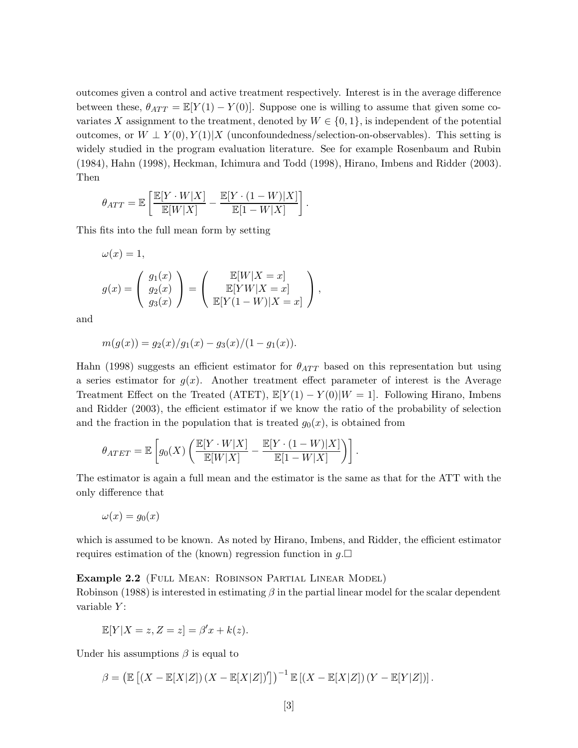outcomes given a control and active treatment respectively. Interest is in the average difference between these,  $\theta_{ATT} = \mathbb{E}[Y(1) - Y(0)]$ . Suppose one is willing to assume that given some covariates X assignment to the treatment, denoted by  $W \in \{0,1\}$ , is independent of the potential outcomes, or  $W \perp Y(0), Y(1)|X$  (unconfoundedness/selection-on-observables). This setting is widely studied in the program evaluation literature. See for example Rosenbaum and Rubin (1984), Hahn (1998), Heckman, Ichimura and Todd (1998), Hirano, Imbens and Ridder (2003). Then

$$
\theta_{ATT} = \mathbb{E}\left[\frac{\mathbb{E}[Y\cdot W|X]}{\mathbb{E}[W|X]} - \frac{\mathbb{E}[Y\cdot (1-W)|X]}{\mathbb{E}[1-W|X]}\right].
$$

This fits into the full mean form by setting

$$
\omega(x) = 1,
$$
  
\n
$$
g(x) = \begin{pmatrix} g_1(x) \\ g_2(x) \\ g_3(x) \end{pmatrix} = \begin{pmatrix} \mathbb{E}[W|X=x] \\ \mathbb{E}[YW|X=x] \\ \mathbb{E}[Y(1-W)|X=x] \end{pmatrix},
$$

and

$$
m(g(x)) = g_2(x)/g_1(x) - g_3(x)/(1 - g_1(x)).
$$

Hahn (1998) suggests an efficient estimator for  $\theta_{ATT}$  based on this representation but using a series estimator for  $g(x)$ . Another treatment effect parameter of interest is the Average Treatment Effect on the Treated (ATET),  $\mathbb{E}[Y(1) - Y(0)|W = 1]$ . Following Hirano, Imbens and Ridder (2003), the efficient estimator if we know the ratio of the probability of selection and the fraction in the population that is treated  $g_0(x)$ , is obtained from

$$
\theta_{ATET} = \mathbb{E}\left[ g_0(X) \left( \frac{\mathbb{E}[Y \cdot W | X]}{\mathbb{E}[W | X]} - \frac{\mathbb{E}[Y \cdot (1 - W) | X]}{\mathbb{E}[1 - W | X]}\right) \right].
$$

The estimator is again a full mean and the estimator is the same as that for the ATT with the only difference that

$$
\omega(x) = g_0(x)
$$

which is assumed to be known. As noted by Hirano, Imbens, and Ridder, the efficient estimator requires estimation of the (known) regression function in  $g.\Box$ 

#### Example 2.2 (FULL MEAN: ROBINSON PARTIAL LINEAR MODEL)

Robinson (1988) is interested in estimating  $\beta$  in the partial linear model for the scalar dependent variable  $Y$ :

$$
\mathbb{E}[Y|X=z, Z=z] = \beta'x + k(z).
$$

Under his assumptions  $\beta$  is equal to

$$
\beta = \left( \mathbb{E} \left[ \left( X - \mathbb{E}[X|Z] \right) \left( X - \mathbb{E}[X|Z] \right)' \right] \right)^{-1} \mathbb{E} \left[ \left( X - \mathbb{E}[X|Z] \right) \left( Y - \mathbb{E}[Y|Z] \right) \right].
$$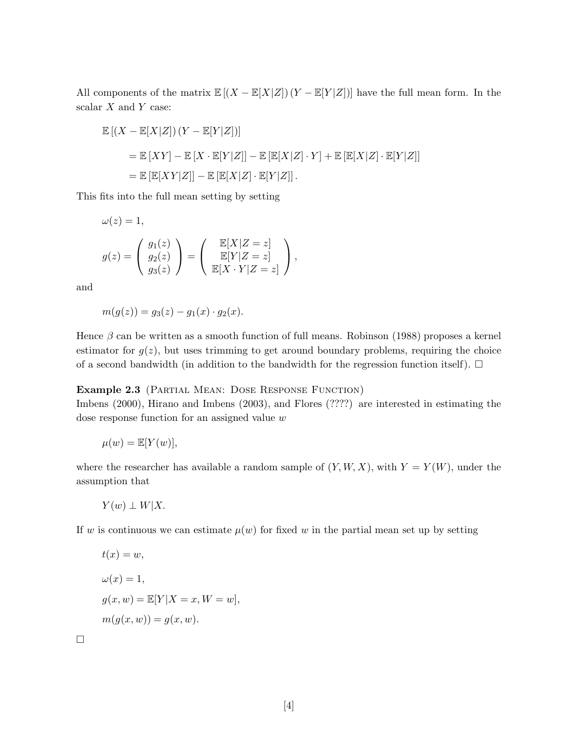All components of the matrix  $\mathbb{E}[(X - \mathbb{E}[X|Z])(Y - \mathbb{E}[Y|Z])]$  have the full mean form. In the scalar  $X$  and  $Y$  case:

$$
\mathbb{E}[(X - \mathbb{E}[X|Z])(Y - \mathbb{E}[Y|Z])]
$$
  
= 
$$
\mathbb{E}[XY] - \mathbb{E}[X \cdot \mathbb{E}[Y|Z]] - \mathbb{E}[\mathbb{E}[X|Z] \cdot Y] + \mathbb{E}[\mathbb{E}[X|Z] \cdot \mathbb{E}[Y|Z]]
$$
  
= 
$$
\mathbb{E}[\mathbb{E}[XY|Z]] - \mathbb{E}[\mathbb{E}[X|Z] \cdot \mathbb{E}[Y|Z]].
$$

This fits into the full mean setting by setting

$$
\omega(z) = 1,
$$
  
\n
$$
g(z) = \begin{pmatrix} g_1(z) \\ g_2(z) \\ g_3(z) \end{pmatrix} = \begin{pmatrix} \mathbb{E}[X|Z=z] \\ \mathbb{E}[Y|Z=z] \\ \mathbb{E}[X \cdot Y|Z=z] \end{pmatrix},
$$

and

$$
m(g(z)) = g_3(z) - g_1(x) \cdot g_2(x).
$$

Hence  $\beta$  can be written as a smooth function of full means. Robinson (1988) proposes a kernel estimator for  $g(z)$ , but uses trimming to get around boundary problems, requiring the choice of a second bandwidth (in addition to the bandwidth for the regression function itself).  $\Box$ 

Example 2.3 (Partial Mean: Dose Response Function)

Imbens (2000), Hirano and Imbens (2003), and Flores (????) are interested in estimating the dose response function for an assigned value w

$$
\mu(w) = \mathbb{E}[Y(w)],
$$

where the researcher has available a random sample of  $(Y, W, X)$ , with  $Y = Y(W)$ , under the assumption that

 $Y(w) \perp W|X.$ 

If w is continuous we can estimate  $\mu(w)$  for fixed w in the partial mean set up by setting

$$
t(x) = w,
$$
  
\n
$$
\omega(x) = 1,
$$
  
\n
$$
g(x, w) = \mathbb{E}[Y|X = x, W = w],
$$
  
\n
$$
m(g(x, w)) = g(x, w).
$$

 $\Box$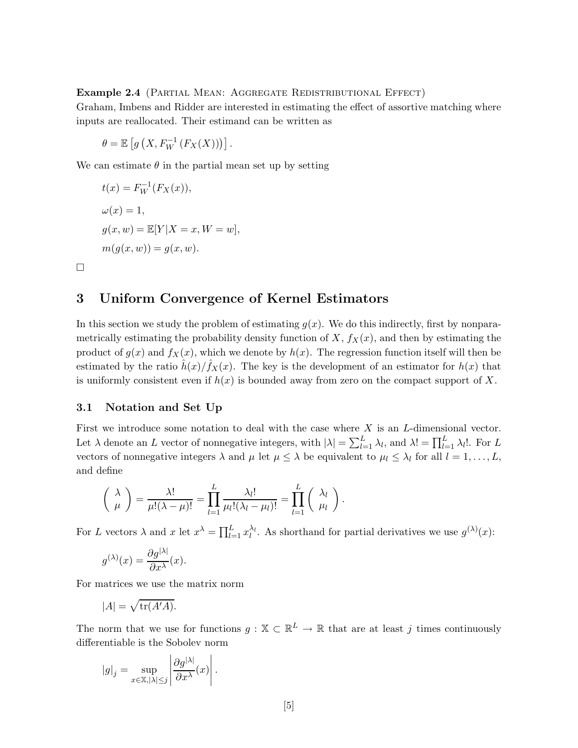#### Example 2.4 (Partial Mean: Aggregate Redistributional Effect)

Graham, Imbens and Ridder are interested in estimating the effect of assortive matching where inputs are reallocated. Their estimand can be written as

$$
\theta = \mathbb{E}\left[g\left(X, F_W^{-1}\left(F_X(X)\right)\right)\right].
$$

We can estimate  $\theta$  in the partial mean set up by setting

$$
t(x) = F_W^{-1}(F_X(x)),
$$
  
\n
$$
\omega(x) = 1,
$$
  
\n
$$
g(x, w) = \mathbb{E}[Y|X = x, W = w],
$$
  
\n
$$
m(g(x, w)) = g(x, w).
$$

### 3 Uniform Convergence of Kernel Estimators

In this section we study the problem of estimating  $g(x)$ . We do this indirectly, first by nonparametrically estimating the probability density function of  $X, f_X(x)$ , and then by estimating the product of  $g(x)$  and  $f_X(x)$ , which we denote by  $h(x)$ . The regression function itself will then be estimated by the ratio  $\hat{h}(x)/\hat{f}_X(x)$ . The key is the development of an estimator for  $h(x)$  that is uniformly consistent even if  $h(x)$  is bounded away from zero on the compact support of X.

#### 3.1 Notation and Set Up

 $\Box$ 

First we introduce some notation to deal with the case where  $X$  is an  $L$ -dimensional vector. Let  $\lambda$  denote an L vector of nonnegative integers, with  $|\lambda| = \sum_{l=1}^{L} \lambda_l$ , and  $\lambda! = \prod_{l=1}^{L} \lambda_l!$ . For L vectors of nonnegative integers  $\lambda$  and  $\mu$  let  $\mu \leq \lambda$  be equivalent to  $\mu_l \leq \lambda_l$  for all  $l = 1, ..., L$ , and define

$$
\left(\begin{array}{c} \lambda \\ \mu \end{array}\right) = \frac{\lambda!}{\mu!(\lambda-\mu)!} = \prod_{l=1}^L \frac{\lambda_l!}{\mu_l!(\lambda_l-\mu_l)!} = \prod_{l=1}^L \left(\begin{array}{c} \lambda_l \\ \mu_l \end{array}\right).
$$

For L vectors  $\lambda$  and  $x$  let  $x^{\lambda} = \prod_{l=1}^{L} x_l^{\lambda_l}$ . As shorthand for partial derivatives we use  $g^{(\lambda)}(x)$ :

$$
g^{(\lambda)}(x) = \frac{\partial g^{|\lambda|}}{\partial x^{\lambda}}(x).
$$

For matrices we use the matrix norm

$$
|A| = \sqrt{\text{tr}(A'A)}.
$$

The norm that we use for functions  $g: \mathbb{X} \subset \mathbb{R}^L \to \mathbb{R}$  that are at least j times continuously differentiable is the Sobolev norm

$$
|g|_j = \sup_{x \in \mathbb{X}, |\lambda| \le j} \left| \frac{\partial g^{|\lambda|}}{\partial x^{\lambda}}(x) \right|.
$$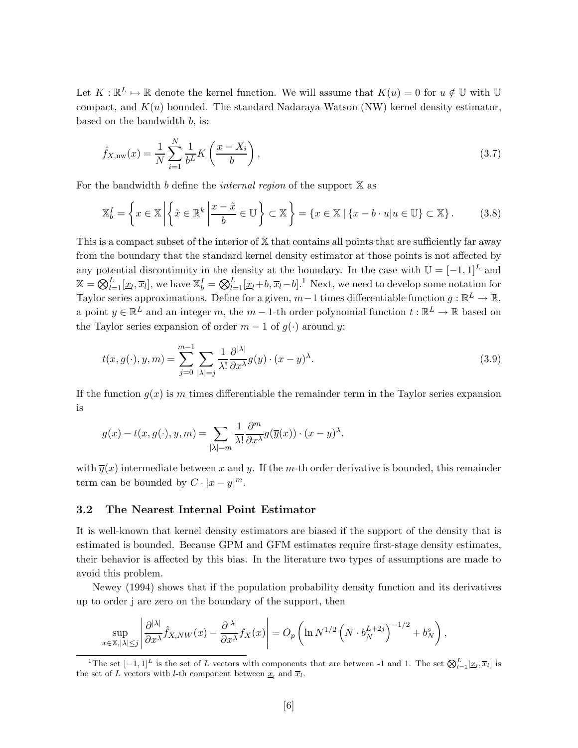Let  $K : \mathbb{R}^L \mapsto \mathbb{R}$  denote the kernel function. We will assume that  $K(u) = 0$  for  $u \notin \mathbb{U}$  with  $\mathbb{U}$ compact, and  $K(u)$  bounded. The standard Nadaraya-Watson (NW) kernel density estimator, based on the bandwidth b, is:

$$
\hat{f}_{X,\text{nw}}(x) = \frac{1}{N} \sum_{i=1}^{N} \frac{1}{b^L} K\left(\frac{x - X_i}{b}\right),\tag{3.7}
$$

For the bandwidth b define the *internal region* of the support  $X$  as

$$
\mathbb{X}_b^I = \left\{ x \in \mathbb{X} \left| \left\{ \tilde{x} \in \mathbb{R}^k \, \middle| \, \frac{x - \tilde{x}}{b} \in \mathbb{U} \right\} \subset \mathbb{X} \right\} = \left\{ x \in \mathbb{X} \, \middle| \, \left\{ x - b \cdot u \middle| u \in \mathbb{U} \right\} \subset \mathbb{X} \right\}.
$$
\n(3.8)

This is a compact subset of the interior of X that contains all points that are sufficiently far away from the boundary that the standard kernel density estimator at those points is not affected by any potential discontinuity in the density at the boundary. In the case with  $\mathbb{U} = [-1, 1]^L$  and  $\mathbb{X} = \bigotimes_{l=1}^{L} [\underline{x}_l, \overline{x}_l]$ , we have  $\mathbb{X}_b^I = \bigotimes_{l=1}^{L} [\underline{x}_l + b, \overline{x}_l - b]$ .<sup>1</sup> Next, we need to develop some notation for Taylor series approximations. Define for a given,  $m-1$  times differentiable function  $g : \mathbb{R}^L \to \mathbb{R}$ , a point  $y \in \mathbb{R}^L$  and an integer m, the  $m-1$ -th order polynomial function  $t : \mathbb{R}^L \to \mathbb{R}$  based on the Taylor series expansion of order  $m-1$  of  $g(\cdot)$  around y:

$$
t(x, g(\cdot), y, m) = \sum_{j=0}^{m-1} \sum_{|\lambda|=j} \frac{1}{\lambda!} \frac{\partial^{|\lambda|}}{\partial x^{\lambda}} g(y) \cdot (x - y)^{\lambda}.
$$
 (3.9)

If the function  $g(x)$  is m times differentiable the remainder term in the Taylor series expansion is

$$
g(x) - t(x, g(\cdot), y, m) = \sum_{|\lambda| = m} \frac{1}{\lambda!} \frac{\partial^m}{\partial x^{\lambda}} g(\overline{y}(x)) \cdot (x - y)^{\lambda}.
$$

with  $\overline{y}(x)$  intermediate between x and y. If the m-th order derivative is bounded, this remainder term can be bounded by  $C \cdot |x - y|^m$ .

#### 3.2 The Nearest Internal Point Estimator

It is well-known that kernel density estimators are biased if the support of the density that is estimated is bounded. Because GPM and GFM estimates require first-stage density estimates, their behavior is affected by this bias. In the literature two types of assumptions are made to avoid this problem.

Newey (1994) shows that if the population probability density function and its derivatives up to order j are zero on the boundary of the support, then

$$
\sup_{x \in \mathbb{X}, |\lambda| \le j} \left| \frac{\partial^{|\lambda|}}{\partial x^{\lambda}} \hat{f}_{X, NW}(x) - \frac{\partial^{|\lambda|}}{\partial x^{\lambda}} f_X(x) \right| = O_p \left( \ln N^{1/2} \left( N \cdot b_N^{L+2j} \right)^{-1/2} + b_N^s \right),
$$

<sup>&</sup>lt;sup>1</sup>The set  $[-1,1]^L$  is the set of L vectors with components that are between -1 and 1. The set  $\bigotimes_{l=1}^L [\underline{x}_l, \overline{x}_l]$  is the set of L vectors with l-th component between  $\underline{x}_l$  and  $\overline{x}_l$ .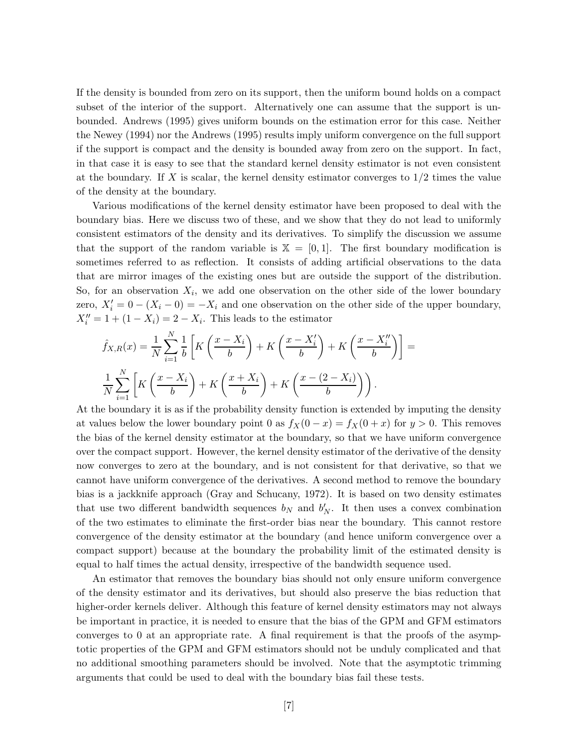If the density is bounded from zero on its support, then the uniform bound holds on a compact subset of the interior of the support. Alternatively one can assume that the support is unbounded. Andrews (1995) gives uniform bounds on the estimation error for this case. Neither the Newey (1994) nor the Andrews (1995) results imply uniform convergence on the full support if the support is compact and the density is bounded away from zero on the support. In fact, in that case it is easy to see that the standard kernel density estimator is not even consistent at the boundary. If X is scalar, the kernel density estimator converges to  $1/2$  times the value of the density at the boundary.

Various modifications of the kernel density estimator have been proposed to deal with the boundary bias. Here we discuss two of these, and we show that they do not lead to uniformly consistent estimators of the density and its derivatives. To simplify the discussion we assume that the support of the random variable is  $X = [0, 1]$ . The first boundary modification is sometimes referred to as reflection. It consists of adding artificial observations to the data that are mirror images of the existing ones but are outside the support of the distribution. So, for an observation  $X_i$ , we add one observation on the other side of the lower boundary zero,  $X_i' = 0 - (X_i - 0) = -X_i$  and one observation on the other side of the upper boundary,  $X''_i = 1 + (1 - X_i) = 2 - X_i$ . This leads to the estimator

$$
\hat{f}_{X,R}(x) = \frac{1}{N} \sum_{i=1}^{N} \frac{1}{b} \left[ K \left( \frac{x - X_i}{b} \right) + K \left( \frac{x - X'_i}{b} \right) + K \left( \frac{x - X''_i}{b} \right) \right] = \frac{1}{N} \sum_{i=1}^{N} \left[ K \left( \frac{x - X_i}{b} \right) + K \left( \frac{x + X_i}{b} \right) + K \left( \frac{x - (2 - X_i)}{b} \right) \right).
$$

At the boundary it is as if the probability density function is extended by imputing the density at values below the lower boundary point 0 as  $f_X(0-x) = f_X(0+x)$  for  $y > 0$ . This removes the bias of the kernel density estimator at the boundary, so that we have uniform convergence over the compact support. However, the kernel density estimator of the derivative of the density now converges to zero at the boundary, and is not consistent for that derivative, so that we cannot have uniform convergence of the derivatives. A second method to remove the boundary bias is a jackknife approach (Gray and Schucany, 1972). It is based on two density estimates that use two different bandwidth sequences  $b_N$  and  $b'_N$ . It then uses a convex combination of the two estimates to eliminate the first-order bias near the boundary. This cannot restore convergence of the density estimator at the boundary (and hence uniform convergence over a compact support) because at the boundary the probability limit of the estimated density is equal to half times the actual density, irrespective of the bandwidth sequence used.

An estimator that removes the boundary bias should not only ensure uniform convergence of the density estimator and its derivatives, but should also preserve the bias reduction that higher-order kernels deliver. Although this feature of kernel density estimators may not always be important in practice, it is needed to ensure that the bias of the GPM and GFM estimators converges to 0 at an appropriate rate. A final requirement is that the proofs of the asymptotic properties of the GPM and GFM estimators should not be unduly complicated and that no additional smoothing parameters should be involved. Note that the asymptotic trimming arguments that could be used to deal with the boundary bias fail these tests.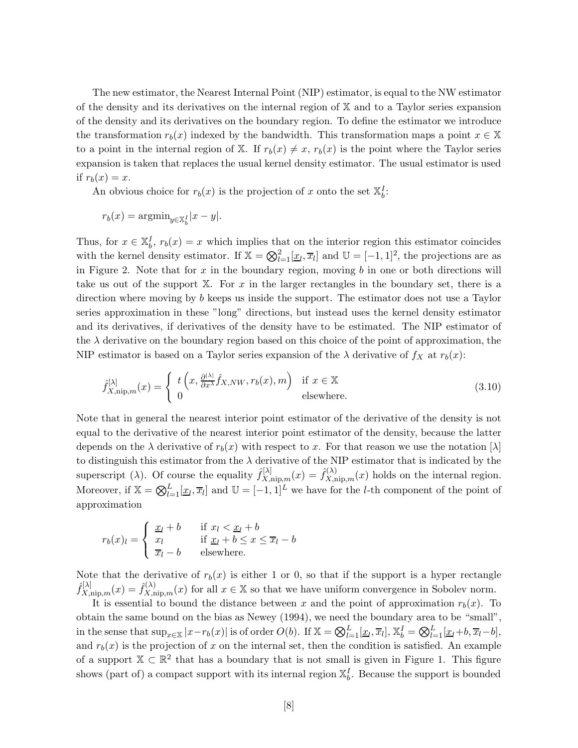The new estimator, the Nearest Internal Point (NIP) estimator, is equal to the NW estimator of the density and its derivatives on the internal region of  $X$  and to a Taylor series expansion of the density and its derivatives on the boundary region. To define the estimator we introduce the transformation  $r_b(x)$  indexed by the bandwidth. This transformation maps a point  $x \in \mathbb{X}$ to a point in the internal region of X. If  $r_b(x) \neq x$ ,  $r_b(x)$  is the point where the Taylor series expansion is taken that replaces the usual kernel density estimator. The usual estimator is used if  $r_b(x) = x$ .

An obvious choice for  $r_b(x)$  is the projection of x onto the set  $\mathbb{X}_b^I$ :

$$
r_b(x) = \operatorname{argmin}_{y \in \mathbb{X}_b^I} |x - y|.
$$

Thus, for  $x \in \mathbb{X}_b^I$ ,  $r_b(x) = x$  which implies that on the interior region this estimator coincides with the kernel density estimator. If  $\mathbb{X} = \bigotimes_{l=1}^{2} [\underline{x}_l, \overline{x}_l]$  and  $\mathbb{U} = [-1, 1]^2$ , the projections are as in Figure 2. Note that for  $x$  in the boundary region, moving  $b$  in one or both directions will take us out of the support  $X$ . For x in the larger rectangles in the boundary set, there is a direction where moving by b keeps us inside the support. The estimator does not use a Taylor series approximation in these "long" directions, but instead uses the kernel density estimator and its derivatives, if derivatives of the density have to be estimated. The NIP estimator of the  $\lambda$  derivative on the boundary region based on this choice of the point of approximation, the NIP estimator is based on a Taylor series expansion of the  $\lambda$  derivative of  $f_X$  at  $r_b(x)$ :

$$
\hat{f}_{X,\text{nip},m}^{[\lambda]}(x) = \begin{cases} t\left(x, \frac{\partial^{|\lambda|}}{\partial x^{\lambda}} \hat{f}_{X,NW}, r_b(x), m\right) & \text{if } x \in \mathbb{X} \\ 0 & \text{elsewhere.} \end{cases}
$$
\n(3.10)

Note that in general the nearest interior point estimator of the derivative of the density is not equal to the derivative of the nearest interior point estimator of the density, because the latter depends on the  $\lambda$  derivative of  $r_b(x)$  with respect to x. For that reason we use the notation  $[\lambda]$ to distinguish this estimator from the  $\lambda$  derivative of the NIP estimator that is indicated by the superscript ( $\lambda$ ). Of course the equality  $\hat{f}_{X,\text{nip},m}^{[\lambda]}(x) = \hat{f}_{X,\text{nip},m}^{(\lambda)}(x)$  holds on the internal region. Moreover, if  $\mathbb{X} = \bigotimes_{l=1}^{L} [\underline{x}_l, \overline{x}_l]$  and  $\mathbb{U} = [-1, 1]^L$  we have for the *l*-th component of the point of approximation

$$
r_b(x)_l = \begin{cases} \frac{x_l + b}{x_l} & \text{if } x_l < \frac{x_l + b}{x_l - b} \\ \frac{x_l}{x_l - b} & \text{elsewhere.} \end{cases}
$$

Note that the derivative of  $r_b(x)$  is either 1 or 0, so that if the support is a hyper rectangle  $\hat{f}_{X,\text{nip},m}^{[\lambda]}(x) = \hat{f}_{X,\text{nip},m}^{(\lambda)}(x)$  for all  $x \in \mathbb{X}$  so that we have uniform convergence in Sobolev norm.

It is essential to bound the distance between x and the point of approximation  $r<sub>b</sub>(x)$ . To obtain the same bound on the bias as Newey (1994), we need the boundary area to be "small", in the sense that  $\sup_{x \in \mathbb{X}} |x - r_b(x)|$  is of order  $O(b)$ . If  $\mathbb{X} = \bigotimes_{l=1}^L [\underline{x}_l, \overline{x}_l], \mathbb{X}_b^I = \bigotimes_{l=1}^L [\underline{x}_l + b, \overline{x}_l - b],$ and  $r<sub>b</sub>(x)$  is the projection of x on the internal set, then the condition is satisfied. An example of a support  $\mathbb{X} \subset \mathbb{R}^2$  that has a boundary that is not small is given in Figure 1. This figure shows (part of) a compact support with its internal region  $\mathbb{X}_{b}^{I}$ . Because the support is bounded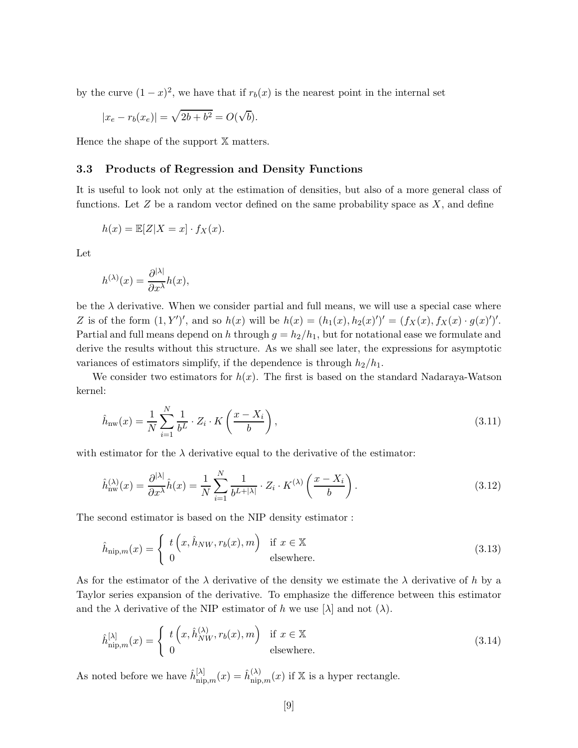by the curve  $(1-x)^2$ , we have that if  $r_b(x)$  is the nearest point in the internal set

$$
|x_e - r_b(x_e)| = \sqrt{2b + b^2} = O(\sqrt{b}).
$$

Hence the shape of the support X matters.

#### 3.3 Products of Regression and Density Functions

It is useful to look not only at the estimation of densities, but also of a more general class of functions. Let  $Z$  be a random vector defined on the same probability space as  $X$ , and define

$$
h(x) = \mathbb{E}[Z|X = x] \cdot f_X(x).
$$

Let

$$
h^{(\lambda)}(x) = \frac{\partial^{|\lambda|}}{\partial x^{\lambda}} h(x),
$$

be the  $\lambda$  derivative. When we consider partial and full means, we will use a special case where Z is of the form  $(1, Y')'$ , and so  $h(x)$  will be  $h(x) = (h_1(x), h_2(x)')' = (f_X(x), f_X(x) \cdot g(x)')'.$ Partial and full means depend on h through  $g = h_2/h_1$ , but for notational ease we formulate and derive the results without this structure. As we shall see later, the expressions for asymptotic variances of estimators simplify, if the dependence is through  $h_2/h_1$ .

We consider two estimators for  $h(x)$ . The first is based on the standard Nadaraya-Watson kernel:

$$
\hat{h}_{\text{nw}}(x) = \frac{1}{N} \sum_{i=1}^{N} \frac{1}{b^L} \cdot Z_i \cdot K\left(\frac{x - X_i}{b}\right),\tag{3.11}
$$

with estimator for the  $\lambda$  derivative equal to the derivative of the estimator:

$$
\hat{h}_{\text{nw}}^{(\lambda)}(x) = \frac{\partial^{|\lambda|}}{\partial x^{\lambda}} \hat{h}(x) = \frac{1}{N} \sum_{i=1}^{N} \frac{1}{b^{L+|\lambda|}} \cdot Z_i \cdot K^{(\lambda)}\left(\frac{x - X_i}{b}\right). \tag{3.12}
$$

The second estimator is based on the NIP density estimator :

$$
\hat{h}_{\text{nip},m}(x) = \begin{cases} t\left(x, \hat{h}_{NW}, r_b(x), m\right) & \text{if } x \in \mathbb{X} \\ 0 & \text{elsewhere.} \end{cases}
$$
\n(3.13)

As for the estimator of the  $\lambda$  derivative of the density we estimate the  $\lambda$  derivative of h by a Taylor series expansion of the derivative. To emphasize the difference between this estimator and the  $\lambda$  derivative of the NIP estimator of h we use  $[\lambda]$  and not  $(\lambda)$ .

$$
\hat{h}_{\text{nip},m}^{[\lambda]}(x) = \begin{cases} t\left(x, \hat{h}_{NW}^{(\lambda)}, r_b(x), m\right) & \text{if } x \in \mathbb{X} \\ 0 & \text{elsewhere.} \end{cases}
$$
\n(3.14)

As noted before we have  $\hat{h}_{\text{nip},m}^{[\lambda]}(x) = \hat{h}_{\text{nip},m}^{(\lambda)}(x)$  if X is a hyper rectangle.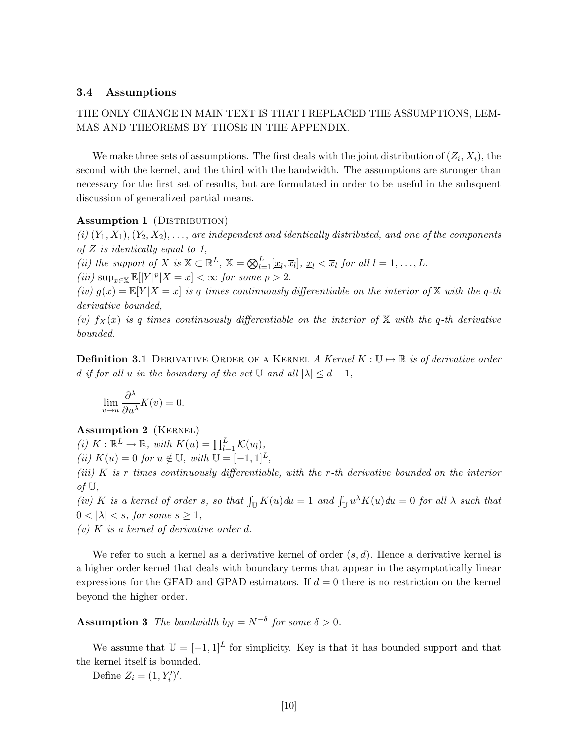#### 3.4 Assumptions

### THE ONLY CHANGE IN MAIN TEXT IS THAT I REPLACED THE ASSUMPTIONS, LEM-MAS AND THEOREMS BY THOSE IN THE APPENDIX.

We make three sets of assumptions. The first deals with the joint distribution of  $(Z_i, X_i)$ , the second with the kernel, and the third with the bandwidth. The assumptions are stronger than necessary for the first set of results, but are formulated in order to be useful in the subsquent discussion of generalized partial means.

#### Assumption 1 (DISTRIBUTION)

 $(i)$   $(Y_1, X_1), (Y_2, X_2), \ldots$ , are independent and identically distributed, and one of the components of  $Z$  is identically equal to 1,

(ii) the support of X is  $\mathbb{X} \subset \mathbb{R}^L$ ,  $\mathbb{X} = \bigotimes_{l=1}^L [\underline{x}_l, \overline{x}_l]$ ,  $\underline{x}_l < \overline{x}_l$  for all  $l = 1, ..., L$ .

 $(iii)\;{\rm sup}_{x\in \mathbb X}\,\mathbb E[|Y|^p|X=x]<\infty\;\mbox{\it for some $p>2$}.$ 

(iv)  $g(x) = \mathbb{E}[Y|X=x]$  is q times continuously differentiable on the interior of X with the q-th derivative bounded,

(v)  $f_X(x)$  is q times continuously differentiable on the interior of X with the q-th derivative bounded.

**Definition 3.1** DERIVATIVE ORDER OF A KERNEL A Kernel  $K : \mathbb{U} \mapsto \mathbb{R}$  is of derivative order d if for all u in the boundary of the set  $\mathbb U$  and all  $|\lambda| \leq d-1$ ,

$$
\lim_{v \to u} \frac{\partial^{\lambda}}{\partial u^{\lambda}} K(v) = 0.
$$

#### Assumption 2 (KERNEL)

(i)  $K : \mathbb{R}^L \to \mathbb{R}$ , with  $K(u) = \prod_{l=1}^L K(u_l)$ ,

(ii)  $K(u) = 0$  for  $u \notin U$ , with  $U = [-1, 1]^L$ ,

(iii) K is r times continuously differentiable, with the r-th derivative bounded on the interior of  $\mathbb{U}$ ,

(iv) K is a kernel of order s, so that  $\int_{\mathbb{U}} K(u) du = 1$  and  $\int_{\mathbb{U}} u^{\lambda} K(u) du = 0$  for all  $\lambda$  such that  $0 < |\lambda| < s$ , for some  $s \geq 1$ ,

(v)  $K$  is a kernel of derivative order d.

We refer to such a kernel as a derivative kernel of order  $(s, d)$ . Hence a derivative kernel is a higher order kernel that deals with boundary terms that appear in the asymptotically linear expressions for the GFAD and GPAD estimators. If  $d = 0$  there is no restriction on the kernel beyond the higher order.

## **Assumption 3** The bandwidth  $b_N = N^{-\delta}$  for some  $\delta > 0$ .

We assume that  $\mathbb{U} = [-1, 1]^L$  for simplicity. Key is that it has bounded support and that the kernel itself is bounded.

Define  $Z_i = (1, Y'_i)'$ .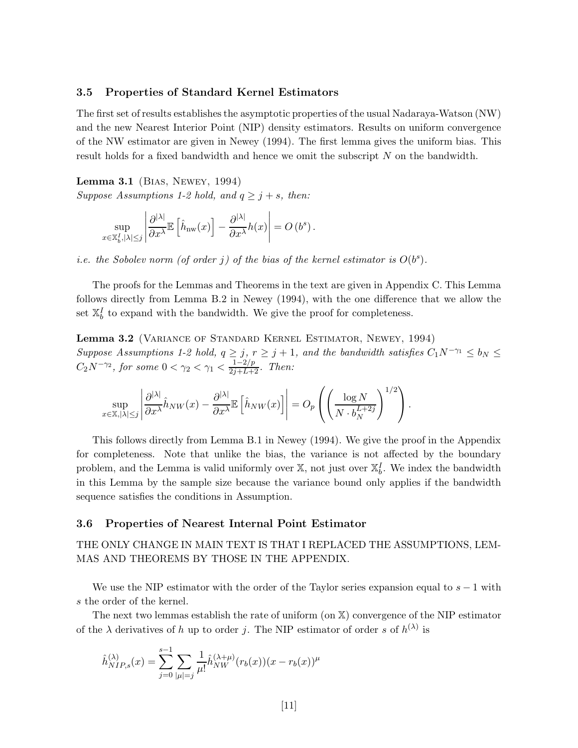#### 3.5 Properties of Standard Kernel Estimators

The first set of results establishes the asymptotic properties of the usual Nadaraya-Watson (NW) and the new Nearest Interior Point (NIP) density estimators. Results on uniform convergence of the NW estimator are given in Newey (1994). The first lemma gives the uniform bias. This result holds for a fixed bandwidth and hence we omit the subscript N on the bandwidth.

Lemma 3.1 (Bias, Newey, 1994)

Suppose Assumptions 1-2 hold, and  $q \geq j + s$ , then:

$$
\sup_{x \in \mathbb{X}_b^I, |\lambda| \leq j} \left| \frac{\partial^{|\lambda|}}{\partial x^{\lambda}} \mathbb{E} \left[ \hat{h}_{nw}(x) \right] - \frac{\partial^{|\lambda|}}{\partial x^{\lambda}} h(x) \right| = O\left( b^s \right).
$$

*i.e.* the Sobolev norm (of order j) of the bias of the kernel estimator is  $O(b^s)$ .

The proofs for the Lemmas and Theorems in the text are given in Appendix C. This Lemma follows directly from Lemma B.2 in Newey (1994), with the one difference that we allow the set  $\mathbb{X}_{b}^{I}$  to expand with the bandwidth. We give the proof for completeness.

Lemma 3.2 (Variance of Standard Kernel Estimator, Newey, 1994) Suppose Assumptions 1-2 hold,  $q \geq j$ ,  $r \geq j + 1$ , and the bandwidth satisfies  $C_1 N^{-\gamma_1} \leq b_N \leq$  $C_2 N^{-\gamma_2}$ , for some  $0 < \gamma_2 < \gamma_1 < \frac{1-2/p}{2j+L+2}$ . Then:

$$
\sup_{x \in \mathbb{X}, |\lambda| \leq j} \left| \frac{\partial^{|\lambda|}}{\partial x^{\lambda}} \hat{h}_{NW}(x) - \frac{\partial^{|\lambda|}}{\partial x^{\lambda}} \mathbb{E} \left[ \hat{h}_{NW}(x) \right] \right| = O_p \left( \left( \frac{\log N}{N \cdot b_N^{L+2j}} \right)^{1/2} \right).
$$

This follows directly from Lemma B.1 in Newey (1994). We give the proof in the Appendix for completeness. Note that unlike the bias, the variance is not affected by the boundary problem, and the Lemma is valid uniformly over  $\mathbb{X}$ , not just over  $\mathbb{X}_{b}^{I}$ . We index the bandwidth in this Lemma by the sample size because the variance bound only applies if the bandwidth sequence satisfies the conditions in Assumption.

#### 3.6 Properties of Nearest Internal Point Estimator

### THE ONLY CHANGE IN MAIN TEXT IS THAT I REPLACED THE ASSUMPTIONS, LEM-MAS AND THEOREMS BY THOSE IN THE APPENDIX.

We use the NIP estimator with the order of the Taylor series expansion equal to  $s - 1$  with s the order of the kernel.

The next two lemmas establish the rate of uniform (on X) convergence of the NIP estimator of the  $\lambda$  derivatives of h up to order j. The NIP estimator of order s of  $h^{(\lambda)}$  is

$$
\hat{h}_{NIP,s}^{(\lambda)}(x) = \sum_{j=0}^{s-1} \sum_{|\mu|=j} \frac{1}{\mu!} \hat{h}_{NW}^{(\lambda+\mu)}(r_b(x))(x - r_b(x))^{\mu}
$$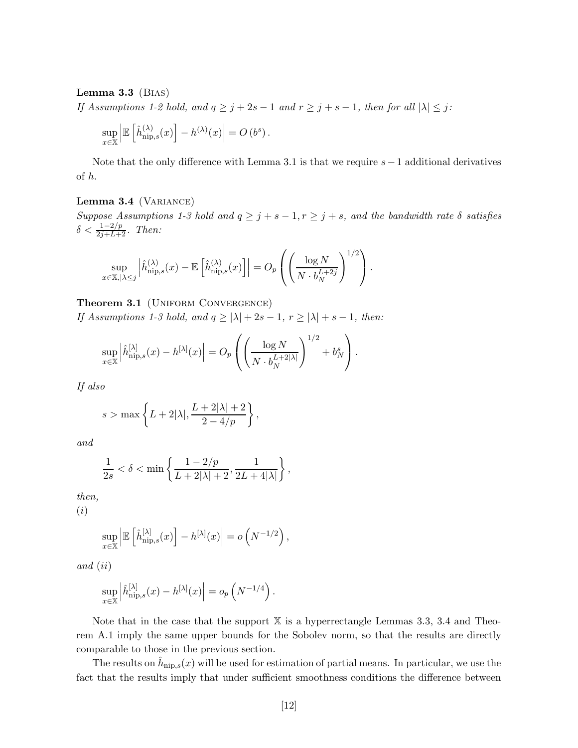#### Lemma  $3.3$  (BIAS)

If Assumptions 1-2 hold, and  $q \ge j+2s-1$  and  $r \ge j+s-1$ , then for all  $|\lambda| \le j$ :

$$
\sup_{x \in \mathbb{X}} \left| \mathbb{E} \left[ \hat{h}_{\mathrm{nip},s}^{(\lambda)}(x) \right] - h^{(\lambda)}(x) \right| = O\left( b^s \right).
$$

Note that the only difference with Lemma 3.1 is that we require  $s-1$  additional derivatives of h.

#### Lemma 3.4 (VARIANCE)

Suppose Assumptions 1-3 hold and  $q \geq j + s - 1, r \geq j + s$ , and the bandwidth rate  $\delta$  satisfies  $\delta < \frac{1-2/p}{2j+L+2}$ . Then:

$$
\sup_{x \in \mathbb{X}, |\lambda \leq j} \left| \hat{h}_{\mathrm{nip},s}^{(\lambda)}(x) - \mathbb{E}\left[\hat{h}_{\mathrm{nip},s}^{(\lambda)}(x)\right] \right| = O_p\left(\left(\frac{\log N}{N \cdot b_N^{L+2j}}\right)^{1/2}\right).
$$

Theorem 3.1 (UNIFORM CONVERGENCE)

If Assumptions 1-3 hold, and  $q \ge |\lambda| + 2s - 1$ ,  $r \ge |\lambda| + s - 1$ , then:

$$
\sup_{x \in \mathbb{X}} \left| \hat{h}_{\mathrm{nip},s}^{[\lambda]}(x) - h^{[\lambda]}(x) \right| = O_p\left( \left( \frac{\log N}{N \cdot b_N^{L+2|\lambda|}} \right)^{1/2} + b_N^s \right).
$$

If also

$$
s > \max\left\{L + 2|\lambda|, \frac{L + 2|\lambda| + 2}{2 - 4/p}\right\},\,
$$

and

$$
\frac{1}{2s} < \delta < \min\left\{\frac{1-2/p}{L+2|\lambda|+2}, \frac{1}{2L+4|\lambda|}\right\},\,
$$

then,

(i)

$$
\sup_{x \in \mathbb{X}} \left| \mathbb{E} \left[ \hat{h}_{\text{nip},s}^{[\lambda]}(x) \right] - h^{[\lambda]}(x) \right| = o\left( N^{-1/2} \right),\,
$$

and (ii)

$$
\sup_{x \in \mathbb{X}} \left| \hat{h}_{\mathrm{nip},s}^{[\lambda]}(x) - h^{[\lambda]}(x) \right| = o_p\left( N^{-1/4} \right).
$$

Note that in the case that the support  $X$  is a hyperrectangle Lemmas 3.3, 3.4 and Theorem A.1 imply the same upper bounds for the Sobolev norm, so that the results are directly comparable to those in the previous section.

The results on  $\hat{h}_{\text{nip},s}(x)$  will be used for estimation of partial means. In particular, we use the fact that the results imply that under sufficient smoothness conditions the difference between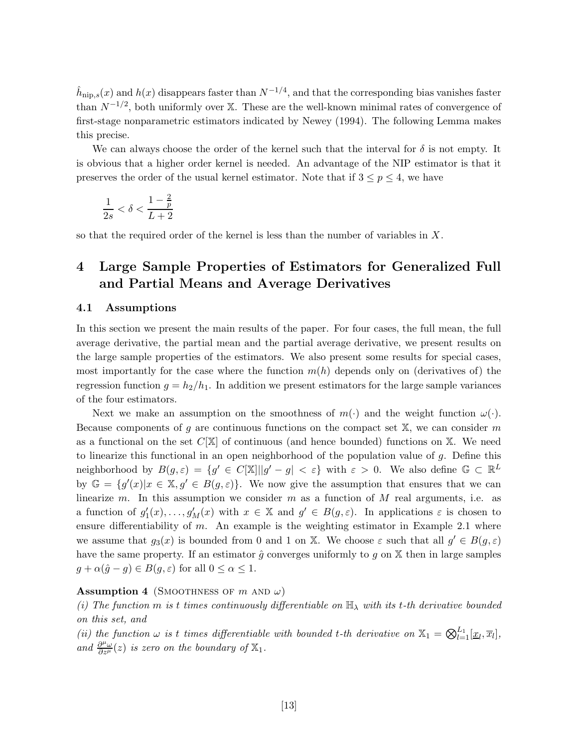$\hat{h}_{\text{nip},s}(x)$  and  $h(x)$  disappears faster than  $N^{-1/4}$ , and that the corresponding bias vanishes faster than  $N^{-1/2}$ , both uniformly over X. These are the well-known minimal rates of convergence of first-stage nonparametric estimators indicated by Newey (1994). The following Lemma makes this precise.

We can always choose the order of the kernel such that the interval for  $\delta$  is not empty. It is obvious that a higher order kernel is needed. An advantage of the NIP estimator is that it preserves the order of the usual kernel estimator. Note that if  $3 \leq p \leq 4$ , we have

$$
\frac{1}{2s}<\delta<\frac{1-\frac{2}{p}}{L+2}
$$

so that the required order of the kernel is less than the number of variables in X.

## 4 Large Sample Properties of Estimators for Generalized Full and Partial Means and Average Derivatives

#### 4.1 Assumptions

In this section we present the main results of the paper. For four cases, the full mean, the full average derivative, the partial mean and the partial average derivative, we present results on the large sample properties of the estimators. We also present some results for special cases, most importantly for the case where the function  $m(h)$  depends only on (derivatives of) the regression function  $g = h_2/h_1$ . In addition we present estimators for the large sample variances of the four estimators.

Next we make an assumption on the smoothness of  $m(\cdot)$  and the weight function  $\omega(\cdot)$ . Because components of g are continuous functions on the compact set  $X$ , we can consider m as a functional on the set  $C[\mathbb{X}]$  of continuous (and hence bounded) functions on X. We need to linearize this functional in an open neighborhood of the population value of  $g$ . Define this neighborhood by  $B(g,\varepsilon) = \{g' \in C[\mathbb{X}] \mid |g' - g| < \varepsilon\}$  with  $\varepsilon > 0$ . We also define  $\mathbb{G} \subset \mathbb{R}^L$ by  $\mathbb{G} = \{g'(x)|x \in \mathbb{X}, g' \in B(g, \varepsilon)\}.$  We now give the assumption that ensures that we can linearize m. In this assumption we consider m as a function of  $M$  real arguments, i.e. as a function of  $g'_1(x), \ldots, g'_M(x)$  with  $x \in \mathbb{X}$  and  $g' \in B(g, \varepsilon)$ . In applications  $\varepsilon$  is chosen to ensure differentiability of  $m$ . An example is the weighting estimator in Example 2.1 where we assume that  $g_3(x)$  is bounded from 0 and 1 on X. We choose  $\varepsilon$  such that all  $g' \in B(g, \varepsilon)$ have the same property. If an estimator  $\hat{g}$  converges uniformly to g on X then in large samples  $g + \alpha(\hat{g} - g) \in B(g, \varepsilon)$  for all  $0 \leq \alpha \leq 1$ .

#### **Assumption 4** (SMOOTHNESS OF  $m$  AND  $\omega$ )

(i) The function m is t times continuously differentiable on  $\mathbb{H}_{\lambda}$  with its t-th derivative bounded on this set, and

(ii) the function  $\omega$  is t times differentiable with bounded t-th derivative on  $\mathbb{X}_1 = \bigotimes_{l=1}^{L_1} [\underline{x}_l, \overline{x}_l]$ , and  $\frac{\partial^{\mu} \omega}{\partial z^{\mu}}(z)$  is zero on the boundary of  $\mathbb{X}_1$ .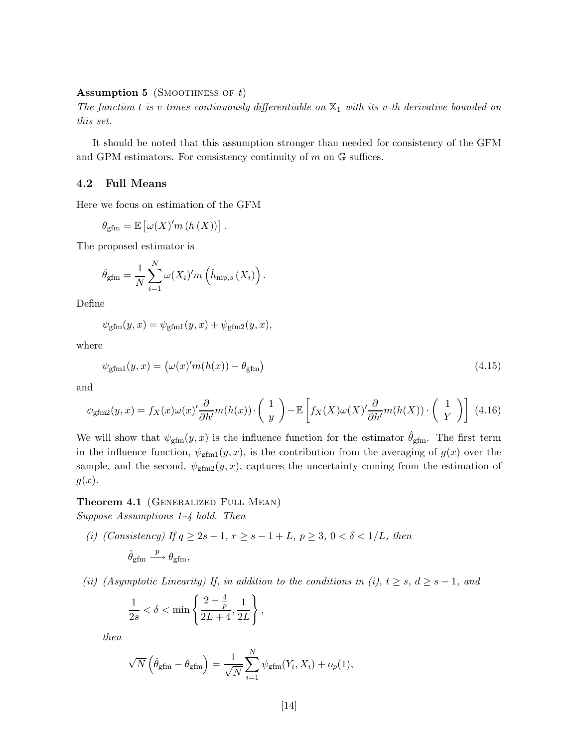#### **Assumption 5** (SMOOTHNESS OF  $t$ )

The function t is v times continuously differentiable on  $\mathbb{X}_1$  with its v-th derivative bounded on this set.

It should be noted that this assumption stronger than needed for consistency of the GFM and GPM estimators. For consistency continuity of  $m$  on  $\mathbb G$  suffices.

#### 4.2 Full Means

Here we focus on estimation of the GFM

$$
\theta_{\rm gfm} = \mathbb{E}\left[\omega(X)'m\left(h\left(X\right)\right)\right].
$$

The proposed estimator is

$$
\hat{\theta}_{\text{gfm}} = \frac{1}{N} \sum_{i=1}^{N} \omega(X_i)' m\left(\hat{h}_{\text{nip},s}(X_i)\right).
$$

Define

$$
\psi_{\text{gfm}}(y,x) = \psi_{\text{gfm1}}(y,x) + \psi_{\text{gfm2}}(y,x),
$$

where

$$
\psi_{\text{gfm1}}(y,x) = \left(\omega(x)'m(h(x)) - \theta_{\text{gfm}}\right) \tag{4.15}
$$

and

$$
\psi_{\text{gfm2}}(y,x) = f_X(x)\omega(x)'\frac{\partial}{\partial h'}m(h(x))\cdot \left(\begin{array}{c} 1\\y \end{array}\right) - \mathbb{E}\left[f_X(X)\omega(X)'\frac{\partial}{\partial h'}m(h(X))\cdot \left(\begin{array}{c} 1\\Y \end{array}\right)\right]
$$
(4.16)

We will show that  $\psi_{\text{gfm}}(y, x)$  is the influence function for the estimator  $\hat{\theta}_{\text{gfm}}$ . The first term in the influence function,  $\psi_{\text{gfm1}}(y, x)$ , is the contribution from the averaging of  $g(x)$  over the sample, and the second,  $\psi_{\text{gfm2}}(y, x)$ , captures the uncertainty coming from the estimation of  $g(x)$ .

### Theorem 4.1 (GENERALIZED FULL MEAN)

Suppose Assumptions 1–4 hold. Then

(i) (Consistency) If  $q \ge 2s - 1$ ,  $r \ge s - 1 + L$ ,  $p \ge 3$ ,  $0 < \delta < 1/L$ , then

$$
\hat{\theta}_{\mathrm{gfm}} \overset{p}{\longrightarrow} \theta_{\mathrm{gfm}},
$$

(ii) (Asymptotic Linearity) If, in addition to the conditions in (i),  $t \geq s$ ,  $d \geq s - 1$ , and

$$
\frac{1}{2s} < \delta < \min\left\{\frac{2-\frac{4}{p}}{2L+4}, \frac{1}{2L}\right\},\
$$

then

$$
\sqrt{N}\left(\hat{\theta}_{\text{gfm}} - \theta_{\text{gfm}}\right) = \frac{1}{\sqrt{N}} \sum_{i=1}^{N} \psi_{\text{gfm}}(Y_i, X_i) + o_p(1),
$$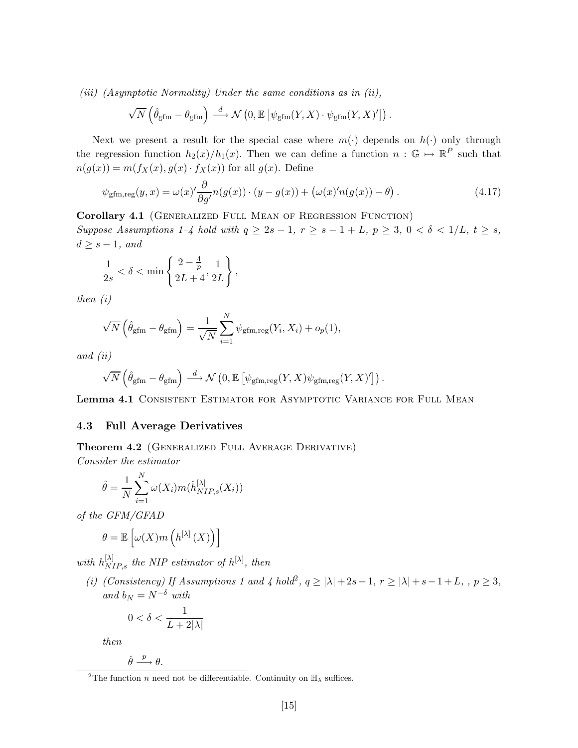(iii) (Asymptotic Normality) Under the same conditions as in (ii),

$$
\sqrt{N}\left(\hat{\theta}_{\text{gfm}} - \theta_{\text{gfm}}\right) \stackrel{d}{\longrightarrow} \mathcal{N}\left(0, \mathbb{E}\left[\psi_{\text{gfm}}(Y, X) \cdot \psi_{\text{gfm}}(Y, X)'\right]\right).
$$

Next we present a result for the special case where  $m(\cdot)$  depends on  $h(\cdot)$  only through the regression function  $h_2(x)/h_1(x)$ . Then we can define a function  $n : \mathbb{G} \to \mathbb{R}^P$  such that  $n(g(x)) = m(f_X(x), g(x) \cdot f_X(x))$  for all  $g(x)$ . Define

$$
\psi_{\text{gfm},\text{reg}}(y,x) = \omega(x)' \frac{\partial}{\partial g'} n(g(x)) \cdot (y - g(x)) + \left(\omega(x)' n(g(x)) - \theta\right). \tag{4.17}
$$

Corollary 4.1 (GENERALIZED FULL MEAN OF REGRESSION FUNCTION)

Suppose Assumptions 1–4 hold with  $q \geq 2s - 1$ ,  $r \geq s - 1 + L$ ,  $p \geq 3$ ,  $0 < \delta < 1/L$ ,  $t \geq s$ ,  $d \geq s-1$ , and

$$
\frac{1}{2s} < \delta < \min\left\{\frac{2-\frac{4}{p}}{2L+4}, \frac{1}{2L}\right\},\
$$

then (i)

$$
\sqrt{N}\left(\hat{\theta}_{\text{gfm}} - \theta_{\text{gfm}}\right) = \frac{1}{\sqrt{N}} \sum_{i=1}^{N} \psi_{\text{gfm,reg}}(Y_i, X_i) + o_p(1),
$$

and (ii)

$$
\sqrt{N}\left(\hat{\theta}_{\text{gfm}} - \theta_{\text{gfm}}\right) \stackrel{d}{\longrightarrow} \mathcal{N}\left(0, \mathbb{E}\left[\psi_{\text{gfm,reg}}(Y, X)\psi_{\text{gfm,reg}}(Y, X)'\right]\right).
$$

Lemma 4.1 CONSISTENT ESTIMATOR FOR ASYMPTOTIC VARIANCE FOR FULL MEAN

#### 4.3 Full Average Derivatives

Theorem 4.2 (GENERALIZED FULL AVERAGE DERIVATIVE)

Consider the estimator

$$
\hat{\theta} = \frac{1}{N} \sum_{i=1}^{N} \omega(X_i) m(\hat{h}_{NIP,s}^{[\lambda]}(X_i))
$$

of the GFM/GFAD

$$
\theta = \mathbb{E}\left[\omega(X)m\left(h^{[\lambda]}\left(X\right)\right)\right]
$$

with  $h_{NIP,s}^{[\lambda]}$  the NIP estimator of  $h^{[\lambda]}$ , then

(i) (Consistency) If Assumptions 1 and 4 hold<sup>2</sup>,  $q \ge |\lambda| + 2s - 1$ ,  $r \ge |\lambda| + s - 1 + L$ , ,  $p \ge 3$ , and  $b_N = N^{-\delta}$  with

$$
0 < \delta < \frac{1}{L + 2|\lambda|}
$$

then

$$
\hat{\theta} \stackrel{p}{\longrightarrow} \theta.
$$

<sup>&</sup>lt;sup>2</sup>The function *n* need not be differentiable. Continuity on  $\mathbb{H}_{\lambda}$  suffices.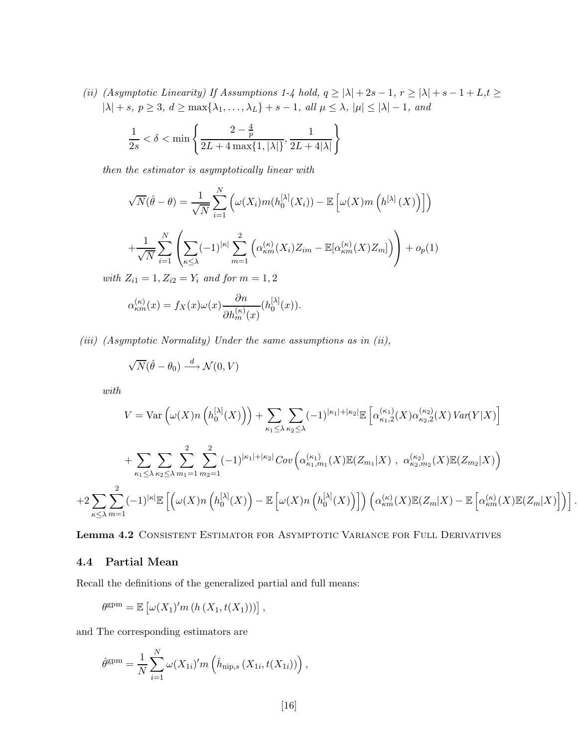(ii) (Asymptotic Linearity) If Assumptions 1-4 hold,  $q \ge |\lambda| + 2s - 1$ ,  $r \ge |\lambda| + s - 1 + L$ ,  $t \ge$  $|\lambda| + s, p \ge 3, d \ge \max\{\lambda_1, \ldots, \lambda_L\} + s - 1, \ all \ \mu \le \lambda, |\mu| \le |\lambda| - 1, \ and$ 

$$
\frac{1}{2s} < \delta < \min\left\{\frac{2-\frac{4}{p}}{2L+4\max\{1,|\lambda|\}}, \frac{1}{2L+4|\lambda|}\right\}
$$

then the estimator is asymptotically linear with

$$
\sqrt{N}(\hat{\theta} - \theta) = \frac{1}{\sqrt{N}} \sum_{i=1}^{N} \left( \omega(X_i) m(h_0^{[\lambda]}(X_i)) - \mathbb{E}\left[\omega(X)m\left(h^{[\lambda]}(X)\right)\right] \right)
$$

$$
+ \frac{1}{\sqrt{N}} \sum_{i=1}^{N} \left( \sum_{\kappa \le \lambda} (-1)^{|\kappa|} \sum_{m=1}^{2} \left( \alpha_{\kappa m}^{(\kappa)}(X_i) Z_{im} - \mathbb{E}[\alpha_{\kappa m}^{(\kappa)}(X) Z_m] \right) \right) + o_p(1)
$$
  
*Z* = -1, *Z* = -*V*, and for  $m = 1, 2$ .

with  $Z_{i1} = 1, Z_{i2} = Y_i$  and for  $m = 1, 2$ 

$$
\alpha_{\kappa m}^{(\kappa)}(x) = f_X(x)\omega(x)\frac{\partial n}{\partial h_m^{(\kappa)}(x)}(h_0^{[\lambda]}(x)).
$$

(iii) (Asymptotic Normality) Under the same assumptions as in (ii),

$$
\sqrt{N}(\hat{\theta}-\theta_0) \stackrel{d}{\longrightarrow} \mathcal{N}(0,V)
$$

with

$$
V = \text{Var}\left(\omega(X)n\left(h_0^{[\lambda]}(X)\right)\right) + \sum_{\kappa_1 \leq \lambda} \sum_{\kappa_2 \leq \lambda} (-1)^{|\kappa_1| + |\kappa_2|} \mathbb{E}\left[\alpha_{\kappa_1,2}^{(\kappa_1)}(X)\alpha_{\kappa_2,2}^{(\kappa_2)}(X) \operatorname{Var}(Y|X)\right] + \sum_{\kappa_1 \leq \lambda} \sum_{\kappa_2 \leq \lambda} \sum_{m_1=1}^2 \sum_{m_2=1}^2 (-1)^{|\kappa_1| + |\kappa_2|} \operatorname{Cov}\left(\alpha_{\kappa_1,m_1}^{(\kappa_1)}(X)\mathbb{E}(Z_{m_1}|X)\right), \ \alpha_{\kappa_2,m_2}^{(\kappa_2)}(X)\mathbb{E}(Z_{m_2}|X)\right) + 2 \sum_{\kappa \leq \lambda} \sum_{m=1}^2 (-1)^{|\kappa|} \mathbb{E}\left[\left(\omega(X)n\left(h_0^{[\lambda]}(X)\right) - \mathbb{E}\left[\omega(X)n\left(h_0^{[\lambda]}(X)\right)\right]\right) \left(\alpha_{\kappa m}^{(\kappa)}(X)\mathbb{E}(Z_m|X) - \mathbb{E}\left[\alpha_{\kappa m}^{(\kappa)}(X)\mathbb{E}(Z_m|X)\right]\right)\right].
$$

Lemma 4.2 Consistent Estimator for Asymptotic Variance for Full Derivatives

#### 4.4 Partial Mean

Recall the definitions of the generalized partial and full means:

$$
\theta^{\text{gpm}} = \mathbb{E}\left[\omega(X_1)' m\left(h\left(X_1, t(X_1)\right)\right)\right],
$$

and The corresponding estimators are

$$
\hat{\theta}^{\text{gpm}} = \frac{1}{N} \sum_{i=1}^{N} \omega(X_{1i})' m\left(\hat{h}_{\text{nip},s}(X_{1i}, t(X_{1i}))\right),
$$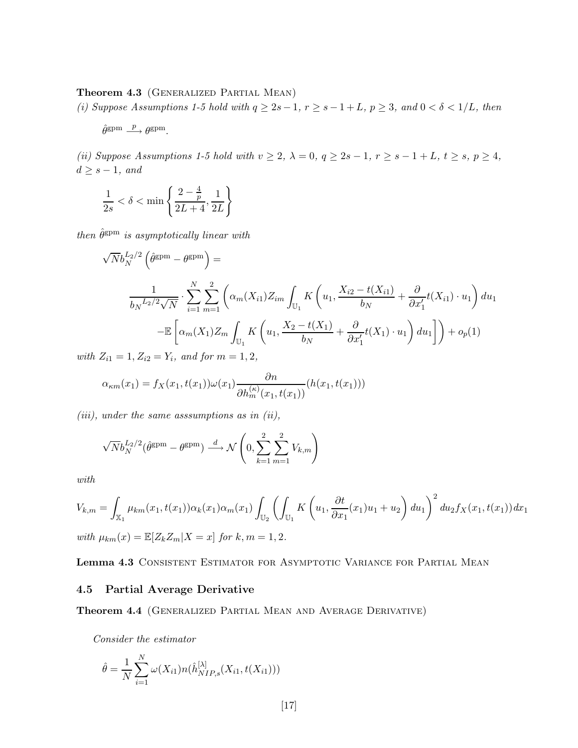#### Theorem 4.3 (GENERALIZED PARTIAL MEAN)

(i) Suppose Assumptions 1-5 hold with  $q \geq 2s - 1, r \geq s - 1 + L, p \geq 3$ , and  $0 < \delta < 1/L$ , then

 $\hat{\theta}^{\text{gpm}} \stackrel{p}{\longrightarrow} \theta^{\text{gpm}}.$ 

(ii) Suppose Assumptions 1-5 hold with  $v \ge 2$ ,  $\lambda = 0$ ,  $q \ge 2s - 1$ ,  $r \ge s - 1 + L$ ,  $t \ge s$ ,  $p \ge 4$ ,  $d \geq s - 1$ , and

$$
\frac{1}{2s} < \delta < \min\left\{\frac{2-\frac{4}{p}}{2L+4}, \frac{1}{2L}\right\}
$$

then  $\hat{\theta}^{\text{gpm}}$  is asymptotically linear with

$$
\sqrt{N}b_N^{L_2/2}\left(\hat{\theta}^{\text{gpm}} - \theta^{\text{gpm}}\right) =
$$
\n
$$
\frac{1}{b_N^{L_2/2}\sqrt{N}} \cdot \sum_{i=1}^N \sum_{m=1}^2 \left(\alpha_m(X_{i1})Z_{im} \int_{\mathbb{U}_1} K\left(u_1, \frac{X_{i2} - t(X_{i1})}{b_N} + \frac{\partial}{\partial x'_1} t(X_{i1}) \cdot u_1\right) du_1
$$
\n
$$
-\mathbb{E}\left[\alpha_m(X_1)Z_m \int_{\mathbb{U}_1} K\left(u_1, \frac{X_2 - t(X_1)}{b_N} + \frac{\partial}{\partial x'_1} t(X_1) \cdot u_1\right) du_1\right]\right) + o_p(1)
$$

with  $Z_{i1} = 1, Z_{i2} = Y_i$ , and for  $m = 1, 2$ ,

$$
\alpha_{\kappa m}(x_1) = f_X(x_1, t(x_1)) \omega(x_1) \frac{\partial n}{\partial h_m^{(\kappa)}(x_1, t(x_1))} (h(x_1, t(x_1)))
$$

 $(iii)$ , under the same asssumptions as in  $(ii)$ ,

$$
\sqrt{N}b_N^{L_2/2}(\hat{\theta}^{\text{spm}} - \theta^{\text{spm}}) \stackrel{d}{\longrightarrow} \mathcal{N}\left(0, \sum_{k=1}^2 \sum_{m=1}^2 V_{k,m}\right)
$$

with

$$
V_{k,m} = \int_{\mathbb{X}_1} \mu_{km}(x_1, t(x_1)) \alpha_k(x_1) \alpha_m(x_1) \int_{\mathbb{U}_2} \left( \int_{\mathbb{U}_1} K \left( u_1, \frac{\partial t}{\partial x_1}(x_1) u_1 + u_2 \right) du_1 \right)^2 du_2 f_X(x_1, t(x_1)) dx_1
$$
  
with  $\mu_{km}(x) = \mathbb{E}[Z_k Z_m | X = x]$  for  $k, m = 1, 2$ .

Lemma 4.3 CONSISTENT ESTIMATOR FOR ASYMPTOTIC VARIANCE FOR PARTIAL MEAN

#### 4.5 Partial Average Derivative

Theorem 4.4 (Generalized Partial Mean and Average Derivative)

Consider the estimator

$$
\hat{\theta} = \frac{1}{N} \sum_{i=1}^{N} \omega(X_{i1}) n(\hat{h}_{NIP,s}^{[\lambda]}(X_{i1}, t(X_{i1})))
$$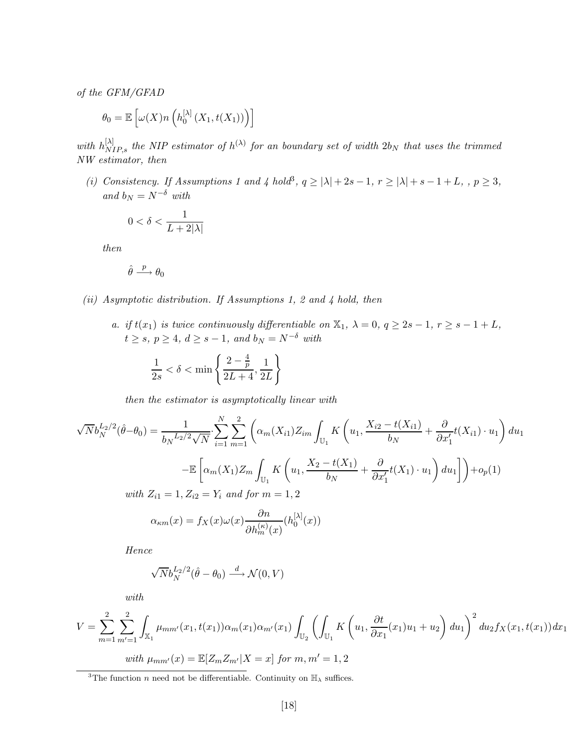of the GFM/GFAD

$$
\theta_0 = \mathbb{E}\left[\omega(X)n\left(h_0^{[\lambda]}(X_1, t(X_1))\right)\right]
$$

with  $h_{NIP,s}^{[\lambda]}$  the NIP estimator of  $h^{(\lambda)}$  for an boundary set of width  $2b_N$  that uses the trimmed NW estimator, then

(i) Consistency. If Assumptions 1 and 4 hold<sup>3</sup>,  $q \ge |\lambda| + 2s - 1$ ,  $r \ge |\lambda| + s - 1 + L$ ,  $p \ge 3$ , and  $b_N = N^{-\delta}$  with

$$
0 < \delta < \frac{1}{L + 2|\lambda|}
$$

then

$$
\hat{\theta} \stackrel{p}{\longrightarrow} \theta_0
$$

- (ii) Asymptotic distribution. If Assumptions 1, 2 and 4 hold, then
	- a. if  $t(x_1)$  is twice continuously differentiable on  $\mathbb{X}_1$ ,  $\lambda = 0$ ,  $q \geq 2s 1$ ,  $r \geq s 1 + L$ ,  $t \geq s, p \geq 4, d \geq s - 1, and b_N = N^{-\delta}$  with

$$
\frac{1}{2s} < \delta < \min\left\{\frac{2-\frac{4}{p}}{2L+4}, \frac{1}{2L}\right\}
$$

then the estimator is asymptotically linear with

$$
\sqrt{N}b_N^{L_2/2}(\hat{\theta}-\theta_0) = \frac{1}{b_N^{L_2/2}\sqrt{N}} \sum_{i=1}^N \sum_{m=1}^2 \left( \alpha_m(X_{i1})Z_{im} \int_{\mathbb{U}_1} K\left(u_1, \frac{X_{i2} - t(X_{i1})}{b_N} + \frac{\partial}{\partial x'_1} t(X_{i1}) \cdot u_1 \right) du_1 \right)
$$
  

$$
-\mathbb{E}\left[ \alpha_m(X_1)Z_m \int_{\mathbb{U}_1} K\left(u_1, \frac{X_2 - t(X_1)}{b_N} + \frac{\partial}{\partial x'_1} t(X_1) \cdot u_1 \right) du_1 \right] + o_p(1)
$$
  
with  $Z_{i1} = 1, Z_{i2} = Y_i$  and for  $m = 1, 2$   

$$
\alpha_{\kappa m}(x) = f_X(x)\omega(x) \frac{\partial n}{\partial t(\kappa)} (h_0^{[\lambda]}(x))
$$

 $\partial h^{(\kappa)}_m(x)$ 

Hence

$$
\sqrt{N} b_N^{L_2/2} (\hat{\theta} - \theta_0) \stackrel{d}{\longrightarrow} \mathcal{N}(0, V)
$$

with

$$
V = \sum_{m=1}^{2} \sum_{m'=1}^{2} \int_{\mathbb{X}_{1}} \mu_{mm'}(x_{1}, t(x_{1})) \alpha_{m}(x_{1}) \alpha_{m'}(x_{1}) \int_{\mathbb{U}_{2}} \left( \int_{\mathbb{U}_{1}} K\left(u_{1}, \frac{\partial t}{\partial x_{1}}(x_{1})u_{1} + u_{2}\right) du_{1} \right)^{2} du_{2} f_{X}(x_{1}, t(x_{1})) dx_{1}
$$
  
with  $\mu_{mm'}(x) = \mathbb{E}[Z_{m}Z_{m'}|X = x]$  for  $m, m' = 1, 2$ 

<sup>&</sup>lt;sup>3</sup>The function *n* need not be differentiable. Continuity on  $\mathbb{H}_{\lambda}$  suffices.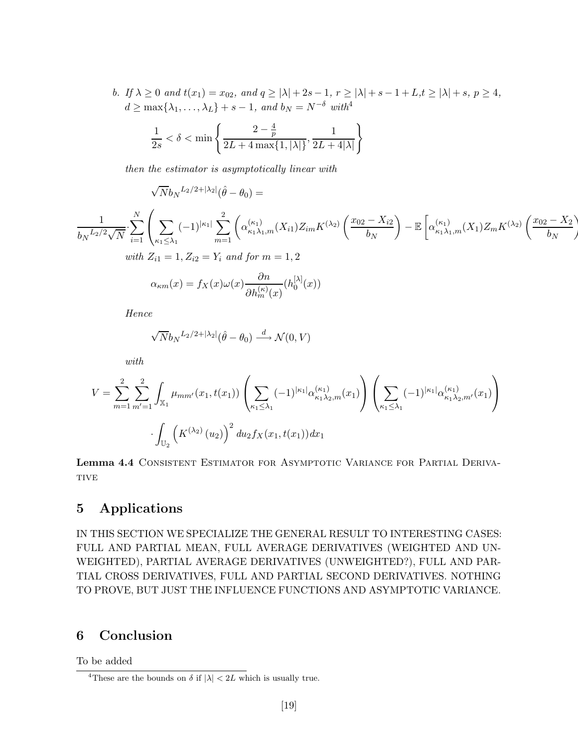b. If  $\lambda \geq 0$  and  $t(x_1) = x_{02}$ , and  $q \geq |\lambda| + 2s - 1$ ,  $r \geq |\lambda| + s - 1 + L$ ,  $t \geq |\lambda| + s$ ,  $p \geq 4$ ,  $d \geq \max\{\lambda_1,\ldots,\lambda_L\}+s-1$ , and  $b_N = N^{-\delta}$  with<sup>4</sup>

$$
\frac{1}{2s} < \delta < \min\left\{ \frac{2 - \frac{4}{p}}{2L + 4\max\{1, |\lambda|\}}, \frac{1}{2L + 4|\lambda|} \right\}
$$

 $\partial h^{(\kappa)}_m(x)$ 

then the estimator is asymptotically linear with

 $\sqrt{N}b_N^{L_2/2+|\lambda_2|}(\hat{\theta}-\theta_0)=$ 

$$
\frac{1}{b_N L_2/2\sqrt{N}} \cdot \sum_{i=1}^N \left( \sum_{\kappa_1 \le \lambda_1} (-1)^{|\kappa_1|} \sum_{m=1}^2 \left( \alpha_{\kappa_1 \lambda_1, m}^{(\kappa_1)}(X_{i1}) Z_{im} K^{(\lambda_2)} \left( \frac{x_{02} - X_{i2}}{b_N} \right) - \mathbb{E} \left[ \alpha_{\kappa_1 \lambda_1, m}^{(\kappa_1)}(X_1) Z_m K^{(\lambda_2)} \left( \frac{x_{02} - X_2}{b_N} \right) \right] \right)
$$
  
\nwith  $Z_{i1} = 1, Z_{i2} = Y_i$  and for  $m = 1, 2$   
\n
$$
\alpha_{\kappa m}(x) = f_X(x) \omega(x) \frac{\partial n}{\partial x(\kappa)} (h_0^{[\lambda]}(x))
$$

Hence

$$
\sqrt{N}b_N{}^{L_2/2+|\lambda_2|}(\hat{\theta}-\theta_0) \stackrel{d}{\longrightarrow} \mathcal{N}(0,V)
$$

with

$$
V = \sum_{m=1}^{2} \sum_{m'=1}^{2} \int_{\mathbb{X}_{1}} \mu_{mm'}(x_{1}, t(x_{1})) \left( \sum_{\kappa_{1} \leq \lambda_{1}} (-1)^{|\kappa_{1}|} \alpha_{\kappa_{1} \lambda_{2}, m}^{(\kappa_{1})}(x_{1}) \right) \left( \sum_{\kappa_{1} \leq \lambda_{1}} (-1)^{|\kappa_{1}|} \alpha_{\kappa_{1} \lambda_{2}, m'}^{(\kappa_{1})}(x_{1}) \right) \cdot \int_{\mathbb{U}_{2}} \left( K^{(\lambda_{2})}(u_{2}) \right)^{2} du_{2} f_{X}(x_{1}, t(x_{1})) dx_{1}
$$

Lemma 4.4 CONSISTENT ESTIMATOR FOR ASYMPTOTIC VARIANCE FOR PARTIAL DERIVA-**TIVE** 

## 5 Applications

IN THIS SECTION WE SPECIALIZE THE GENERAL RESULT TO INTERESTING CASES: FULL AND PARTIAL MEAN, FULL AVERAGE DERIVATIVES (WEIGHTED AND UN-WEIGHTED), PARTIAL AVERAGE DERIVATIVES (UNWEIGHTED?), FULL AND PAR-TIAL CROSS DERIVATIVES, FULL AND PARTIAL SECOND DERIVATIVES. NOTHING TO PROVE, BUT JUST THE INFLUENCE FUNCTIONS AND ASYMPTOTIC VARIANCE.

## 6 Conclusion

To be added

<sup>&</sup>lt;sup>4</sup>These are the bounds on  $\delta$  if  $|\lambda| < 2L$  which is usually true.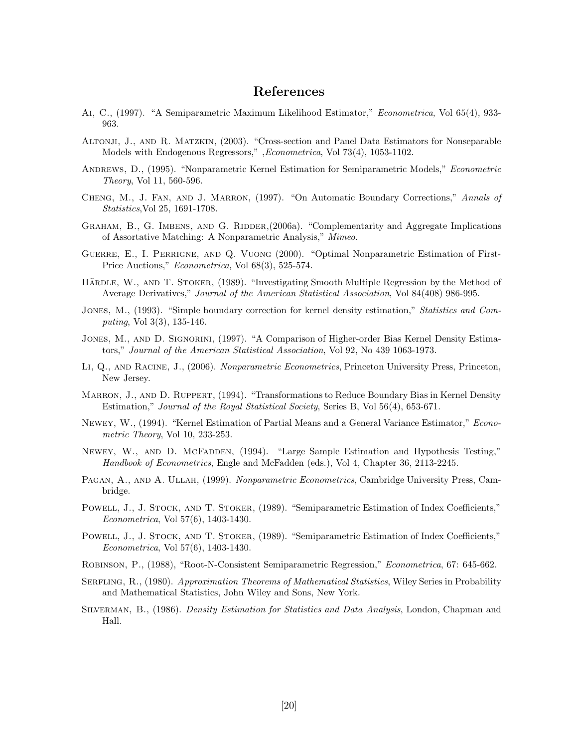## References

- Ai, C., (1997). "A Semiparametric Maximum Likelihood Estimator," Econometrica, Vol 65(4), 933- 963.
- Altonji, J., and R. Matzkin, (2003). "Cross-section and Panel Data Estimators for Nonseparable Models with Endogenous Regressors," ,Econometrica, Vol 73(4), 1053-1102.
- ANDREWS, D., (1995). "Nonparametric Kernel Estimation for Semiparametric Models," *Econometric* Theory, Vol 11, 560-596.
- CHENG, M., J. FAN, AND J. MARRON, (1997). "On Automatic Boundary Corrections," Annals of Statistics,Vol 25, 1691-1708.
- GRAHAM, B., G. IMBENS, AND G. RIDDER, (2006a). "Complementarity and Aggregate Implications of Assortative Matching: A Nonparametric Analysis," Mimeo.
- Guerre, E., I. Perrigne, and Q. Vuong (2000). "Optimal Nonparametric Estimation of First-Price Auctions," Econometrica, Vol 68(3), 525-574.
- HÄRDLE, W., AND T. STOKER, (1989). "Investigating Smooth Multiple Regression by the Method of Average Derivatives," Journal of the American Statistical Association, Vol 84(408) 986-995.
- JONES, M., (1993). "Simple boundary correction for kernel density estimation," Statistics and Computing, Vol 3(3), 135-146.
- JONES, M., AND D. SIGNORINI, (1997). "A Comparison of Higher-order Bias Kernel Density Estimators," Journal of the American Statistical Association, Vol 92, No 439 1063-1973.
- LI, Q., AND RACINE, J., (2006). Nonparametric Econometrics, Princeton University Press, Princeton, New Jersey.
- MARRON, J., AND D. RUPPERT, (1994). "Transformations to Reduce Boundary Bias in Kernel Density Estimation," Journal of the Royal Statistical Society, Series B, Vol 56(4), 653-671.
- Newey, W., (1994). "Kernel Estimation of Partial Means and a General Variance Estimator," Econometric Theory, Vol 10, 233-253.
- NEWEY, W., AND D. MCFADDEN, (1994). "Large Sample Estimation and Hypothesis Testing," Handbook of Econometrics, Engle and McFadden (eds.), Vol 4, Chapter 36, 2113-2245.
- PAGAN, A., AND A. ULLAH, (1999). Nonparametric Econometrics, Cambridge University Press, Cambridge.
- POWELL, J., J. STOCK, AND T. STOKER, (1989). "Semiparametric Estimation of Index Coefficients," Econometrica, Vol 57(6), 1403-1430.
- POWELL, J., J. STOCK, AND T. STOKER, (1989). "Semiparametric Estimation of Index Coefficients." Econometrica, Vol 57(6), 1403-1430.
- Robinson, P., (1988), "Root-N-Consistent Semiparametric Regression," Econometrica, 67: 645-662.
- SERFLING, R., (1980). Approximation Theorems of Mathematical Statistics, Wiley Series in Probability and Mathematical Statistics, John Wiley and Sons, New York.
- Silverman, B., (1986). Density Estimation for Statistics and Data Analysis, London, Chapman and Hall.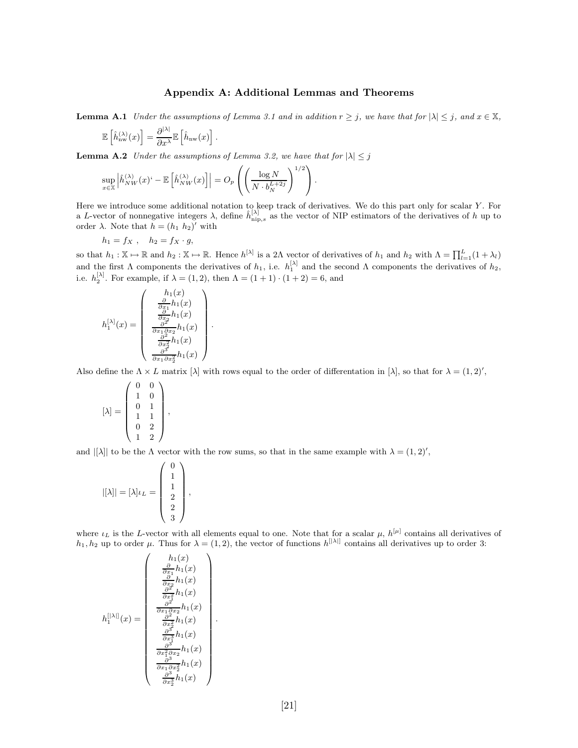#### Appendix A: Additional Lemmas and Theorems

**Lemma A.1** Under the assumptions of Lemma 3.1 and in addition  $r \geq j$ , we have that for  $|\lambda| \leq j$ , and  $x \in \mathbb{X}$ ,

$$
\mathbb{E}\left[\hat{h}_{\rm nw}^{(\lambda)}(x)\right] = \frac{\partial^{|\lambda|}}{\partial x^{\lambda}}\mathbb{E}\left[\hat{h}_{\rm nw}(x)\right].
$$

**Lemma A.2** Under the assumptions of Lemma 3.2, we have that for  $|\lambda| \leq j$ 

$$
\sup_{x \in \mathbb{X}} \left| \hat{h}_{NW}^{(\lambda)}(x)^{\mathfrak{c}} - \mathbb{E}\left[\hat{h}_{NW}^{(\lambda)}(x)\right] \right| = O_p\left(\left(\frac{\log N}{N \cdot b_N^{L+2j}}\right)^{1/2}\right).
$$

.

Here we introduce some additional notation to keep track of derivatives. We do this part only for scalar Y. For a L-vector of nonnegative integers  $\lambda$ , define  $\hat{h}_{\text{nip},s}^{[\lambda]}$  as the vector of NIP estimators of the derivatives of h up to order  $\lambda$ . Note that  $h = (h_1 \; h_2)'$  with

$$
h_1 = fx , \quad h_2 = fx \cdot g,
$$

so that  $h_1 : \mathbb{X} \mapsto \mathbb{R}$  and  $h_2 : \mathbb{X} \mapsto \mathbb{R}$ . Hence  $h^{[\lambda]}$  is a 2 $\Lambda$  vector of derivatives of  $h_1$  and  $h_2$  with  $\Lambda = \prod_{l=1}^{L} (1 + \lambda_l)$ and the first  $\Lambda$  components the derivatives of  $h_1$ , i.e.  $h_1^{[\lambda]}$  and the second  $\Lambda$  components the derivatives of  $h_2$ , i.e.  $h_2^{[\lambda]}$ . For example, if  $\lambda = (1, 2)$ , then  $\Lambda = (1 + 1) \cdot (1 + 2) = 6$ , and

$$
h_1^{[\lambda]}(x)=\begin{pmatrix}h_1(x)\\\frac{\partial}{\partial x_1}h_1(x)\\\frac{\partial}{\partial x_2}h_1(x)\\\frac{\partial^2}{\partial x_1\partial x_2}h_1(x)\\\frac{\partial^2}{\partial x_2^2}h_1(x)\\\frac{\partial^3}{\partial x_1\partial x_2^2}h_1(x)\end{pmatrix}
$$

Also define the  $\Lambda \times L$  matrix  $[\lambda]$  with rows equal to the order of differentation in  $[\lambda]$ , so that for  $\lambda = (1, 2)'$ ,

$$
[\lambda] = \begin{pmatrix} 0 & 0 \\ 1 & 0 \\ 0 & 1 \\ 1 & 1 \\ 0 & 2 \\ 1 & 2 \end{pmatrix},
$$

and  $|[\lambda]|$  to be the  $\Lambda$  vector with the row sums, so that in the same example with  $\lambda = (1, 2)'$ ,

$$
|[\lambda]| = [\lambda] \iota_L = \begin{pmatrix} 0 \\ 1 \\ 1 \\ 2 \\ 2 \\ 3 \end{pmatrix},
$$

where  $\iota_L$  is the L-vector with all elements equal to one. Note that for a scalar  $\mu$ ,  $h^{[\mu]}$  contains all derivatives of  $h_1, h_2$  up to order  $\mu$ . Thus for  $\lambda = (1, 2)$ , the vector of functions  $h^{[|\lambda|]}$  contains all derivatives up to order 3:

$$
h_1^{[|\lambda|]}(x) = \begin{pmatrix} h_1(x) \\ \frac{\partial}{\partial x_1}h_1(x) \\ \frac{\partial}{\partial x_2}h_1(x) \\ \frac{\partial^2}{\partial x_1\partial x_2}h_1(x) \\ \frac{\partial^2}{\partial x_1\partial x_2}h_1(x) \\ \frac{\partial^2}{\partial x_2^2}h_1(x) \\ \frac{\partial^3}{\partial x_1^3}h_1(x) \\ \frac{\partial^3}{\partial x_1\partial x_2}h_1(x) \\ \frac{\partial^3}{\partial x_1\partial x_2^2}h_1(x) \\ \frac{\partial^3}{\partial x_2^3}h_1(x) \end{pmatrix}
$$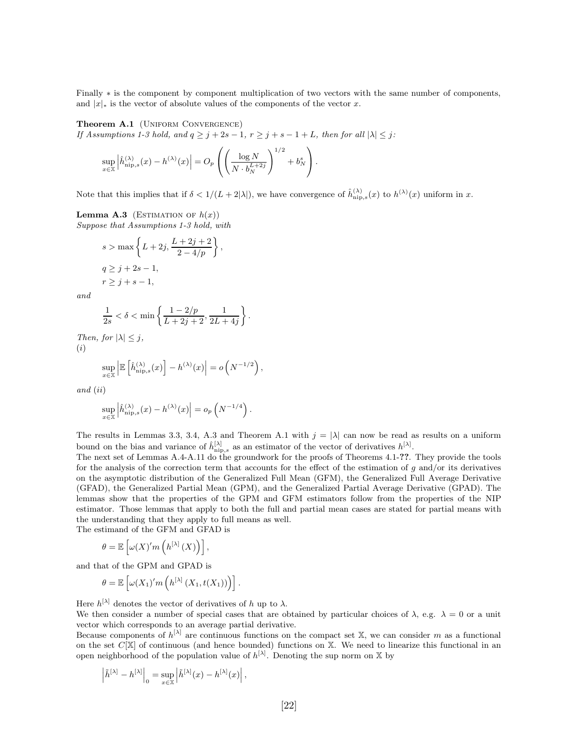Finally ∗ is the component by component multiplication of two vectors with the same number of components, and  $|x|_*$  is the vector of absolute values of the components of the vector x.

Theorem A.1 (UNIFORM CONVERGENCE) If Assumptions 1-3 hold, and  $q \geq j + 2s - 1$ ,  $r \geq j + s - 1 + L$ , then for all  $|\lambda| \leq j$ :

$$
\sup_{x \in \mathbb{X}} \left| \hat{h}_{\mathrm{nip},s}^{(\lambda)}(x) - h^{(\lambda)}(x) \right| = O_p\left( \left( \frac{\log N}{N \cdot b_N^{L+2j}} \right)^{1/2} + b_N^s \right).
$$

Note that this implies that if  $\delta < 1/(L + 2|\lambda|)$ , we have convergence of  $\hat{h}_{\text{nip},s}^{(\lambda)}(x)$  to  $h^{(\lambda)}(x)$  uniform in x.

**Lemma A.3** (ESTIMATION OF  $h(x)$ ) Suppose that Assumptions 1-3 hold, with

$$
s > \max\left\{L+2j, \frac{L+2j+2}{2-4/p}\right\},\
$$
  

$$
q \ge j+2s-1,
$$
  

$$
r \ge j+s-1,
$$

and

$$
\frac{1}{2s}<\delta<\min\left\{\frac{1-2/p}{L+2j+2},\frac{1}{2L+4j}\right\}.
$$

Then, for  $|\lambda| \leq j$ , (i)

$$
\sup_{x \in \mathbb{X}} \left| \mathbb{E} \left[ \hat{h}_{\text{nip},s}^{(\lambda)}(x) \right] - h^{(\lambda)}(x) \right| = o\left( N^{-1/2} \right),\,
$$

and (ii)

$$
\sup_{x\in\mathbb{X}}\left|\hat{h}^{(\lambda)}_{\text{nip},s}(x)-h^{(\lambda)}(x)\right|=o_p\left(N^{-1/4}\right).
$$

The results in Lemmas 3.3, 3.4, A.3 and Theorem A.1 with  $j = |\lambda|$  can now be read as results on a uniform bound on the bias and variance of  $\hat{h}_{\text{nip},s}^{[\lambda]}$  as an estimator of the vector of derivatives  $h^{[\lambda]}$ .

The next set of Lemmas A.4-A.11 do the groundwork for the proofs of Theorems 4.1-??. They provide the tools for the analysis of the correction term that accounts for the effect of the estimation of  $g$  and/or its derivatives on the asymptotic distribution of the Generalized Full Mean (GFM), the Generalized Full Average Derivative (GFAD), the Generalized Partial Mean (GPM), and the Generalized Partial Average Derivative (GPAD). The lemmas show that the properties of the GPM and GFM estimators follow from the properties of the NIP estimator. Those lemmas that apply to both the full and partial mean cases are stated for partial means with the understanding that they apply to full means as well.

The estimand of the GFM and GFAD is

$$
\theta = \mathbb{E}\left[\omega(X)'m\left(h^{[\lambda]}(X)\right)\right],
$$

and that of the GPM and GPAD is

$$
\theta = \mathbb{E}\left[\omega(X_1)'m\left(h^{[\lambda]}(X_1,t(X_1))\right)\right].
$$

Here  $h^{[\lambda]}$  denotes the vector of derivatives of h up to  $\lambda$ .

We then consider a number of special cases that are obtained by particular choices of  $\lambda$ , e.g.  $\lambda = 0$  or a unit vector which corresponds to an average partial derivative.

Because components of  $h^{[\lambda]}$  are continuous functions on the compact set X, we can consider m as a functional on the set  $C[X]$  of continuous (and hence bounded) functions on X. We need to linearize this functional in an open neighborhood of the population value of  $h^{[\lambda]}$ . Denoting the sup norm on X by

$$
\left|\tilde{h}^{[\lambda]}-h^{[\lambda]}\right|_0=\sup_{x\in\mathbb{X}}\left|\tilde{h}^{[\lambda]}(x)-h^{[\lambda]}(x)\right|,
$$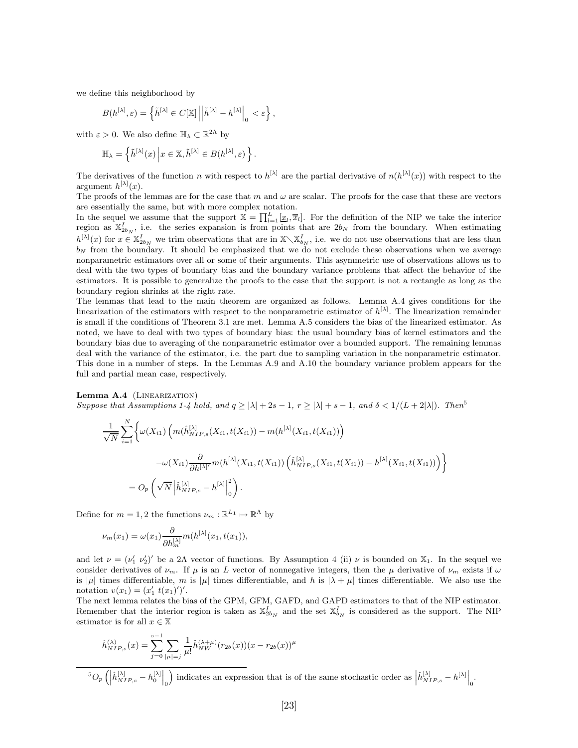we define this neighborhood by

$$
B(h^{[\lambda]},\varepsilon)=\left\{\tilde{h}^{[\lambda]}\in C[\mathbb{X}]\left|\left|\tilde{h}^{[\lambda]}-h^{[\lambda]}\right|_0<\varepsilon\right.\right\},
$$

with  $\varepsilon > 0$ . We also define  $\mathbb{H}_{\lambda} \subset \mathbb{R}^{2\Lambda}$  by

$$
\mathbb{H}_{\lambda} = \left\{ \tilde{h}^{[\lambda]}(x) \, \middle| \, x \in \mathbb{X}, \tilde{h}^{[\lambda]} \in B(h^{[\lambda]}, \varepsilon) \right\}.
$$

The derivatives of the function n with respect to  $h^{[\lambda]}$  are the partial derivative of  $n(h^{[\lambda]}(x))$  with respect to the argument  $h^{[\lambda]}(x)$ .

The proofs of the lemmas are for the case that m and  $\omega$  are scalar. The proofs for the case that these are vectors are essentially the same, but with more complex notation.

In the sequel we assume that the support  $\mathbb{X} = \prod_{l=1}^{L} [\underline{x}_l, \overline{x}_l]$ . For the definition of the NIP we take the interior region as  $\mathbb{X}_{2b_N}^I$ , i.e. the series expansion is from points that are  $2b_N$  from the boundary. When estimating  $h^{[\lambda]}(x)$  for  $x \in \mathbb{X}_{2b_N}^I$  we trim observations that are in  $\mathbb{X}\setminus \mathbb{X}_{b_N}^I$ , i.e. we do not use observations that are less than  $b_N$  from the boundary. It should be emphasized that we do not exclude these observations when we average nonparametric estimators over all or some of their arguments. This asymmetric use of observations allows us to deal with the two types of boundary bias and the boundary variance problems that affect the behavior of the estimators. It is possible to generalize the proofs to the case that the support is not a rectangle as long as the boundary region shrinks at the right rate.

The lemmas that lead to the main theorem are organized as follows. Lemma A.4 gives conditions for the linearization of the estimators with respect to the nonparametric estimator of  $h^{[\lambda]}$ . The linearization remainder is small if the conditions of Theorem 3.1 are met. Lemma A.5 considers the bias of the linearized estimator. As noted, we have to deal with two types of boundary bias: the usual boundary bias of kernel estimators and the boundary bias due to averaging of the nonparametric estimator over a bounded support. The remaining lemmas deal with the variance of the estimator, i.e. the part due to sampling variation in the nonparametric estimator. This done in a number of steps. In the Lemmas A.9 and A.10 the boundary variance problem appears for the full and partial mean case, respectively.

Lemma A.4 (LINEARIZATION)

Suppose that Assumptions 1-4 hold, and  $q \ge |\lambda| + 2s - 1$ ,  $r \ge |\lambda| + s - 1$ , and  $\delta < 1/(L + 2|\lambda|)$ . Then<sup>5</sup>

$$
\frac{1}{\sqrt{N}} \sum_{i=1}^{N} \left\{ \omega(X_{i1}) \left( m(\hat{h}_{NIP,s}^{[\lambda]}(X_{i1}, t(X_{i1})) - m(h^{[\lambda]}(X_{i1}, t(X_{i1})) \right) - \omega(X_{i1}) \frac{\partial}{\partial h^{[\lambda]'}} m(h^{[\lambda]}(X_{i1}, t(X_{i1})) \left( \hat{h}_{NIP,s}^{[\lambda]}(X_{i1}, t(X_{i1})) - h^{[\lambda]}(X_{i1}, t(X_{i1})) \right) \right\}
$$
  
= 
$$
O_p\left(\sqrt{N} \left| \hat{h}_{NIP,s}^{[\lambda]} - h^{[\lambda]} \right|_0^2 \right).
$$

Define for  $m = 1, 2$  the functions  $\nu_m : \mathbb{R}^{L_1} \mapsto \mathbb{R}^{\Lambda}$  by

$$
\nu_m(x_1) = \omega(x_1) \frac{\partial}{\partial h_m^{[\lambda]}} m(h^{[\lambda]}(x_1, t(x_1)),
$$

and let  $\nu = (\nu'_1 \nu'_2)'$  be a 2A vector of functions. By Assumption 4 (ii)  $\nu$  is bounded on  $\mathbb{X}_1$ . In the sequel we consider derivatives of  $\nu_m$ . If  $\mu$  is an L vector of nonnegative integers, then the  $\mu$  derivative of  $\nu_m$  exists if  $\omega$ is |µ| times differentiable, m is |µ| times differentiable, and h is  $|\lambda + \mu|$  times differentiable. We also use the notation  $v(x_1) = (x'_1 \ t(x_1)')'.$ 

The next lemma relates the bias of the GPM, GFM, GAFD, and GAPD estimators to that of the NIP estimator. Remember that the interior region is taken as  $\mathbb{X}_{2b_N}^I$  and the set  $\mathbb{X}_{b_N}^I$  is considered as the support. The NIP estimator is for all  $x \in \mathbb{X}$ 

$$
\hat{h}_{NIP,s}^{(\lambda)}(x) = \sum_{j=0}^{s-1} \sum_{|\mu|=j} \frac{1}{\mu!} \hat{h}_{NW}^{(\lambda+\mu)}(r_{2b}(x))(x - r_{2b}(x))^{\mu}
$$

 $^{5}O_{p}\left(\left|\hat{h}_{NIP,s}^{[\lambda]}-h_{0}^{[\lambda]}\right|_{0}\right)$ ) indicates an expression that is of the same stochastic order as  $\left| \hat{h}_{NIP,s}^{[\lambda]} - h^{[\lambda]} \right|_0$ .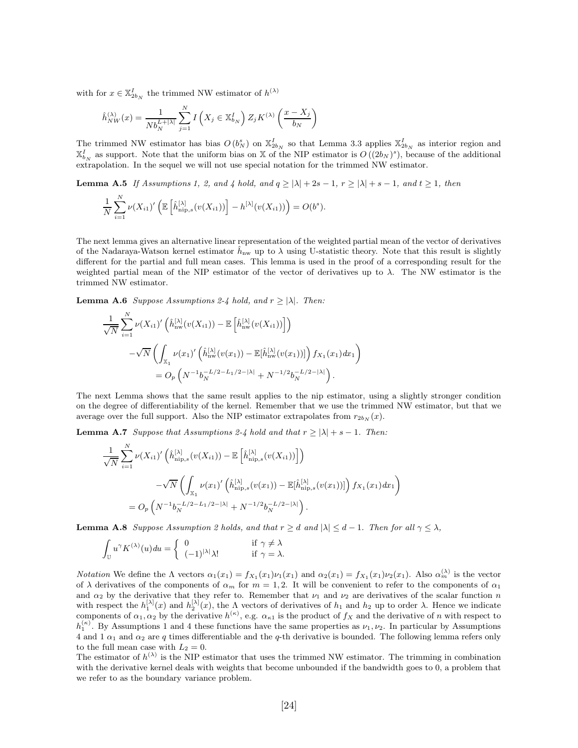with for  $x \in \mathbb{X}_{2b_N}^I$  the trimmed NW estimator of  $h^{(\lambda)}$ 

$$
\hat{h}_{NW}^{(\lambda)}(x) = \frac{1}{Nb_N^{L+|\lambda|}} \sum_{j=1}^{N} I\left(X_j \in \mathbb{X}_{b_N}^I\right) Z_j K^{(\lambda)}\left(\frac{x - X_j}{b_N}\right)
$$

The trimmed NW estimator has bias  $O(b_N^s)$  on  $\mathbb{X}_{2b_N}^I$  so that Lemma 3.3 applies  $\mathbb{X}_{2b_N}^I$  as interior region and  $\mathbb{X}_{b_N}^I$  as support. Note that the uniform bias on X of the NIP estimator is  $O((2b_N)^s)$ , because of the additional extrapolation. In the sequel we will not use special notation for the trimmed NW estimator.

**Lemma A.5** If Assumptions 1, 2, and 4 hold, and  $q \ge |\lambda| + 2s - 1$ ,  $r \ge |\lambda| + s - 1$ , and  $t \ge 1$ , then

$$
\frac{1}{N}\sum_{i=1}^N\nu(X_{i1})'\left(\mathbb{E}\left[\hat{h}_{\text{nip},s}^{[\lambda]}(v(X_{i1}))\right] - h^{[\lambda]}(v(X_{i1}))\right) = O(b^s).
$$

The next lemma gives an alternative linear representation of the weighted partial mean of the vector of derivatives of the Nadaraya-Watson kernel estimator  $\hat{h}_{nw}$  up to  $\lambda$  using U-statistic theory. Note that this result is slightly different for the partial and full mean cases. This lemma is used in the proof of a corresponding result for the weighted partial mean of the NIP estimator of the vector of derivatives up to  $\lambda$ . The NW estimator is the trimmed NW estimator.

**Lemma A.6** Suppose Assumptions 2-4 hold, and  $r \ge |\lambda|$ . Then:

$$
\frac{1}{\sqrt{N}} \sum_{i=1}^{N} \nu(X_{i1})' \left( \hat{h}_{\text{nw}}^{[\lambda]}(v(X_{i1})) - \mathbb{E}\left[ \hat{h}_{\text{nw}}^{[\lambda]}(v(X_{i1})) \right] \right) \n- \sqrt{N} \left( \int_{\mathbb{X}_{1}} \nu(x_{1})' \left( \hat{h}_{\text{nw}}^{[\lambda]}(v(x_{1})) - \mathbb{E}[\hat{h}_{\text{nw}}^{[\lambda]}(v(x_{1}))] \right) f_{X_{1}}(x_{1}) dx_{1} \right) \n= O_{p} \left( N^{-1} b_{N}^{-L/2 - L_{1}/2 - |\lambda|} + N^{-1/2} b_{N}^{-L/2 - |\lambda|} \right).
$$

The next Lemma shows that the same result applies to the nip estimator, using a slightly stronger condition on the degree of differentiability of the kernel. Remember that we use the trimmed NW estimator, but that we average over the full support. Also the NIP estimator extrapolates from  $r_{2b_N}(x)$ .

**Lemma A.7** Suppose that Assumptions 2-4 hold and that  $r \ge |\lambda| + s - 1$ . Then:

$$
\frac{1}{\sqrt{N}} \sum_{i=1}^{N} \nu(X_{i1})' \left( \hat{h}_{\text{nip},s}^{[\lambda]}(v(X_{i1})) - \mathbb{E}\left[\hat{h}_{\text{nip},s}^{[\lambda]}(v(X_{i1}))\right] \right)
$$

$$
-\sqrt{N} \left( \int_{\mathbb{X}_{1}} \nu(x_{1})' \left( \hat{h}_{\text{nip},s}^{[\lambda]}(v(x_{1})) - \mathbb{E}[\hat{h}_{\text{nip},s}^{[\lambda]}(v(x_{1}))] \right) f_{X_{1}}(x_{1}) dx_{1} \right)
$$

$$
= O_{p} \left( N^{-1} b_{N}^{-L/2 - L_{1}/2 - |\lambda|} + N^{-1/2} b_{N}^{-L/2 - |\lambda|} \right).
$$

**Lemma A.8** Suppose Assumption 2 holds, and that  $r \geq d$  and  $|\lambda| \leq d-1$ . Then for all  $\gamma \leq \lambda$ ,

$$
\int_{\mathbb{U}} u^{\gamma} K^{(\lambda)}(u) du = \begin{cases} 0 & \text{if } \gamma \neq \lambda \\ (-1)^{|\lambda|} \lambda! & \text{if } \gamma = \lambda. \end{cases}
$$

*Notation* We define the  $\Lambda$  vectors  $\alpha_1(x_1) = f_{X_1}(x_1)\nu_1(x_1)$  and  $\alpha_2(x_1) = f_{X_1}(x_1)\nu_2(x_1)$ . Also  $\alpha_m^{(\lambda)}$  is the vector of  $\lambda$  derivatives of the components of  $\alpha_m$  for  $m = 1, 2$ . It will be convenient to refer to the components of  $\alpha_1$ and  $\alpha_2$  by the derivative that they refer to. Remember that  $\nu_1$  and  $\nu_2$  are derivatives of the scalar function n with respect the  $h_1^{[\lambda]}(x)$  and  $h_2^{[\lambda]}(x)$ , the  $\Lambda$  vectors of derivatives of  $h_1$  and  $h_2$  up to order  $\lambda$ . Hence we indicate components of  $\alpha_1, \alpha_2$  by the derivative  $h^{(\kappa)}$ , e.g.  $\alpha_{\kappa}$  is the product of  $f_X$  and the derivative of n with respect to  $h_1^{(\kappa)}$ . By Assumptions 1 and 4 these functions have the same properties as  $\nu_1, \nu_2$ . In particular by Assumptions 4 and 1  $\alpha_1$  and  $\alpha_2$  are q times differentiable and the q-th derivative is bounded. The following lemma refers only to the full mean case with  $L_2 = 0$ .

The estimator of  $h^{(\lambda)}$  is the NIP estimator that uses the trimmed NW estimator. The trimming in combination with the derivative kernel deals with weights that become unbounded if the bandwidth goes to 0, a problem that we refer to as the boundary variance problem.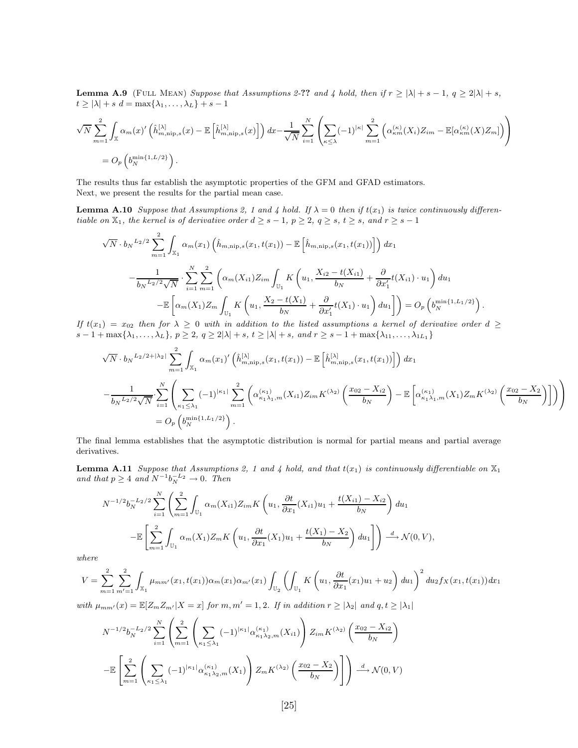**Lemma A.9** (FULL MEAN) Suppose that Assumptions 2-?? and 4 hold, then if  $r \ge |\lambda| + s - 1$ ,  $q \ge 2|\lambda| + s$ ,  $t \geq |\lambda| + s$   $d = \max\{\lambda_1, \ldots, \lambda_L\} + s - 1$ 

$$
\sqrt{N} \sum_{m=1}^{2} \int_{\mathbb{X}} \alpha_m(x)' \left( \hat{h}_{m,\text{nip},s}^{[\lambda]}(x) - \mathbb{E}\left[\hat{h}_{m,\text{nip},s}^{[\lambda]}(x)\right] \right) dx - \frac{1}{\sqrt{N}} \sum_{i=1}^{N} \left( \sum_{\kappa \leq \lambda} (-1)^{|\kappa|} \sum_{m=1}^{2} \left( \alpha_{\kappa m}^{(\kappa)}(X_i) Z_{im} - \mathbb{E}[\alpha_{\kappa m}^{(\kappa)}(X) Z_m] \right) \right)
$$
  
= 
$$
O_p\left(b_N^{\min\{1, L/2\}}\right).
$$

The results thus far establish the asymptotic properties of the GFM and GFAD estimators. Next, we present the results for the partial mean case.

**Lemma A.10** Suppose that Assumptions 2, 1 and 4 hold. If  $\lambda = 0$  then if  $t(x_1)$  is twice continuously differentiable on  $\mathbb{X}_1$ , the kernel is of derivative order  $d \geq s - 1$ ,  $p \geq 2$ ,  $q \geq s$ ,  $t \geq s$ , and  $r \geq s - 1$ 

$$
\sqrt{N} \cdot b_N^{L_2/2} \sum_{m=1}^2 \int_{\mathbb{X}_1} \alpha_m(x_1) \left( \hat{h}_{m,\text{nip},s}(x_1, t(x_1)) - \mathbb{E}\left[\hat{h}_{m,\text{nip},s}(x_1, t(x_1))\right] \right) dx_1
$$
  

$$
- \frac{1}{b_N^{L_2/2} \sqrt{N}} \cdot \sum_{i=1}^N \sum_{m=1}^2 \left( \alpha_m(X_{i1}) Z_{im} \int_{\mathbb{U}_1} K\left(u_1, \frac{X_{i2} - t(X_{i1})}{b_N} + \frac{\partial}{\partial x_1'} t(X_{i1}) \cdot u_1\right) du_1 - \mathbb{E}\left[ \alpha_m(X_1) Z_m \int_{\mathbb{U}_1} K\left(u_1, \frac{X_2 - t(X_1)}{b_N} + \frac{\partial}{\partial x_1'} t(X_1) \cdot u_1\right) du_1 \right] \right) = O_p\left(b_N^{\min\{1, L_1/2\}}\right).
$$

If  $t(x_1) = x_{02}$  then for  $\lambda \geq 0$  with in addition to the listed assumptions a kernel of derivative order  $d \geq$  $s-1+\max{\lambda_1,\ldots,\lambda_L}$ ,  $p\geq 2$ ,  $q\geq 2|\lambda|+s$ ,  $t\geq |\lambda|+s$ , and  $r\geq s-1+\max{\lambda_{11},\ldots,\lambda_{1L_1}}$ 

$$
\sqrt{N} \cdot b_N^{L_2/2 + |\lambda_2|} \sum_{m=1}^2 \int_{\mathbb{X}_1} \alpha_m(x_1)' \left( \hat{h}_{m, \text{nip}, s}^{[\lambda]}(x_1, t(x_1)) - \mathbb{E}\left[\hat{h}_{m, \text{nip}, s}^{[\lambda]}(x_1, t(x_1))\right] \right) dx_1
$$
  

$$
- \frac{1}{b_N^{L_2/2} \sqrt{N}} \cdot \sum_{i=1}^N \left( \sum_{\kappa_1 \leq \lambda_1} (-1)^{|\kappa_1|} \sum_{m=1}^2 \left( \alpha_{\kappa_1 \lambda_1, m}^{(\kappa_1)}(X_{i1}) Z_{im} K^{(\lambda_2)}\left( \frac{x_{02} - X_{i2}}{b_N} \right) - \mathbb{E}\left[\alpha_{\kappa_1 \lambda_1, m}^{(\kappa_1)}(X_1) Z_m K^{(\lambda_2)}\left( \frac{x_{02} - X_2}{b_N} \right) \right] \right) \right)
$$
  

$$
= O_p \left( b_N^{\min\{1, L_1/2\}} \right).
$$

The final lemma establishes that the asymptotic distribution is normal for partial means and partial average derivatives.

**Lemma A.11** Suppose that Assumptions 2, 1 and 4 hold, and that  $t(x_1)$  is continuously differentiable on  $\mathbb{X}_1$ and that  $p \geq 4$  and  $N^{-1}b_N^{-L_2} \to 0$ . Then

$$
N^{-1/2}b_N^{-L_2/2}\sum_{i=1}^N\left(\sum_{m=1}^2\int_{\mathbb{U}_1}\alpha_m(X_{i1})Z_{im}K\left(u_1,\frac{\partial t}{\partial x_1}(X_{i1})u_1+\frac{t(X_{i1})-X_{i2}}{b_N}\right)du_1\right)
$$

$$
-\mathbb{E}\left[\sum_{m=1}^2\int_{\mathbb{U}_1}\alpha_m(X_1)Z_mK\left(u_1,\frac{\partial t}{\partial x_1}(X_1)u_1+\frac{t(X_1)-X_2}{b_N}\right)du_1\right]\right)\stackrel{d}{\longrightarrow}\mathcal{N}(0,V),
$$

where

$$
V = \sum_{m=1}^{2} \sum_{m'=1}^{2} \int_{\mathbb{X}_{1}} \mu_{mm'}(x_{1}, t(x_{1})) \alpha_{m}(x_{1}) \alpha_{m'}(x_{1}) \int_{\mathbb{U}_{2}} \left( \int_{\mathbb{U}_{1}} K\left(u_{1}, \frac{\partial t}{\partial x_{1}}(x_{1}) u_{1} + u_{2}\right) du_{1} \right)^{2} du_{2} f_{X}(x_{1}, t(x_{1})) dx_{1}
$$

with  $\mu_{mm'}(x) = \mathbb{E}[Z_m Z_{m'} | X = x]$  for  $m, m' = 1, 2$ . If in addition  $r \geq |\lambda_2|$  and  $q, t \geq |\lambda_1|$ 

$$
N^{-1/2}b_N^{-L_2/2}\sum_{i=1}^N\left(\sum_{m=1}^2\left(\sum_{\kappa_1\le\lambda_1}(-1)^{|\kappa_1|}\alpha_{\kappa_1\lambda_2,m}^{(\kappa_1)}(X_{i1})\right)Z_{im}K^{(\lambda_2)}\left(\frac{x_{02}-X_{i2}}{b_N}\right)\right)
$$

$$
-\mathbb{E}\left[\sum_{m=1}^2\left(\sum_{\kappa_1\le\lambda_1}(-1)^{|\kappa_1|}\alpha_{\kappa_1\lambda_2,m}^{(\kappa_1)}(X_1)\right)Z_mK^{(\lambda_2)}\left(\frac{x_{02}-X_2}{b_N}\right)\right]\right) \stackrel{d}{\longrightarrow} \mathcal{N}(0,V)
$$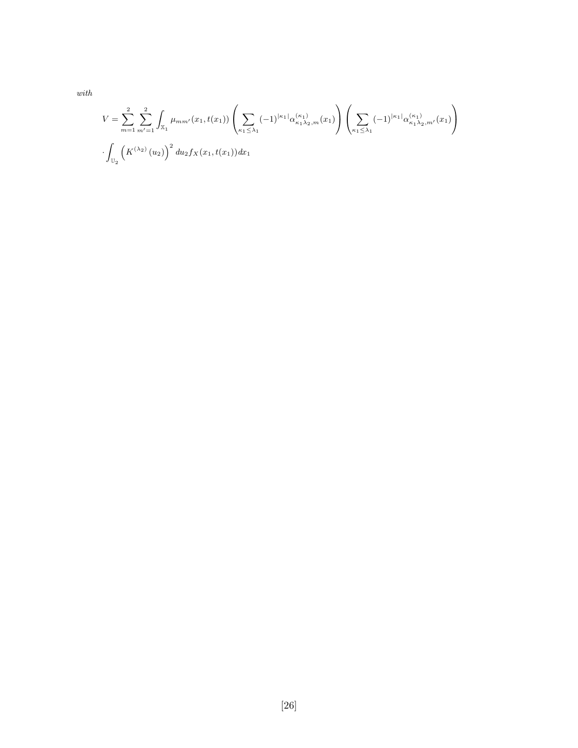with

$$
V = \sum_{m=1}^{2} \sum_{m'=1}^{2} \int_{\mathbb{X}_{1}} \mu_{mm'}(x_{1}, t(x_{1})) \left( \sum_{\kappa_{1} \leq \lambda_{1}} (-1)^{|\kappa_{1}|} \alpha_{\kappa_{1} \lambda_{2}, m}^{(\kappa_{1})}(x_{1}) \right) \left( \sum_{\kappa_{1} \leq \lambda_{1}} (-1)^{|\kappa_{1}|} \alpha_{\kappa_{1} \lambda_{2}, m'}^{(\kappa_{1})}(x_{1}) \right)
$$

$$
\cdot \int_{\mathbb{U}_{2}} \left( K^{(\lambda_{2})}(u_{2}) \right)^{2} du_{2} f_{X}(x_{1}, t(x_{1})) dx_{1}
$$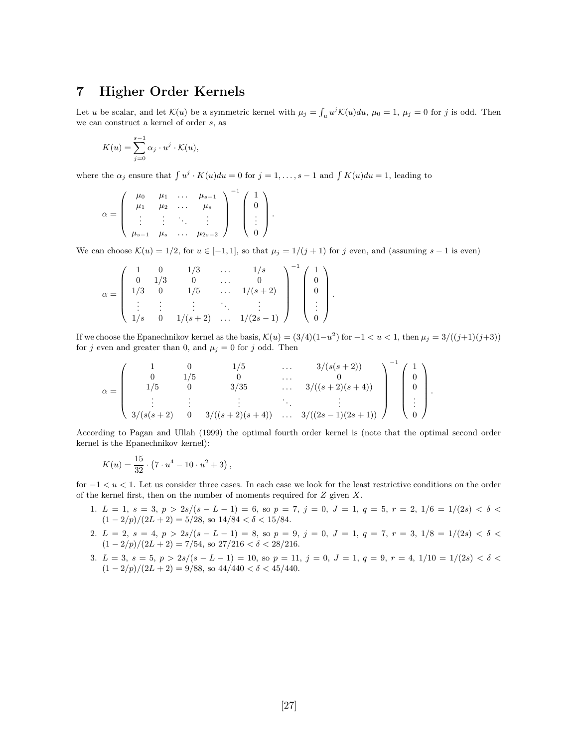## 7 Higher Order Kernels

Let u be scalar, and let  $\mathcal{K}(u)$  be a symmetric kernel with  $\mu_j = \int_u u^j \mathcal{K}(u) du$ ,  $\mu_0 = 1$ ,  $\mu_j = 0$  for j is odd. Then we can construct a kernel of order s, as

$$
K(u) = \sum_{j=0}^{s-1} \alpha_j \cdot u^j \cdot \mathcal{K}(u),
$$

where the  $\alpha_j$  ensure that  $\int u^j \cdot K(u) du = 0$  for  $j = 1, \ldots, s - 1$  and  $\int K(u) du = 1$ , leading to

$$
\alpha = \left(\begin{array}{cccc} \mu_0 & \mu_1 & \dots & \mu_{s-1} \\ \mu_1 & \mu_2 & \dots & \mu_s \\ \vdots & \vdots & \ddots & \vdots \\ \mu_{s-1} & \mu_s & \dots & \mu_{2s-2} \end{array}\right)^{-1} \left(\begin{array}{c} 1 \\ 0 \\ \vdots \\ 0 \end{array}\right).
$$

We can choose  $\mathcal{K}(u) = 1/2$ , for  $u \in [-1, 1]$ , so that  $\mu_j = 1/(j + 1)$  for j even, and (assuming s – 1 is even)

$$
\alpha = \left(\begin{array}{ccccc} 1 & 0 & 1/3 & \dots & 1/s \\ 0 & 1/3 & 0 & \dots & 0 \\ 1/3 & 0 & 1/5 & \dots & 1/(s+2) \\ \vdots & \vdots & \vdots & \ddots & \vdots \\ 1/s & 0 & 1/(s+2) & \dots & 1/(2s-1) \end{array}\right)^{-1} \left(\begin{array}{c} 1 \\ 0 \\ 0 \\ \vdots \\ 0 \end{array}\right).
$$

If we choose the Epanechnikov kernel as the basis,  $\mathcal{K}(u) = (3/4)(1-u^2)$  for  $-1 < u < 1$ , then  $\mu_j = 3/((j+1)(j+3))$ for j even and greater than 0, and  $\mu_j = 0$  for j odd. Then

$$
\alpha = \left(\begin{array}{ccccc} 1 & 0 & 1/5 & \cdots & 3/(s(s+2)) \\ 0 & 1/5 & 0 & \cdots & 0 \\ 1/5 & 0 & 3/35 & \cdots & 3/((s+2)(s+4)) \\ \vdots & \vdots & \vdots & \ddots & \vdots \\ 3/(s(s+2) & 0 & 3/((s+2)(s+4)) & \cdots & 3/((2s-1)(2s+1)) \end{array}\right)^{-1} \left(\begin{array}{c} 1 \\ 0 \\ 0 \\ \vdots \\ 0 \end{array}\right)
$$

According to Pagan and Ullah (1999) the optimal fourth order kernel is (note that the optimal second order kernel is the Epanechnikov kernel):

.

$$
K(u) = \frac{15}{32} \cdot (7 \cdot u^4 - 10 \cdot u^2 + 3),
$$

for  $-1 < u < 1$ . Let us consider three cases. In each case we look for the least restrictive conditions on the order of the kernel first, then on the number of moments required for  $Z$  given  $X$ .

- 1.  $L = 1$ ,  $s = 3$ ,  $p > 2s/(s L 1) = 6$ , so  $p = 7$ ,  $j = 0$ ,  $J = 1$ ,  $q = 5$ ,  $r = 2$ ,  $1/6 = 1/(2s) < \delta <$  $(1 - 2/p)/(2L + 2) = 5/28$ , so  $14/84 < \delta < 15/84$ .
- 2.  $L = 2, s = 4, p > 2s/(s L 1) = 8$ , so  $p = 9, j = 0, J = 1, q = 7, r = 3, 1/8 = 1/(2s) < \delta <$  $(1 - 2/p)/(2L + 2) = 7/54$ , so  $27/216 < \delta < 28/216$ .
- 3.  $L = 3$ ,  $s = 5$ ,  $p > 2s/(s L 1) = 10$ , so  $p = 11$ ,  $j = 0$ ,  $J = 1$ ,  $q = 9$ ,  $r = 4$ ,  $1/10 = 1/(2s) < \delta <$  $(1 - 2/p)/(2L + 2) = 9/88$ , so  $44/440 < \delta < 45/440$ .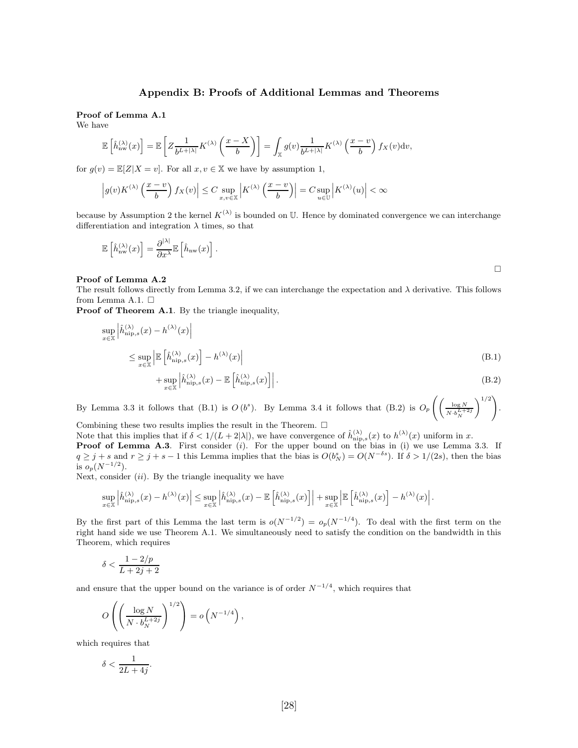#### Appendix B: Proofs of Additional Lemmas and Theorems

#### Proof of Lemma A.1

We have

$$
\mathbb{E}\left[\hat{h}_{\text{nw}}^{(\lambda)}(x)\right] = \mathbb{E}\left[Z\frac{1}{b^{L+|\lambda|}}K^{(\lambda)}\left(\frac{x-X}{b}\right)\right] = \int_{\mathbb{X}} g(v)\frac{1}{b^{L+|\lambda|}}K^{(\lambda)}\left(\frac{x-v}{b}\right)f_X(v)\mathrm{d}v,
$$

for  $g(v) = \mathbb{E}[Z|X = v]$ . For all  $x, v \in \mathbb{X}$  we have by assumption 1,

$$
\left|g(v)K^{(\lambda)}\left(\frac{x-v}{b}\right)f_X(v)\right|\leq C\sup_{x,v\in\mathbb{X}}\left|K^{(\lambda)}\left(\frac{x-v}{b}\right)\right|=C\sup_{u\in\mathbb{U}}\left|K^{(\lambda)}(u)\right|<\infty
$$

because by Assumption 2 the kernel  $K^{(\lambda)}$  is bounded on U. Hence by dominated convergence we can interchange differentiation and integration  $\lambda$  times, so that

$$
\mathbb{E}\left[\hat{h}_{\text{nw}}^{(\lambda)}(x)\right] = \frac{\partial^{|\lambda|}}{\partial x^{\lambda}} \mathbb{E}\left[\hat{h}_{\text{nw}}(x)\right].
$$

#### Proof of Lemma A.2

The result follows directly from Lemma 3.2, if we can interchange the expectation and  $\lambda$  derivative. This follows from Lemma A.1.  $\square$ 

Proof of Theorem A.1. By the triangle inequality,

$$
\sup_{x \in \mathbb{X}} \left| \hat{h}_{\text{nip},s}^{(\lambda)}(x) - h^{(\lambda)}(x) \right|
$$
\n
$$
\leq \sup_{x \in \mathbb{X}} \left| \mathbb{E} \left[ \hat{h}_{\text{nip},s}^{(\lambda)}(x) \right] - h^{(\lambda)}(x) \right|
$$
\n
$$
+ \sup_{x \in \mathbb{X}} \left| \hat{h}_{\text{nip},s}^{(\lambda)}(x) - \mathbb{E} \left[ \hat{h}_{\text{nip},s}^{(\lambda)}(x) \right] \right|.
$$
\n(B.1)

By Lemma 3.3 it follows that (B.1) is  $O(b^s)$ . By Lemma 3.4 it follows that (B.2) is  $O_p\left(\left(\frac{\log N}{N+1}\right)^{1-s}$  $N \cdot b_N^{L+2j}$  $\setminus$ <sup>1/2</sup>) .

Combining these two results implies the result in the Theorem.  $\Box$ 

Note that this implies that if  $\delta < 1/(L + 2|\lambda|)$ , we have convergence of  $\hat{h}_{\text{nip},s}^{(\lambda)}(x)$  to  $h^{(\lambda)}(x)$  uniform in x. **Proof of Lemma A.3.** First consider  $(i)$ . For the upper bound on the bias in  $(i)$  we use Lemma 3.3. If  $q \geq j + s$  and  $r \geq j + s - 1$  this Lemma implies that the bias is  $O(b_N^s) = O(N^{-\delta s})$ . If  $\delta > 1/(2s)$ , then the bias is  $o_p(N^{-1/2})$ .

Next, consider  $(ii)$ . By the triangle inequality we have

$$
\sup_{x\in\mathbb{X}}\left|\hat{h}^{(\lambda)}_{\text{nip},s}(x)-h^{(\lambda)}(x)\right|\leq \sup_{x\in\mathbb{X}}\left|\hat{h}^{(\lambda)}_{\text{nip},s}(x)-\mathbb{E}\left[\hat{h}^{(\lambda)}_{\text{nip},s}(x)\right]\right|+\sup_{x\in\mathbb{X}}\left|\mathbb{E}\left[\hat{h}^{(\lambda)}_{\text{nip},s}(x)\right]-h^{(\lambda)}(x)\right|.
$$

By the first part of this Lemma the last term is  $o(N^{-1/2}) = o_p(N^{-1/4})$ . To deal with the first term on the right hand side we use Theorem A.1. We simultaneously need to satisfy the condition on the bandwidth in this Theorem, which requires

$$
\delta < \frac{1-2/p}{L+2j+2}
$$

and ensure that the upper bound on the variance is of order  $N^{-1/4}$ , which requires that

$$
O\left(\left(\frac{\log N}{N \cdot b_N^{L+2j}}\right)^{1/2}\right) = o\left(N^{-1/4}\right),\,
$$

which requires that

$$
\delta < \frac{1}{2L + 4j}.
$$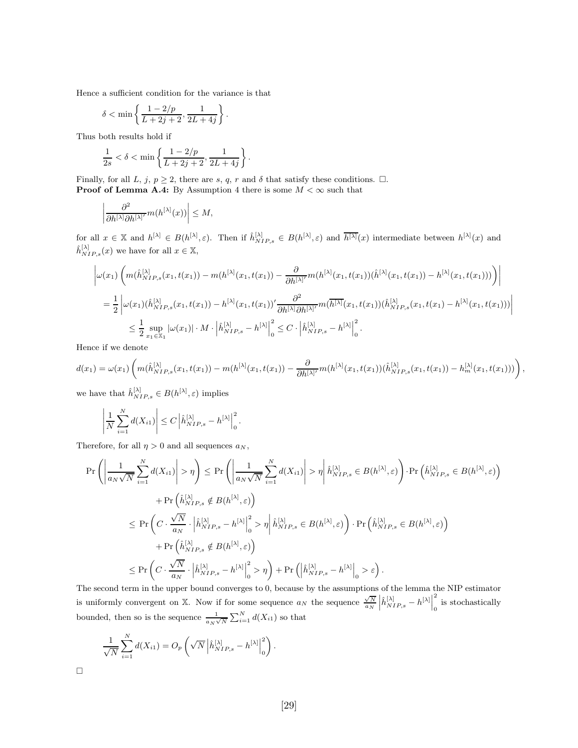Hence a sufficient condition for the variance is that

$$
\delta < \min \left\{ \frac{1 - 2/p}{L + 2j + 2}, \frac{1}{2L + 4j} \right\}.
$$

Thus both results hold if

$$
\frac{1}{2s} < \delta < \min\left\{ \frac{1 - 2/p}{L + 2j + 2}, \frac{1}{2L + 4j} \right\}.
$$

Finally, for all L, j,  $p \ge 2$ , there are s, q, r and  $\delta$  that satisfy these conditions.  $\Box$ . **Proof of Lemma A.4:** By Assumption 4 there is some  $M < \infty$  such that

$$
\left| \frac{\partial^2}{\partial h^{[\lambda]} \partial h^{[\lambda]'}} m(h^{[\lambda]}(x)) \right| \le M,
$$

for all  $x \in \mathbb{X}$  and  $h^{[\lambda]} \in B(h^{[\lambda]}, \varepsilon)$ . Then if  $\hat{h}^{[\lambda]}_{NIP,s} \in B(h^{[\lambda]}, \varepsilon)$  and  $\overline{h^{[\lambda]}}(x)$  intermediate between  $h^{[\lambda]}(x)$  and  $\hat{h}_{NIP,s}^{[\lambda]}(x)$  we have for all  $x \in \mathbb{X}$ ,

$$
\left| \omega(x_1) \left( m(\hat{h}_{NIP,s}^{[\lambda]}(x_1, t(x_1)) - m(h^{[\lambda]}(x_1, t(x_1)) - \frac{\partial}{\partial h^{[\lambda]'}} m(h^{[\lambda]}(x_1, t(x_1)) (\hat{h}^{[\lambda]}(x_1, t(x_1)) - h^{[\lambda]}(x_1, t(x_1))) \right) \right|
$$
  
\n
$$
= \frac{1}{2} \left| \omega(x_1) (\hat{h}_{NIP,s}^{[\lambda]}(x_1, t(x_1)) - h^{[\lambda]}(x_1, t(x_1))' \frac{\partial^2}{\partial h^{[\lambda]} \partial h^{[\lambda]'}} m(\overline{h^{[\lambda]}}(x_1, t(x_1)) (\hat{h}_{NIP,s}^{[\lambda]}(x_1, t(x_1) - h^{[\lambda]}(x_1, t(x_1))) \right|
$$
  
\n
$$
\leq \frac{1}{2} \sup_{x_1 \in \mathbb{X}_1} |\omega(x_1)| \cdot M \cdot \left| \hat{h}_{NIP,s}^{[\lambda]} - h^{[\lambda]} \right|_0^2 \leq C \cdot \left| \hat{h}_{NIP,s}^{[\lambda]} - h^{[\lambda]} \right|_0^2.
$$

Hence if we denote

$$
d(x_1) = \omega(x_1) \left( m(\hat{h}_{NIP,s}^{[\lambda]}(x_1,t(x_1)) - m(h^{[\lambda]}(x_1,t(x_1)) - \frac{\partial}{\partial h^{[\lambda]'}} m(h^{[\lambda]}(x_1,t(x_1))(\hat{h}_{NIP,s}^{[\lambda]}(x_1,t(x_1)) - h_m^{[\lambda]}(x_1,t(x_1))) \right),
$$

we have that  $\hat{h}_{NIP,s}^{[\lambda]} \in B(h^{[\lambda]}, \varepsilon)$  implies

$$
\left|\frac{1}{N}\sum_{i=1}^N d(X_{i1})\right| \leq C \left|\hat{h}_{NIP,s}^{[\lambda]} - h^{[\lambda]}\right|_0^2.
$$

Therefore, for all  $\eta > 0$  and all sequences  $a_N$ ,

$$
\Pr\left(\left|\frac{1}{a_N\sqrt{N}}\sum_{i=1}^N d(X_{i1})\right| > \eta\right) \le \Pr\left(\left|\frac{1}{a_N\sqrt{N}}\sum_{i=1}^N d(X_{i1})\right| > \eta\right| \hat{h}_{NIP,s}^{[\lambda]} \in B(h^{[\lambda]},\varepsilon)\right) \cdot \Pr\left(\hat{h}_{NIP,s}^{[\lambda]} \in B(h^{[\lambda]},\varepsilon)\right) \\
+ \Pr\left(\hat{h}_{NIP,s}^{[\lambda]} \notin B(h^{[\lambda]},\varepsilon)\right) \\
\le \Pr\left(C \cdot \frac{\sqrt{N}}{a_N} \cdot \left|\hat{h}_{NIP,s}^{[\lambda]} - h^{[\lambda]}\right|_0^2 > \eta\right| \hat{h}_{NIP,s}^{[\lambda]} \in B(h^{[\lambda]},\varepsilon)\right) \cdot \Pr\left(\hat{h}_{NIP,s}^{[\lambda]} \in B(h^{[\lambda]},\varepsilon)\right) \\
+ \Pr\left(\hat{h}_{NIP,s}^{[\lambda]} \notin B(h^{[\lambda]},\varepsilon)\right) \\
\le \Pr\left(C \cdot \frac{\sqrt{N}}{a_N} \cdot \left|\hat{h}_{NIP,s}^{[\lambda]} - h^{[\lambda]}\right|_0^2 > \eta\right) + \Pr\left(\left|\hat{h}_{NIP,s}^{[\lambda]} - h^{[\lambda]}\right|_0 > \varepsilon\right).
$$

The second term in the upper bound converges to 0, because by the assumptions of the lemma the NIP estimator is uniformly convergent on X. Now if for some sequence  $a_N$  the sequence  $\frac{\sqrt{N}}{a_N} \left| \hat{h}_{NIP,s}^{[\lambda]} - h^{[\lambda]} \right|$ 2 0 is stochastically bounded, then so is the sequence  $\frac{1}{a_N \sqrt{N}} \sum_{i=1}^N d(X_{i1})$  so that

$$
\frac{1}{\sqrt{N}}\sum_{i=1}^N d(X_{i1}) = O_p\left(\sqrt{N}\left|\hat{h}_{NIP,s}^{[\lambda]} - h^{[\lambda]}\right|_0^2\right).
$$

 $\Box$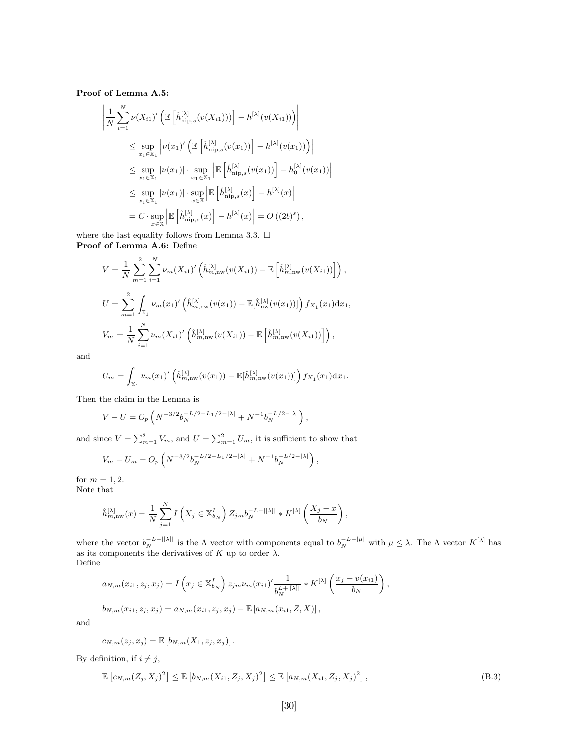Proof of Lemma A.5:

$$
\left| \frac{1}{N} \sum_{i=1}^{N} \nu(X_{i1})' \left( \mathbb{E} \left[ \hat{h}_{\text{nip},s}^{[\lambda]}(v(X_{i1})) \right] - h^{[\lambda]}(v(X_{i1})) \right) \right|
$$
  
\n
$$
\leq \sup_{x_1 \in \mathbb{X}_1} \left| \nu(x_1)' \left( \mathbb{E} \left[ \hat{h}_{\text{nip},s}^{[\lambda]}(v(x_1)) \right] - h^{[\lambda]}(v(x_1)) \right) \right|
$$
  
\n
$$
\leq \sup_{x_1 \in \mathbb{X}_1} |\nu(x_1)| \cdot \sup_{x_1 \in \mathbb{X}_1} \left| \mathbb{E} \left[ \hat{h}_{\text{nip},s}^{[\lambda]}(v(x_1)) \right] - h_0^{[\lambda]}(v(x_1)) \right|
$$
  
\n
$$
\leq \sup_{x_1 \in \mathbb{X}_1} |\nu(x_1)| \cdot \sup_{x \in \mathbb{X}} \left| \mathbb{E} \left[ \hat{h}_{\text{nip},s}^{[\lambda]}(x) \right] - h^{[\lambda]}(x) \right|
$$
  
\n
$$
= C \cdot \sup_{x \in \mathbb{X}} \left| \mathbb{E} \left[ \hat{h}_{\text{nip},s}^{[\lambda]}(x) \right] - h^{[\lambda]}(x) \right| = O((2b)^s),
$$

 $\mid$  $\mid$  $\overline{a}$ 

where the last equality follows from Lemma 3.3.  $\Box$ Proof of Lemma A.6: Define

$$
V = \frac{1}{N} \sum_{m=1}^{2} \sum_{i=1}^{N} \nu_m(X_{i1})' \left( \hat{h}_{m,nw}^{[\lambda]}(v(X_{i1})) - \mathbb{E}\left[\hat{h}_{m,nw}^{[\lambda]}(v(X_{i1}))\right] \right),
$$
  
\n
$$
U = \sum_{m=1}^{2} \int_{\mathbb{X}_{1}} \nu_m(x_1)' \left( \hat{h}_{m,nw}^{[\lambda]}(v(x_1)) - \mathbb{E}[\hat{h}_{nw}^{[\lambda]}(v(x_1))] \right) f_{X_1}(x_1) dx_1,
$$
  
\n
$$
V_m = \frac{1}{N} \sum_{i=1}^{N} \nu_m(X_{i1})' \left( \hat{h}_{m,nw}^{[\lambda]}(v(X_{i1})) - \mathbb{E}\left[\hat{h}_{m,nw}^{[\lambda]}(v(X_{i1}))\right] \right),
$$

and

$$
U_m = \int_{\mathbb{X}_1} \nu_m(x_1)' \left( \hat{h}_{m,nw}^{[\lambda]}(v(x_1)) - \mathbb{E}[\hat{h}_{m,nw}^{[\lambda]}(v(x_1))] \right) f_{X_1}(x_1) dx_1.
$$

Then the claim in the Lemma is

$$
V - U = O_p \left( N^{-3/2} b_N^{-L/2 - L_1/2 - |\lambda|} + N^{-1} b_N^{-L/2 - |\lambda|} \right),
$$

and since  $V = \sum_{m=1}^{2} V_m$ , and  $U = \sum_{m=1}^{2} U_m$ , it is sufficient to show that

$$
V_m - U_m = O_p\left(N^{-3/2}b_N^{-L/2 - L_1/2 - |\lambda|} + N^{-1}b_N^{-L/2 - |\lambda|}\right),
$$

for  $m = 1, 2$ .

Note that

$$
\hat{h}_{m,\text{nw}}^{[\lambda]}(x) = \frac{1}{N} \sum_{j=1}^{N} I\left(X_j \in \mathbb{X}_{b_N}^I\right) Z_{jm} b_N^{-L-|[\lambda]|} * K^{[\lambda]} \left(\frac{X_j - x}{b_N}\right),
$$

where the vector  $b_N^{-L-|[\lambda]|}$  is the  $\Lambda$  vector with components equal to  $b_N^{-L-|\mu|}$  with  $\mu \leq \lambda$ . The  $\Lambda$  vector  $K^{[\lambda]}$  has as its components the derivatives of K up to order  $\lambda$ . Define

$$
a_{N,m}(x_{i1}, z_j, x_j) = I\left(x_j \in \mathbb{X}_{b_N}^I\right) z_{jm} \nu_m(x_{i1})' \frac{1}{b_N^{L+|[X]|}} * K^{[\lambda]}\left(\frac{x_j - v(x_{i1})}{b_N}\right),
$$
  

$$
b_{N,m}(x_{i1}, z_j, x_j) = a_{N,m}(x_{i1}, z_j, x_j) - \mathbb{E}\left[a_{N,m}(x_{i1}, Z, X)\right],
$$

and

$$
c_{N,m}(z_j,x_j)=\mathbb{E}\left[b_{N,m}(X_1,z_j,x_j)\right].
$$

By definition, if  $i \neq j$ ,

$$
\mathbb{E}\left[c_{N,m}(Z_j,X_j)^2\right] \leq \mathbb{E}\left[b_{N,m}(X_{i1},Z_j,X_j)^2\right] \leq \mathbb{E}\left[a_{N,m}(X_{i1},Z_j,X_j)^2\right],\tag{B.3}
$$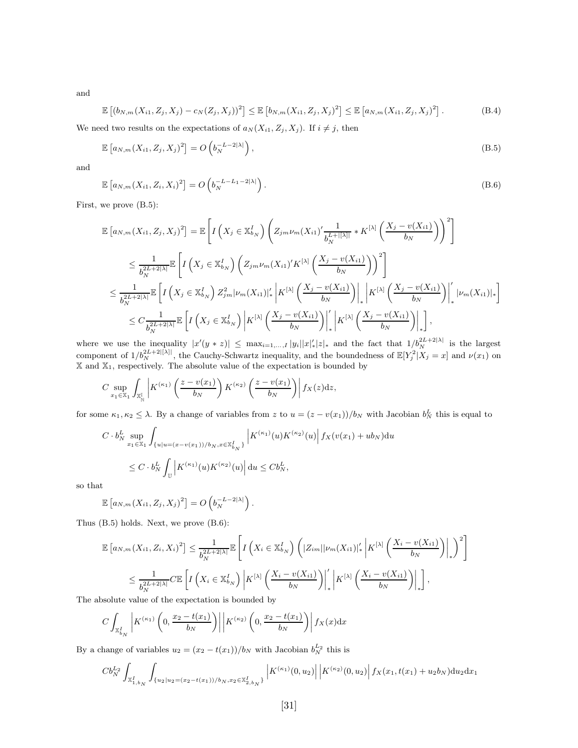and

$$
\mathbb{E}\left[\left(b_{N,m}(X_{i1},Z_j,X_j)-c_N(Z_j,X_j)\right)^2\right] \leq \mathbb{E}\left[b_{N,m}(X_{i1},Z_j,X_j)^2\right] \leq \mathbb{E}\left[a_{N,m}(X_{i1},Z_j,X_j)^2\right].
$$
 (B.4)

We need two results on the expectations of  $a_N(X_{i1}, Z_j, X_j)$ . If  $i \neq j$ , then

$$
\mathbb{E}\left[a_{N,m}(X_{i1},Z_j,X_j)^2\right] = O\left(b_N^{-L-2|\lambda|}\right),\tag{B.5}
$$

and

$$
\mathbb{E}\left[a_{N,m}(X_{i1},Z_i,X_i)^2\right] = O\left(b_N^{-L-L_1-2|\lambda|}\right).
$$
\n(B.6)

First, we prove (B.5):

$$
\mathbb{E}\left[a_{N,m}(X_{i1},Z_j,X_j)^2\right] = \mathbb{E}\left[I\left(X_j \in \mathbb{X}_{b_N}^I\right)\left(Z_{jm}\nu_m(X_{i1})'\frac{1}{b_N^{L+|[{\lambda}]}} * K^{[{\lambda}]}\left(\frac{X_j - v(X_{i1})}{b_N}\right)\right)^2\right]
$$
\n
$$
\leq \frac{1}{b_N^{2L+2|{\lambda}|}}\mathbb{E}\left[I\left(X_j \in \mathbb{X}_{b_N}^I\right)\left(Z_{jm}\nu_m(X_{i1})'K^{[{\lambda}]}\left(\frac{X_j - v(X_{i1})}{b_N}\right)\right)^2\right]
$$
\n
$$
\leq \frac{1}{b_N^{2L+2|{\lambda}|}}\mathbb{E}\left[I\left(X_j \in \mathbb{X}_{b_N}^I\right)Z_{jm}^2|\nu_m(X_{i1})|'_*\left|K^{[{\lambda}]}\left(\frac{X_j - v(X_{i1})}{b_N}\right)\right|_*\left|K^{[{\lambda}]}\left(\frac{X_j - v(X_{i1})}{b_N}\right)\right|\right]_*\left|\nu_m(X_{i1})|_*\right]
$$
\n
$$
\leq C\frac{1}{b_N^{2L+2|{\lambda}|}}\mathbb{E}\left[I\left(X_j \in \mathbb{X}_{b_N}^I\right)\left|K^{[{\lambda}]}\left(\frac{X_j - v(X_{i1})}{b_N}\right)\right|\right]_*\left|K^{[{\lambda}]}\left(\frac{X_j - v(X_{i1})}{b_N}\right)\right|_*\right],
$$

where we use the inequality  $|x'(y * z)| \leq \max_{i=1,\dots,I} |y_i||x'|_*|z|_*$  and the fact that  $1/b_N^{2L+2|\lambda|}$  is the largest component of  $1/b_N^{2L+2|[{\lambda}]}\,$ , the Cauchy-Schwartz inequality, and the boundedness of  $\mathbb{E}[Y_j^2|X_j=x]$  and  $\nu(x_1)$  on  $X$  and  $X_1$ , respectively. The absolute value of the expectation is bounded by

$$
C \sup_{x_1 \in \mathbb{X}_1} \int_{\mathbb{X}_{\mathbb{N}}^{\mathbb{I}}} \left| K^{(\kappa_1)} \left( \frac{z - v(x_1)}{b_N} \right) K^{(\kappa_2)} \left( \frac{z - v(x_1)}{b_N} \right) \right| f_X(z) dz,
$$

for some  $\kappa_1, \kappa_2 \leq \lambda$ . By a change of variables from z to  $u = (z - v(x_1))/b_N$  with Jacobian  $b_N^L$  this is equal to

$$
C \cdot b_N^L \sup_{x_1 \in \mathbb{X}_1} \int_{\{u|u=(x-v(x_1))/b_N, x \in \mathbb{X}_{b_N}^I\}} \left| K^{(\kappa_1)}(u) K^{(\kappa_2)}(u) \right| f_X(v(x_1) + ub_N) \, du
$$
  

$$
\leq C \cdot b_N^L \int_{\mathbb{U}} \left| K^{(\kappa_1)}(u) K^{(\kappa_2)}(u) \right| \, du \leq C b_N^L,
$$

so that

$$
\mathbb{E}\left[a_{N,m}(X_{i1},Z_j,X_j)^2\right]=O\left(b_N^{-L-2|\lambda|}\right).
$$

Thus (B.5) holds. Next, we prove (B.6):

$$
\mathbb{E}\left[a_{N,m}(X_{i1},Z_{i},X_{i})^{2}\right] \leq \frac{1}{b_{N}^{2L+2|\lambda|}}\mathbb{E}\left[I\left(X_{i} \in \mathbb{X}_{b_{N}}^{I}\right)\left(|Z_{im}||\nu_{m}(X_{i1})|_{*}^{'}\left|K^{[\lambda]}\left(\frac{X_{i}-v(X_{i1})}{b_{N}}\right)\right|\right]_{*}\right)^{2}\right]
$$
\n
$$
\leq \frac{1}{b_{N}^{2L+2|\lambda|}}\mathbb{E}\left[I\left(X_{i} \in \mathbb{X}_{b_{N}}^{I}\right)\left|K^{[\lambda]}\left(\frac{X_{i}-v(X_{i1})}{b_{N}}\right)\right|\right]_{*}\left|K^{[\lambda]}\left(\frac{X_{i}-v(X_{i1})}{b_{N}}\right)\right|\right]_{*},
$$
\nwhere the value of the expectation is bounded by

The absolute value of the expectation is bounded by

$$
C\int_{\mathbb{X}_{b_N}^I} \left| K^{(\kappa_1)}\left(0, \frac{x_2 - t(x_1)}{b_N}\right) \right| \left| K^{(\kappa_2)}\left(0, \frac{x_2 - t(x_1)}{b_N}\right) \right| f_X(x) \, dx
$$

By a change of variables  $u_2 = (x_2 - t(x_1))/b_N$  with Jacobian  $b_N^{L_2}$  this is

$$
Cb_N^{L_2}\int_{\mathbb{X}_{1,b_N}^I}\int_{\{u_2|u_2=(x_2-t(x_1))/b_N, x_2\in\mathbb{X}_{2,b_N}^I\}}\left|K^{(\kappa_1)}(0,u_2)\right|\left|K^{(\kappa_2)}(0,u_2)\right|f_X(x_1,t(x_1)+u_2b_N)\mathrm{d}u_2\mathrm{d}x_1
$$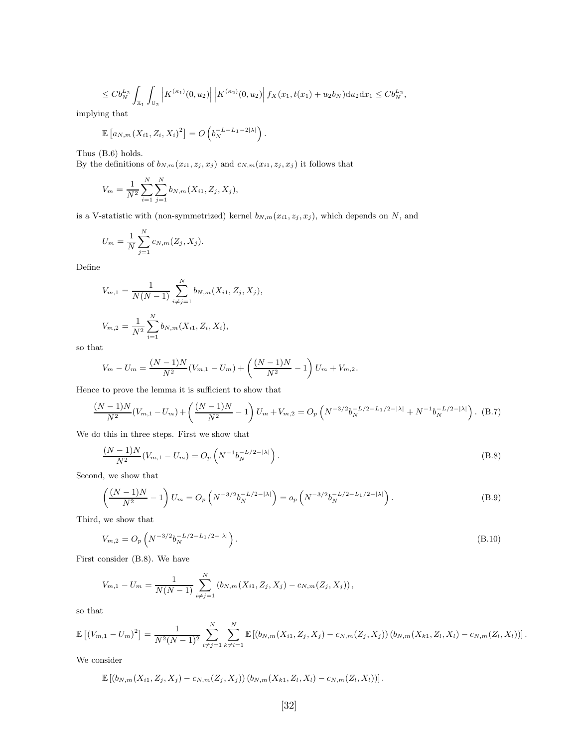$$
\leq C b_N^{L_2} \int_{\mathbb{X}_1} \int_{\mathbb{U}_2} \left| K^{(\kappa_1)}(0, u_2) \right| \left| K^{(\kappa_2)}(0, u_2) \right| f_X(x_1, t(x_1) + u_2 b_N) \mathrm{d}u_2 \mathrm{d}x_1 \leq C b_N^{L_2},
$$

implying that

$$
\mathbb{E}\left[a_{N,m}(X_{i1},Z_i,X_i)^2\right]=O\left(b_N^{-L-L_1-2|\lambda|}\right).
$$

Thus (B.6) holds.

By the definitions of  $b_{N,m}(x_{i1}, z_j, x_j)$  and  $c_{N,m}(x_{i1}, z_j, x_j)$  it follows that

$$
V_m = \frac{1}{N^2} \sum_{i=1}^{N} \sum_{j=1}^{N} b_{N,m}(X_{i1}, Z_j, X_j),
$$

is a V-statistic with (non-symmetrized) kernel  $b_{N,m}(x_{i1}, z_j, x_j)$ , which depends on N, and

$$
U_m = \frac{1}{N} \sum_{j=1}^{N} c_{N,m}(Z_j, X_j).
$$

Define

$$
V_{m,1} = \frac{1}{N(N-1)} \sum_{i \neq j=1}^{N} b_{N,m}(X_{i1}, Z_j, X_j),
$$
  

$$
V_{m,2} = \frac{1}{N^2} \sum_{i=1}^{N} b_{N,m}(X_{i1}, Z_i, X_i),
$$

so that

$$
V_m - U_m = \frac{(N-1)N}{N^2}(V_{m,1} - U_m) + \left(\frac{(N-1)N}{N^2} - 1\right)U_m + V_{m,2}.
$$

Hence to prove the lemma it is sufficient to show that

$$
\frac{(N-1)N}{N^2}(V_{m,1}-U_m) + \left(\frac{(N-1)N}{N^2} - 1\right)U_m + V_{m,2} = O_p\left(N^{-3/2}b_N^{-L/2-L_1/2-|\lambda|} + N^{-1}b_N^{-L/2-|\lambda|}\right). \tag{B.7}
$$

We do this in three steps. First we show that

$$
\frac{(N-1)N}{N^2}(V_{m,1}-U_m) = O_p\left(N^{-1}b_N^{-L/2-|\lambda|}\right).
$$
\n(B.8)

Second, we show that

$$
\left(\frac{(N-1)N}{N^2} - 1\right)U_m = O_p\left(N^{-3/2}b_N^{-L/2-|\lambda|}\right) = o_p\left(N^{-3/2}b_N^{-L/2-L_1/2-|\lambda|}\right).
$$
\n(B.9)

Third, we show that

$$
V_{m,2} = O_p\left(N^{-3/2}b_N^{-L/2 - L_1/2 - |\lambda|}\right).
$$
\n(B.10)

First consider (B.8). We have

$$
V_{m,1} - U_m = \frac{1}{N(N-1)} \sum_{i \neq j=1}^N (b_{N,m}(X_{i1}, Z_j, X_j) - c_{N,m}(Z_j, X_j)),
$$

so that

$$
\mathbb{E}\left[\left(V_{m,1}-U_m\right)^2\right] = \frac{1}{N^2(N-1)^2} \sum_{i \neq j=1}^N \sum_{k \neq l=1}^N \mathbb{E}\left[\left(b_{N,m}(X_{i1}, Z_j, X_j) - c_{N,m}(Z_j, X_j)\right)\left(b_{N,m}(X_{k1}, Z_l, X_l) - c_{N,m}(Z_l, X_l)\right)\right].
$$

We consider

$$
\mathbb{E}\left[\left(b_{N,m}(X_{i1},Z_j,X_j)-c_{N,m}(Z_j,X_j)\right)\left(b_{N,m}(X_{k1},Z_l,X_l)-c_{N,m}(Z_l,X_l)\right)\right].
$$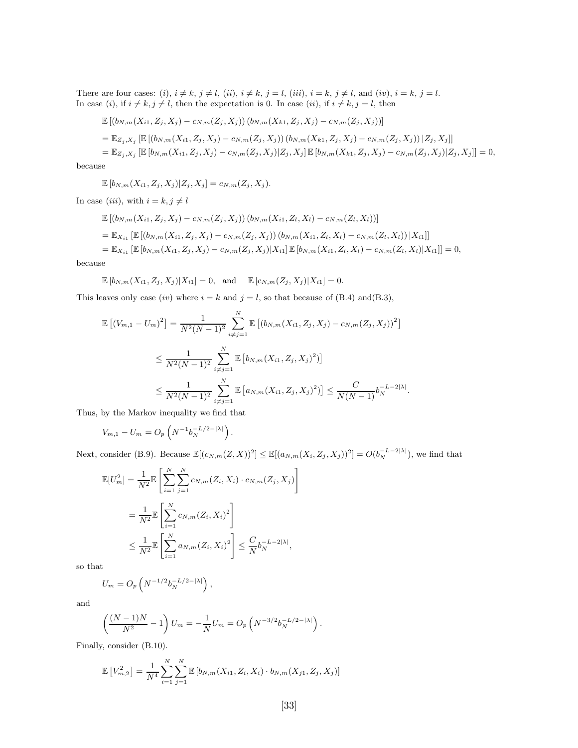There are four cases: (i),  $i \neq k$ ,  $j \neq l$ , (ii),  $i \neq k$ ,  $j = l$ , (iii),  $i = k$ ,  $j \neq l$ , and (iv),  $i = k$ ,  $j = l$ . In case (i), if  $i \neq k$ ,  $j \neq l$ , then the expectation is 0. In case (ii), if  $i \neq k$ ,  $j = l$ , then

$$
\mathbb{E}[(b_{N,m}(X_{i1},Z_j,X_j)-c_{N,m}(Z_j,X_j))(b_{N,m}(X_{k1},Z_j,X_j)-c_{N,m}(Z_j,X_j))]
$$
\n
$$
=\mathbb{E}_{Z_j,X_j}\left[\mathbb{E}[(b_{N,m}(X_{i1},Z_j,X_j)-c_{N,m}(Z_j,X_j))(b_{N,m}(X_{k1},Z_j,X_j)-c_{N,m}(Z_j,X_j))|Z_j,X_j]\right]
$$
\n
$$
=\mathbb{E}_{Z_j,X_j}\left[\mathbb{E}[b_{N,m}(X_{i1},Z_j,X_j)-c_{N,m}(Z_j,X_j)|Z_j,X_j]\right]\mathbb{E}[b_{N,m}(X_{k1},Z_j,X_j)-c_{N,m}(Z_j,X_j)|Z_j,X_j]\right]=0,
$$

because

 $\mathbb{E}[b_{N,m}(X_{i1}, Z_i, X_j) | Z_i, X_j] = c_{N,m}(Z_i, X_j).$ 

In case (iii), with  $i = k, j \neq l$ 

$$
\mathbb{E}[(b_{N,m}(X_{i1}, Z_j, X_j) - c_{N,m}(Z_j, X_j))(b_{N,m}(X_{i1}, Z_l, X_l) - c_{N,m}(Z_l, X_l))]
$$
\n
$$
= \mathbb{E}_{X_{i1}} [\mathbb{E}[(b_{N,m}(X_{i1}, Z_j, X_j) - c_{N,m}(Z_j, X_j))(b_{N,m}(X_{i1}, Z_l, X_l) - c_{N,m}(Z_l, X_l))|X_{i1}]]
$$
\n
$$
= \mathbb{E}_{X_{i1}} [\mathbb{E}[b_{N,m}(X_{i1}, Z_j, X_j) - c_{N,m}(Z_j, X_j)|X_{i1}] \mathbb{E}[b_{N,m}(X_{i1}, Z_l, X_l) - c_{N,m}(Z_l, X_l)|X_{i1}]] = 0,
$$

because

$$
\mathbb{E}[b_{N,m}(X_{i1}, Z_j, X_j)|X_{i1}] = 0, \text{ and } \mathbb{E}[c_{N,m}(Z_j, X_j)|X_{i1}] = 0.
$$

This leaves only case (iv) where  $i = k$  and  $j = l$ , so that because of (B.4) and(B.3),

$$
\mathbb{E}\left[\left(V_{m,1} - U_m\right)^2\right] = \frac{1}{N^2(N-1)^2} \sum_{i \neq j=1}^N \mathbb{E}\left[\left(b_{N,m}(X_{i1}, Z_j, X_j) - c_{N,m}(Z_j, X_j)\right)^2\right]
$$
  

$$
\leq \frac{1}{N^2(N-1)^2} \sum_{i \neq j=1}^N \mathbb{E}\left[b_{N,m}(X_{i1}, Z_j, X_j)^2\right]
$$
  

$$
\leq \frac{1}{N^2(N-1)^2} \sum_{i \neq j=1}^N \mathbb{E}\left[a_{N,m}(X_{i1}, Z_j, X_j)^2\right] \leq \frac{C}{N(N-1)} b_N^{-L-2|\lambda|}.
$$

Thus, by the Markov inequality we find that

$$
V_{m,1} - U_m = O_p \left( N^{-1} b_N^{-L/2 - |\lambda|} \right).
$$

Next, consider (B.9). Because  $\mathbb{E}[(c_{N,m}(Z,X))^2] \leq \mathbb{E}[(a_{N,m}(X_i,Z_j,X_j))^2] = O(b_N^{-L-2|\lambda|})$ , we find that

$$
\mathbb{E}[U_m^2] = \frac{1}{N^2} \mathbb{E}\left[\sum_{i=1}^N \sum_{j=1}^N c_{N,m}(Z_i, X_i) \cdot c_{N,m}(Z_j, X_j)\right]
$$
  

$$
= \frac{1}{N^2} \mathbb{E}\left[\sum_{i=1}^N c_{N,m}(Z_i, X_i)^2\right]
$$
  

$$
\leq \frac{1}{N^2} \mathbb{E}\left[\sum_{i=1}^N a_{N,m}(Z_i, X_i)^2\right] \leq \frac{C}{N} b_N^{-L-2|\lambda|},
$$

so that

$$
U_m = O_p\left(N^{-1/2}b_N^{-L/2-|\lambda|}\right),\,
$$

and

$$
\left(\frac{(N-1)N}{N^2} - 1\right)U_m = -\frac{1}{N}U_m = O_p\left(N^{-3/2}b_N^{-L/2 - |\lambda|}\right).
$$

Finally, consider (B.10).

$$
\mathbb{E}\left[V_{m,2}^{2}\right] = \frac{1}{N^{4}} \sum_{i=1}^{N} \sum_{j=1}^{N} \mathbb{E}\left[b_{N,m}(X_{i1}, Z_{i}, X_{i}) \cdot b_{N,m}(X_{j1}, Z_{j}, X_{j})\right]
$$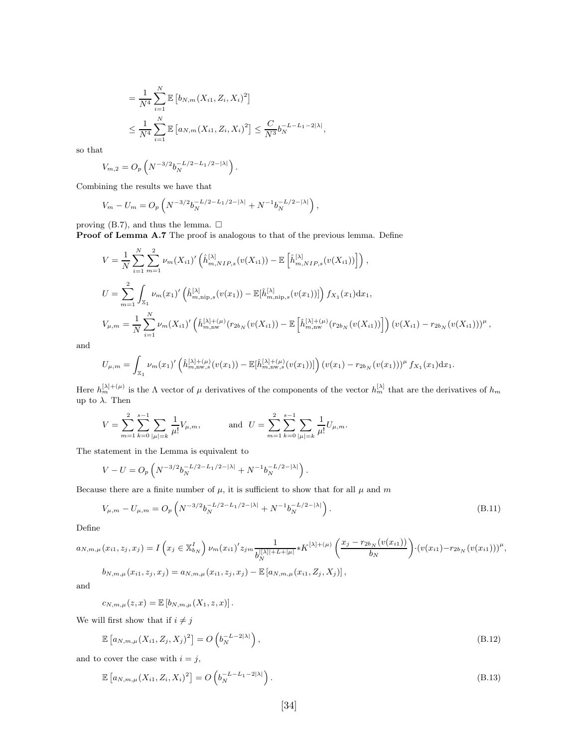$$
= \frac{1}{N^4} \sum_{i=1}^{N} \mathbb{E} \left[ b_{N,m}(X_{i1}, Z_i, X_i)^2 \right]
$$
  

$$
\leq \frac{1}{N^4} \sum_{i=1}^{N} \mathbb{E} \left[ a_{N,m}(X_{i1}, Z_i, X_i)^2 \right] \leq \frac{C}{N^3} b_N^{-L-L_1-2|\lambda|},
$$

so that

$$
V_{m,2} = O_p\left(N^{-3/2}b_N^{-L/2 - L_1/2 - |\lambda|}\right).
$$

Combining the results we have that

$$
V_m - U_m = O_p \left( N^{-3/2} b_N^{-L/2 - L_1/2 - |\lambda|} + N^{-1} b_N^{-L/2 - |\lambda|} \right),
$$

proving (B.7), and thus the lemma.  $\Box$ 

Proof of Lemma A.7 The proof is analogous to that of the previous lemma. Define

$$
V = \frac{1}{N} \sum_{i=1}^{N} \sum_{m=1}^{2} \nu_m(X_{i1})' \left( \hat{h}_{m, NIP,s}^{[\lambda]}(v(X_{i1})) - \mathbb{E}\left[\hat{h}_{m, NIP,s}^{[\lambda]}(v(X_{i1}))\right] \right),
$$
  
\n
$$
U = \sum_{m=1}^{2} \int_{\mathbb{X}_{1}} \nu_m(x_{1})' \left( \hat{h}_{m, \text{nip},s}^{[\lambda]}(v(x_{1})) - \mathbb{E}[\hat{h}_{m, \text{nip},s}^{[\lambda]}(v(x_{1}))]\right) f_{X_1}(x_{1}) dx_{1},
$$
  
\n
$$
V_{\mu,m} = \frac{1}{N} \sum_{i=1}^{N} \nu_m(X_{i1})' \left( \hat{h}_{m, \text{nw}}^{[\lambda]+(\mu)}(r_{2b_N}(v(X_{i1})) - \mathbb{E}\left[\hat{h}_{m, \text{nw}}^{[\lambda]+(\mu)}(r_{2b_N}(v(X_{i1}))\right]\right) (v(X_{i1}) - r_{2b_N}(v(X_{i1})))^{\mu},
$$

and

$$
U_{\mu,m} = \int_{\mathbb{X}_1} \nu_m(x_1)' \left( \hat{h}_{m,\text{nw},s}^{[\lambda]+(\mu)}(v(x_1)) - \mathbb{E}[\hat{h}_{m,\text{nw},s}^{[\lambda]+(\mu)}(v(x_1))] \right) (v(x_1) - r_{2b_N}(v(x_1)))^{\mu} f_{X_1}(x_1) dx_1.
$$

Here  $h_m^{[\lambda]+(\mu)}$  is the  $\Lambda$  vector of  $\mu$  derivatives of the components of the vector  $h_m^{[\lambda]}$  that are the derivatives of  $h_m$ up to  $\lambda$ . Then

$$
V = \sum_{m=1}^{2} \sum_{k=0}^{s-1} \sum_{|\mu|=k} \frac{1}{\mu!} V_{\mu,m}, \quad \text{and} \quad U = \sum_{m=1}^{2} \sum_{k=0}^{s-1} \sum_{|\mu|=k} \frac{1}{\mu!} U_{\mu,m}.
$$

The statement in the Lemma is equivalent to

$$
V - U = O_P\left(N^{-3/2}b_N^{-L/2 - L_1/2 - |\lambda|} + N^{-1}b_N^{-L/2 - |\lambda|}\right).
$$

Because there are a finite number of  $\mu$ , it is sufficient to show that for all  $\mu$  and  $m$ 

$$
V_{\mu,m} - U_{\mu,m} = O_p\left(N^{-3/2}b_N^{-L/2 - L_1/2 - |\lambda|} + N^{-1}b_N^{-L/2 - |\lambda|}\right).
$$
\n(B.11)

Define

$$
a_{N,m,\mu}(x_{i1},z_j,x_j) = I\left(x_j \in \mathbb{X}_{b_N}^I\right) \nu_m(x_{i1})' z_{j m} \frac{1}{b_N^{[\lceil \lambda \rceil + L + \lceil \mu \rceil]} } * K^{\lceil \lambda \rceil + (\mu)} \left(\frac{x_j - r_{2b_N}(v(x_{i1}))}{b_N}\right) \cdot (v(x_{i1}) - r_{2b_N}(v(x_{i1})))^{\mu},
$$
  

$$
b_{N,m,\mu}(x_{i1},z_j,x_j) = a_{N,m,\mu}(x_{i1},z_j,x_j) - \mathbb{E}\left[a_{N,m,\mu}(x_{i1},Z_j,X_j)\right],
$$

and

$$
c_{N,m,\mu}(z,x) = \mathbb{E}\left[b_{N,m,\mu}(X_1,z,x)\right].
$$

We will first show that if  $i \neq j$ 

$$
\mathbb{E}\left[a_{N,m,\mu}(X_{i1},Z_j,X_j)^2\right] = O\left(b_N^{-L-2|\lambda|}\right),\tag{B.12}
$$

and to cover the case with  $i = j$ ,

$$
\mathbb{E}\left[a_{N,m,\mu}(X_{i1},Z_i,X_i)^2\right] = O\left(b_N^{-L-L_1-2|\lambda|}\right). \tag{B.13}
$$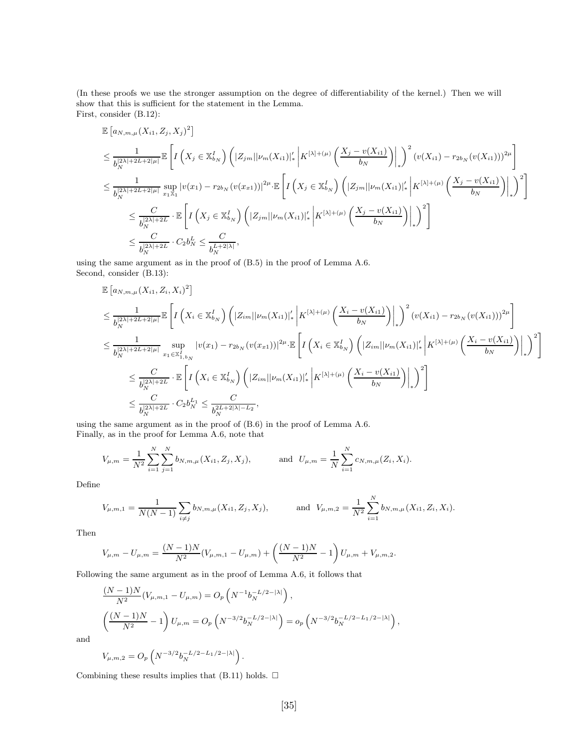(In these proofs we use the stronger assumption on the degree of differentiability of the kernel.) Then we will show that this is sufficient for the statement in the Lemma. First, consider (B.12):

$$
\mathbb{E}\left[a_{N,m,\mu}(X_{i1},Z_{j},X_{j})^{2}\right] \n\leq \frac{1}{b_{N}^{|2\lambda|+2L+2|\mu|}}\mathbb{E}\left[I\left(X_{j}\in\mathbb{X}_{b_{N}}^{I}\right)\left(|Z_{j,m}||\nu_{m}(X_{i1})|_{*}^{'}\left|K^{[\lambda]+(\mu)}\left(\frac{X_{j}-v(X_{i1})}{b_{N}}\right)\right|_{*}\right)^{2}\left(v(X_{i1})-r_{2b_{N}}(v(X_{i1}))\right)^{2\mu}\right] \n\leq \frac{1}{b_{N}^{|2\lambda|+2L+2|\mu|}}\sup_{x_{1}\mathbb{X}_{1}}|v(x_{1})-r_{2b_{N}}(v(x_{x1}))|^{2\mu}\cdot\mathbb{E}\left[I\left(X_{j}\in\mathbb{X}_{b_{N}}^{I}\right)\left(|Z_{j,m}||\nu_{m}(X_{i1})|_{*}^{'}\left|K^{[\lambda]+(\mu)}\left(\frac{X_{j}-v(X_{i1})}{b_{N}}\right)\right|_{*}\right)^{2}\right] \n\leq \frac{C}{b_{N}^{|2\lambda|+2L}}\cdot\mathbb{E}\left[I\left(X_{j}\in\mathbb{X}_{b_{N}}^{I}\right)\left(|Z_{j,m}||\nu_{m}(X_{i1})|_{*}^{'}\left|K^{[\lambda]+(\mu)}\left(\frac{X_{j}-v(X_{i1})}{b_{N}}\right)\right|_{*}\right)^{2}\right] \n\leq \frac{C}{b_{N}^{|2\lambda|+2L}}\cdot C_{2}b_{N}^{L} \leq \frac{C}{b_{N}^{L+2|\lambda|}},
$$

using the same argument as in the proof of (B.5) in the proof of Lemma A.6. Second, consider (B.13):

$$
\mathbb{E}\left[a_{N,m,\mu}(X_{i1},Z_{i},X_{i})^{2}\right]
$$
\n
$$
\leq \frac{1}{b_{N}^{|2\lambda|+2L+2|\mu|}}\mathbb{E}\left[I\left(X_{i}\in\mathbb{X}_{b_{N}}^{I}\right)\left(|Z_{im}||\nu_{m}(X_{i1})|_{*}^{'}\left|K^{[\lambda]+(\mu)}\left(\frac{X_{i}-v(X_{i1})}{b_{N}}\right)\right|\right)\right]^{2}(v(X_{i1})-r_{2b_{N}}(v(X_{i1})))^{2\mu}\right]
$$
\n
$$
\leq \frac{1}{b_{N}^{|2\lambda|+2L+2|\mu|}}\sup_{x_{1}\in\mathbb{X}_{1,b_{N}}^{I}}|v(x_{1})-r_{2b_{N}}(v(x_{x1}))|^{2\mu}\cdot\mathbb{E}\left[I\left(X_{i}\in\mathbb{X}_{b_{N}}^{I}\right)\left(|Z_{im}||\nu_{m}(X_{i1})|_{*}^{'}\left|K^{[\lambda]+(\mu)}\left(\frac{X_{i}-v(X_{i1})}{b_{N}}\right)\right|\right)\right]^{2}\right]
$$
\n
$$
\leq \frac{C}{b_{N}^{|2\lambda|+2L}}\cdot\mathbb{E}\left[I\left(X_{i}\in\mathbb{X}_{b_{N}}^{I}\right)\left(|Z_{im}||\nu_{m}(X_{i1})|_{*}^{'}\left|K^{[\lambda]+(\mu)}\left(\frac{X_{i}-v(X_{i1})}{b_{N}}\right)\right|\right)\right]^{2}\right]
$$
\n
$$
\leq \frac{C}{b_{N}^{|2\lambda|+2L}}\cdot C_{2}b_{N}^{L_{1}} \leq \frac{C}{b_{N}^{|2L+2|\lambda|-L_{2}}},
$$

using the same argument as in the proof of (B.6) in the proof of Lemma A.6. Finally, as in the proof for Lemma A.6, note that

$$
V_{\mu,m} = \frac{1}{N^2} \sum_{i=1}^N \sum_{j=1}^N b_{N,m,\mu}(X_{i1}, Z_j, X_j), \quad \text{and} \quad U_{\mu,m} = \frac{1}{N} \sum_{i=1}^N c_{N,m,\mu}(Z_i, X_i).
$$

Define

$$
V_{\mu,m,1} = \frac{1}{N(N-1)} \sum_{i \neq j} b_{N,m,\mu}(X_{i1}, Z_j, X_j), \quad \text{and} \quad V_{\mu,m,2} = \frac{1}{N^2} \sum_{i=1}^N b_{N,m,\mu}(X_{i1}, Z_i, X_i).
$$

Then

$$
V_{\mu,m} - U_{\mu,m} = \frac{(N-1)N}{N^2} (V_{\mu,m,1} - U_{\mu,m}) + \left(\frac{(N-1)N}{N^2} - 1\right) U_{\mu,m} + V_{\mu,m,2}.
$$

Following the same argument as in the proof of Lemma A.6, it follows that

$$
\frac{(N-1)N}{N^2}(V_{\mu,m,1} - U_{\mu,m}) = O_p\left(N^{-1}b_N^{-L/2-|\lambda|}\right),
$$
\n
$$
\left(\frac{(N-1)N}{N^2} - 1\right)U_{\mu,m} = O_p\left(N^{-3/2}b_N^{-L/2-|\lambda|}\right) = o_p\left(N^{-3/2}b_N^{-L/2-L_1/2-|\lambda|}\right),
$$

and

$$
V_{\mu,m,2} = O_p\left(N^{-3/2}b_N^{-L/2-L_1/2-|\lambda|}\right).
$$

Combining these results implies that  $(B.11)$  holds.  $\square$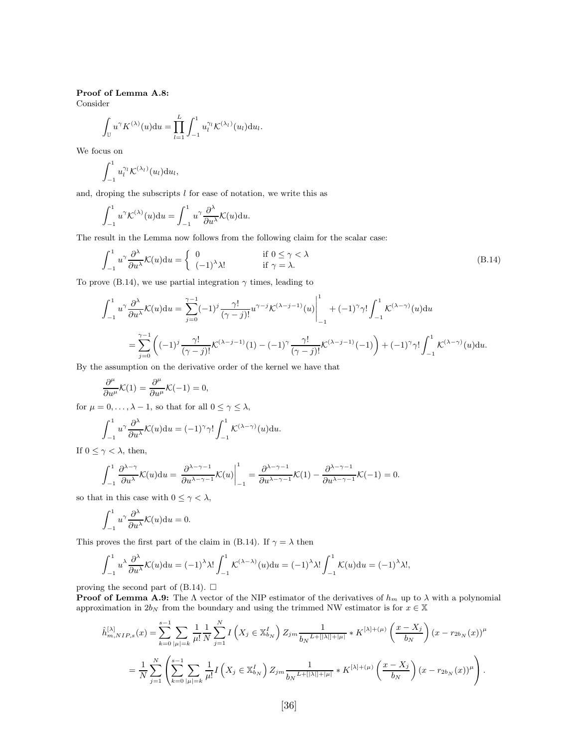#### Proof of Lemma A.8:

Consider

$$
\int_{\mathbb{U}} u^{\gamma} K^{(\lambda)}(u) \mathrm{d}u = \prod_{l=1}^{L} \int_{-1}^{1} u_l^{\gamma_l} \mathcal{K}^{(\lambda_l)}(u_l) \mathrm{d}u_l.
$$

We focus on

$$
\int_{-1}^1 u_l^{\gamma_l} \mathcal{K}^{(\lambda_l)}(u_l) \mathrm{d} u_l,
$$

and, droping the subscripts  $l$  for ease of notation, we write this as

$$
\int_{-1}^1 u^{\gamma} \mathcal{K}^{(\lambda)}(u) \mathrm{d}u = \int_{-1}^1 u^{\gamma} \frac{\partial^{\lambda}}{\partial u^{\lambda}} \mathcal{K}(u) \mathrm{d}u.
$$

The result in the Lemma now follows from the following claim for the scalar case:

$$
\int_{-1}^{1} u^{\gamma} \frac{\partial^{\lambda}}{\partial u^{\lambda}} \mathcal{K}(u) du = \begin{cases} 0 & \text{if } 0 \le \gamma < \lambda \\ (-1)^{\lambda} \lambda! & \text{if } \gamma = \lambda. \end{cases}
$$
 (B.14)

To prove (B.14), we use partial integration  $\gamma$  times, leading to

$$
\int_{-1}^{1} u^{\gamma} \frac{\partial^{\lambda}}{\partial u^{\lambda}} \mathcal{K}(u) du = \sum_{j=0}^{\gamma-1} (-1)^{j} \frac{\gamma!}{(\gamma-j)!} u^{\gamma-j} \mathcal{K}^{(\lambda-j-1)}(u) \Big|_{-1}^{1} + (-1)^{\gamma} \gamma! \int_{-1}^{1} \mathcal{K}^{(\lambda-\gamma)}(u) du
$$
  

$$
= \sum_{j=0}^{\gamma-1} \left( (-1)^{j} \frac{\gamma!}{(\gamma-j)!} \mathcal{K}^{(\lambda-j-1)}(1) - (-1)^{\gamma} \frac{\gamma!}{(\gamma-j)!} \mathcal{K}^{(\lambda-j-1)}(-1) \right) + (-1)^{\gamma} \gamma! \int_{-1}^{1} \mathcal{K}^{(\lambda-\gamma)}(u) du.
$$

By the assumption on the derivative order of the kernel we have that

$$
\frac{\partial^{\mu}}{\partial u^{\mu}}\mathcal{K}(1) = \frac{\partial^{\mu}}{\partial u^{\mu}}\mathcal{K}(-1) = 0,
$$

for  $\mu = 0, \ldots, \lambda - 1$ , so that for all  $0 \leq \gamma \leq \lambda$ ,

$$
\int_{-1}^{1} u^{\gamma} \frac{\partial^{\lambda}}{\partial u^{\lambda}} \mathcal{K}(u) \mathrm{d}u = (-1)^{\gamma} \gamma! \int_{-1}^{1} \mathcal{K}^{(\lambda - \gamma)}(u) \mathrm{d}u.
$$

If  $0 \leq \gamma < \lambda$ , then,

$$
\int_{-1}^{1} \frac{\partial^{\lambda-\gamma}}{\partial u^{\lambda}} \mathcal{K}(u) \mathrm{d}u = \left. \frac{\partial^{\lambda-\gamma-1}}{\partial u^{\lambda-\gamma-1}} \mathcal{K}(u) \right|_{-1}^{1} = \frac{\partial^{\lambda-\gamma-1}}{\partial u^{\lambda-\gamma-1}} \mathcal{K}(1) - \frac{\partial^{\lambda-\gamma-1}}{\partial u^{\lambda-\gamma-1}} \mathcal{K}(-1) = 0.
$$

so that in this case with  $0\leq \gamma < \lambda,$ 

$$
\int_{-1}^{1} u^{\gamma} \frac{\partial^{\lambda}}{\partial u^{\lambda}} \mathcal{K}(u) \mathrm{d}u = 0.
$$

This proves the first part of the claim in (B.14). If  $\gamma = \lambda$  then

$$
\int_{-1}^1 u^\lambda \frac{\partial^\lambda}{\partial u^\lambda} \mathcal{K}(u) \mathrm{d}u = (-1)^\lambda \lambda! \int_{-1}^1 \mathcal{K}^{(\lambda - \lambda)}(u) \mathrm{d}u = (-1)^\lambda \lambda! \int_{-1}^1 \mathcal{K}(u) \mathrm{d}u = (-1)^\lambda \lambda!,
$$

proving the second part of (B.14).  $\Box$ 

**Proof of Lemma A.9:** The  $\Lambda$  vector of the NIP estimator of the derivatives of  $h_m$  up to  $\lambda$  with a polynomial approximation in  $2b_N$  from the boundary and using the trimmed NW estimator is for  $x \in \mathbb{X}$ 

$$
\hat{h}_{m, NIP,s}^{[\lambda]}(x) = \sum_{k=0}^{s-1} \sum_{|\mu|=k} \frac{1}{\mu!} \frac{1}{N} \sum_{j=1}^{N} I\left(X_j \in \mathbb{X}_{b_N}^I\right) Z_{jm} \frac{1}{b_N L + [|\lambda|] + |\mu|} * K^{[\lambda] + (\mu)} \left(\frac{x - X_j}{b_N}\right) (x - r_{2b_N}(x))^{\mu}
$$
\n
$$
= \frac{1}{N} \sum_{j=1}^{N} \left( \sum_{k=0}^{s-1} \sum_{|\mu|=k} \frac{1}{\mu!} I\left(X_j \in \mathbb{X}_{b_N}^I\right) Z_{jm} \frac{1}{b_N L + [|\lambda|] + |\mu|} * K^{[\lambda] + (\mu)} \left(\frac{x - X_j}{b_N}\right) (x - r_{2b_N}(x))^{\mu} \right).
$$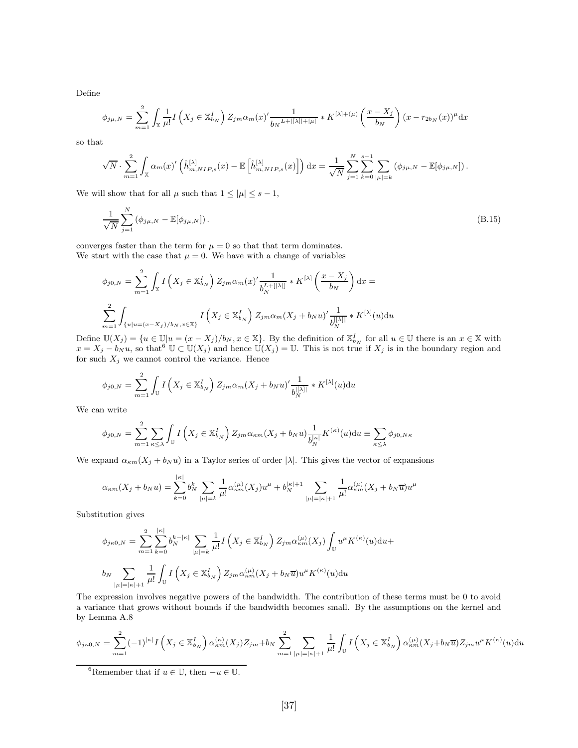Define

$$
\phi_{j\mu,N} = \sum_{m=1}^{2} \int_{\mathbb{X}} \frac{1}{\mu!} I\left(X_j \in \mathbb{X}_{b_N}^I\right) Z_{jm} \alpha_m(x)' \frac{1}{b_N^{L+|[\lambda]|+|\mu|}} * K^{[\lambda]+(\mu)} \left(\frac{x - X_j}{b_N}\right) (x - r_{2b_N}(x))^{\mu} dx
$$

so that

$$
\sqrt{N} \cdot \sum_{m=1}^{2} \int_{\mathbb{X}} \alpha_m(x)' \left( \hat{h}_{m, NIP,s}^{[\lambda]}(x) - \mathbb{E}\left[\hat{h}_{m, NIP,s}^{[\lambda]}(x)\right] \right) dx = \frac{1}{\sqrt{N}} \sum_{j=1}^{N} \sum_{k=0}^{s-1} \sum_{|\mu|=k} (\phi_{j\mu, N} - \mathbb{E}[\phi_{j\mu, N}]).
$$

We will show that for all  $\mu$  such that  $1 \leq |\mu| \leq s - 1$ ,

$$
\frac{1}{\sqrt{N}} \sum_{j=1}^{N} (\phi_{j\mu,N} - \mathbb{E}[\phi_{j\mu,N}]).
$$
\n(B.15)

converges faster than the term for  $\mu = 0$  so that that term dominates. We start with the case that  $\mu = 0$ . We have with a change of variables

$$
\phi_{j0,N} = \sum_{m=1}^{2} \int_{\mathbb{X}} I\left(X_j \in \mathbb{X}_{b_N}^I\right) Z_{jm} \alpha_m(x)' \frac{1}{b_N^{L+[[\lambda]]}} * K^{[\lambda]} \left(\frac{x - X_j}{b_N}\right) dx =
$$
  

$$
\sum_{m=1}^{2} \int_{\{u|u = (x - X_j)/b_N, x \in \mathbb{X}\}} I\left(X_j \in \mathbb{X}_{b_N}^I\right) Z_{jm} \alpha_m(X_j + b_N u)' \frac{1}{b_N^{[[\lambda]]}} * K^{[\lambda]}(u) du
$$

Define  $\mathbb{U}(X_j) = \{u \in \mathbb{U} | u = (x - X_j)/b_N, x \in \mathbb{X}\}.$  By the definition of  $\mathbb{X}_{b_N}^I$  for all  $u \in \mathbb{U}$  there is an  $x \in \mathbb{X}$  with  $x = X_j - b_N u$ , so that<sup>6</sup>  $\mathbb{U} \subset \mathbb{U}(X_j)$  and hence  $\mathbb{U}(X_j) = \mathbb{U}$ . This is not true if  $X_j$  is in the boundary region and for such  $X_j$  we cannot control the variance. Hence

$$
\phi_{j0,N} = \sum_{m=1}^{2} \int_{\mathbb{U}} I\left(X_{j} \in \mathbb{X}_{b_{N}}^{I}\right) Z_{jm} \alpha_{m}(X_{j} + b_{N} u)' \frac{1}{b_{N}^{[|\lambda|]}} * K^{[\lambda]}(u) du
$$

We can write

$$
\phi_{j0,N} = \sum_{m=1}^{2} \sum_{\kappa \leq \lambda} \int_{\mathbb{U}} I\left(X_j \in \mathbb{X}_{b_N}^I\right) Z_{jm} \alpha_{\kappa m}(X_j + b_N u) \frac{1}{b_N^{|\kappa|}} K^{(\kappa)}(u) \mathrm{d}u \equiv \sum_{\kappa \leq \lambda} \phi_{j0,N\kappa}
$$

We expand  $\alpha_{\kappa m}(X_j + b_N u)$  in a Taylor series of order  $|\lambda|$ . This gives the vector of expansions

$$
\alpha_{\kappa m}(X_j + b_N u) = \sum_{k=0}^{|\kappa|} b_N^k \sum_{|\mu|=k} \frac{1}{\mu!} \alpha_{\kappa m}^{(\mu)}(X_j) u^{\mu} + b_N^{|\kappa|+1} \sum_{|\mu|=|\kappa|+1} \frac{1}{\mu!} \alpha_{\kappa m}^{(\mu)}(X_j + b_N \overline{u}) u^{\mu}
$$

Substitution gives

$$
\phi_{j\kappa 0,N} = \sum_{m=1}^{2} \sum_{k=0}^{|\kappa|} b_N^{k-|\kappa|} \sum_{|\mu|=k} \frac{1}{\mu!} I\left(X_j \in \mathbb{X}_{b_N}^I\right) Z_{jm} \alpha_{\kappa m}^{(\mu)}(X_j) \int_{\mathbb{U}} u^{\mu} K^{(\kappa)}(u) \mathrm{d}u +
$$
  

$$
b_N \sum_{|\mu|=|\kappa|+1} \frac{1}{\mu!} \int_{\mathbb{U}} I\left(X_j \in \mathbb{X}_{b_N}^I\right) Z_{jm} \alpha_{\kappa m}^{(\mu)}(X_j + b_N \overline{u}) u^{\mu} K^{(\kappa)}(u) \mathrm{d}u
$$

The expression involves negative powers of the bandwidth. The contribution of these terms must be 0 to avoid a variance that grows without bounds if the bandwidth becomes small. By the assumptions on the kernel and by Lemma A.8

$$
\phi_{j\kappa 0,N} = \sum_{m=1}^{2} (-1)^{|\kappa|} I\left(X_j \in \mathbb{X}_{b_N}^I\right) \alpha_{\kappa m}^{(\kappa)}(X_j) Z_{jm} + b_N \sum_{m=1}^{2} \sum_{|\mu|=|\kappa|+1} \frac{1}{\mu!} \int_{\mathbb{U}} I\left(X_j \in \mathbb{X}_{b_N}^I\right) \alpha_{\kappa m}^{(\mu)}(X_j + b_N \overline{u}) Z_{jm} u^{\mu} K^{(\kappa)}(u) \mathrm{d}u
$$

<sup>6</sup>Remember that if  $u \in \mathbb{U}$ , then  $-u \in \mathbb{U}$ .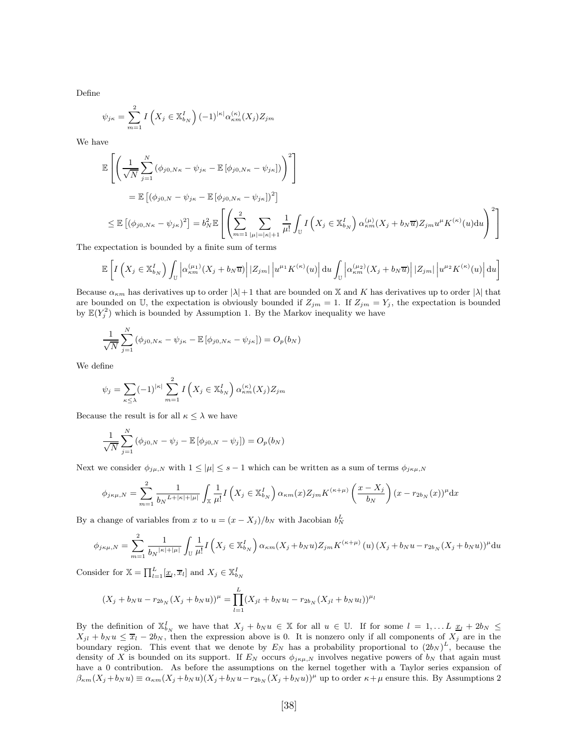Define

$$
\psi_{j\kappa} = \sum_{m=1}^{2} I\left(X_j \in \mathbb{X}_{b_N}^I\right) (-1)^{|\kappa|} \alpha_{\kappa m}^{(\kappa)}(X_j) Z_{jm}
$$

We have

$$
\mathbb{E}\left[\left(\frac{1}{\sqrt{N}}\sum_{j=1}^{N}\left(\phi_{j0,N\kappa}-\psi_{j\kappa}-\mathbb{E}\left[\phi_{j0,N\kappa}-\psi_{j\kappa}\right]\right)\right)^{2}\right]
$$
\n
$$
=\mathbb{E}\left[\left(\phi_{j0,N}-\psi_{j\kappa}-\mathbb{E}\left[\phi_{j0,N\kappa}-\psi_{j\kappa}\right]\right)^{2}\right]
$$
\n
$$
\leq \mathbb{E}\left[\left(\phi_{j0,N\kappa}-\psi_{j\kappa}\right)^{2}\right]=b_{N}^{2}\mathbb{E}\left[\left(\sum_{m=1}^{2}\sum_{|\mu|=|\kappa|+1}\frac{1}{\mu!}\int_{U}I\left(X_{j}\in\mathbb{X}_{b_{N}}^{I}\right)\alpha_{\kappa m}^{(\mu)}(X_{j}+b_{N}\overline{u})Z_{jm}u^{\mu}K^{(\kappa)}(u)\mathrm{d}u\right)^{2}\right]
$$
\nnotation is bounded by a finite curve of terms.

The expectation is bounded by a finite sum of terms

$$
\mathbb{E}\left[I\left(X_j \in \mathbb{X}_{b_N}^I\right)\int_{\mathbb{U}}\left|\alpha_{\kappa m}^{(\mu_1)}(X_j + b_N\overline{u})\right| |Z_{jm}| \left|u^{\mu_1}K^{(\kappa)}(u)\right| \mathrm{d}u \int_{\mathbb{U}}\left|\alpha_{\kappa m}^{(\mu_2)}(X_j + b_N\overline{u})\right| |Z_{jm}| \left|u^{\mu_2}K^{(\kappa)}(u)\right| \mathrm{d}u\right]
$$

Because  $\alpha_{\kappa m}$  has derivatives up to order  $|\lambda|+1$  that are bounded on X and K has derivatives up to order  $|\lambda|$  that are bounded on U, the expectation is obviously bounded if  $Z_{jm} = 1$ . If  $Z_{jm} = Y_j$ , the expectation is bounded by  $\mathbb{E}(Y_j^2)$  which is bounded by Assumption 1. By the Markov inequality we have

$$
\frac{1}{\sqrt{N}} \sum_{j=1}^{N} (\phi_{j0,N\kappa} - \psi_{j\kappa} - \mathbb{E} [\phi_{j0,N\kappa} - \psi_{j\kappa}]) = O_p(b_N)
$$

We define

$$
\psi_j = \sum_{\kappa \le \lambda} (-1)^{|\kappa|} \sum_{m=1}^2 I\left(X_j \in \mathbb{X}_{b_N}^I\right) \alpha_{\kappa m}^{(\kappa)}(X_j) Z_{jm}
$$

Because the result is for all  $\kappa \leq \lambda$  we have

$$
\frac{1}{\sqrt{N}}\sum_{j=1}^{N} (\phi_{j0,N} - \psi_j - \mathbb{E}[\phi_{j0,N} - \psi_j]) = O_p(b_N)
$$

Next we consider  $\phi_{j\mu,N}$  with  $1 \leq |\mu| \leq s-1$  which can be written as a sum of terms  $\phi_{j\kappa,\mu,N}$ 

$$
\phi_{j\kappa\mu,N} = \sum_{m=1}^2 \frac{1}{b_N L + |\kappa| + |\mu|} \int_{\mathbb{X}} \frac{1}{\mu!} I\left(X_j \in \mathbb{X}_{b_N}^I\right) \alpha_{\kappa m}(x) Z_{jm} K^{(\kappa+\mu)}\left(\frac{x - X_j}{b_N}\right) (x - r_{2b_N}(x))^{\mu} dx
$$

By a change of variables from x to  $u = (x - X_j)/b_N$  with Jacobian  $b_N^L$ 

$$
\phi_{j\kappa\mu,N} = \sum_{m=1}^{2} \frac{1}{b_N} \frac{1}{|\kappa| + |\mu|} \int_{\mathbb{U}} \frac{1}{\mu!} I\left(X_j \in \mathbb{X}_{b_N}^I\right) \alpha_{\kappa m}(X_j + b_N u) Z_{jm} K^{(\kappa + \mu)}\left(u\right) (X_j + b_N u - r_{2b_N} (X_j + b_N u))^{\mu} du
$$

Consider for  $\mathbb{X} = \prod_{l=1}^{L} [\underline{x}_l, \overline{x}_l]$  and  $X_j \in \mathbb{X}_{b_N}^I$ 

$$
(X_j + b_N u - r_{2b_N} (X_j + b_N u))^{\mu} = \prod_{l=1}^{L} (X_{jl} + b_N u_l - r_{2b_N} (X_{jl} + b_N u_l))^{\mu_l}
$$

By the definition of  $\mathbb{X}_{b_N}^I$  we have that  $X_j + b_N u \in \mathbb{X}$  for all  $u \in \mathbb{U}$ . If for some  $l = 1, \ldots L$   $\underline{x}_l + 2b_N \leq$  $X_{jl} + b_N u \le \overline{x}_l - 2b_N$ , then the expression above is 0. It is nonzero only if all components of  $X_j$  are in the boundary region. This event that we denote by  $E_N$  has a probability proportional to  $(2b_N)^L$ , because the density of X is bounded on its support. If  $E_N$  occurs  $\phi_{j\kappa\mu,N}$  involves negative powers of  $b_N$  that again must have a 0 contribution. As before the assumptions on the kernel together with a Taylor series expansion of  $\beta_{\kappa m}(X_j + b_N u) \equiv \alpha_{\kappa m}(X_j + b_N u)(X_j + b_N u - r_{2b_N}(X_j + b_N u))^{\mu}$  up to order  $\kappa + \mu$  ensure this. By Assumptions 2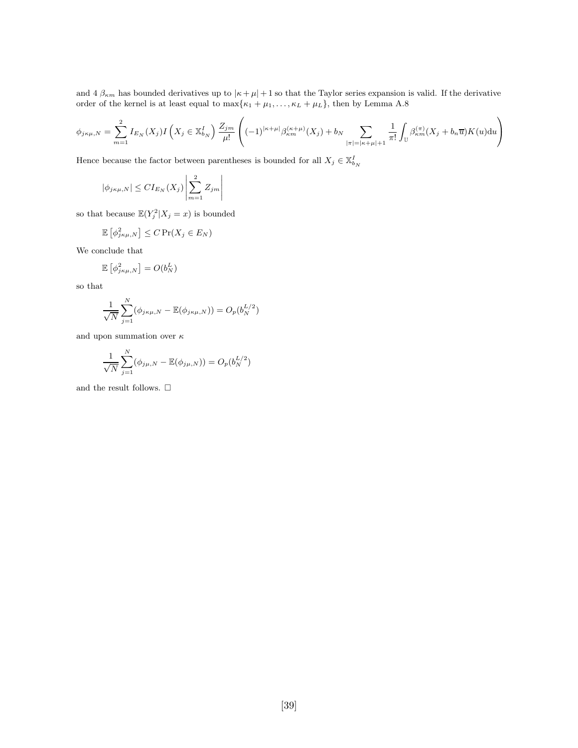and  $4 \beta_{\kappa m}$  has bounded derivatives up to  $|\kappa + \mu| + 1$  so that the Taylor series expansion is valid. If the derivative order of the kernel is at least equal to  $\max{\kappa_1 + \mu_1, \ldots, \kappa_L + \mu_L}$ , then by Lemma A.8

$$
\phi_{j\kappa\mu,N} = \sum_{m=1}^{2} I_{E_N}(X_j) I\left(X_j \in \mathbb{X}_{b_N}^I\right) \frac{Z_{j\,}}{\mu!} \left((-1)^{|\kappa+\mu|} \beta_{\kappa m}^{(\kappa+\mu)}(X_j) + b_N \sum_{|\pi|=|\kappa+\mu|+1} \frac{1}{\pi!} \int_{\mathbb{U}} \beta_{\kappa m}^{(\pi)}(X_j + b_n \overline{u}) K(u) \mathrm{d}u\right)
$$

Hence because the factor between parentheses is bounded for all  $X_j \in \mathbb{X}_{b_N}^I$ 

$$
|\phi_{j\kappa\mu,N}| \le CI_{E_N}(X_j) \left| \sum_{m=1}^2 Z_{jm} \right|
$$

so that because  $\mathbb{E}(Y_j^2 | X_j = x)$  is bounded

$$
\mathbb{E}\left[\phi_{j\kappa\mu,N}^2\right] \le C \Pr(X_j \in E_N)
$$

We conclude that

$$
\mathbb{E}\left[\phi_{j\kappa\mu,N}^2\right] = O(b_N^L)
$$

so that

$$
\frac{1}{\sqrt{N}} \sum_{j=1}^{N} (\phi_{j\kappa\mu,N} - \mathbb{E}(\phi_{j\kappa\mu,N})) = O_p(b_N^{L/2})
$$

and upon summation over  $\kappa$ 

$$
\frac{1}{\sqrt{N}}\sum_{j=1}^{N}(\phi_{j\mu,N}-\mathbb{E}(\phi_{j\mu,N}))=O_{p}(b_{N}^{L/2})
$$

and the result follows.  $\Box$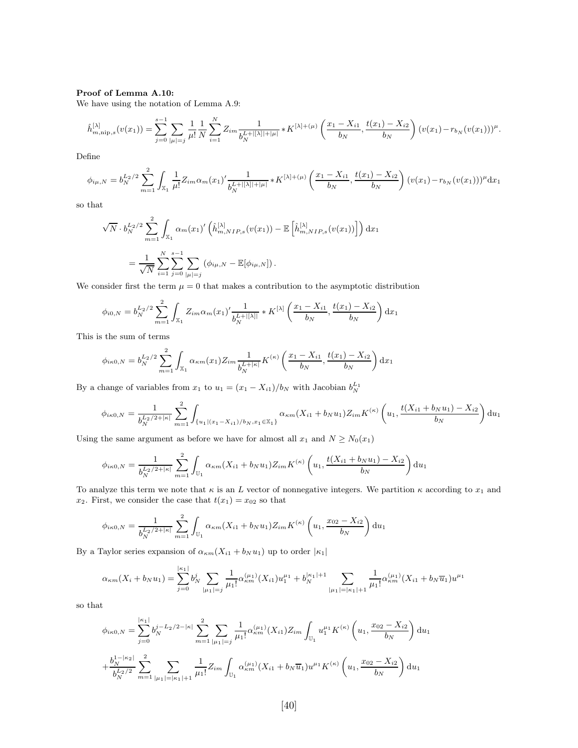#### Proof of Lemma A.10:

We have using the notation of Lemma A.9:

$$
\hat{h}_{m,\min,s}^{[\lambda]}(v(x_1)) = \sum_{j=0}^{s-1} \sum_{|\mu|=j} \frac{1}{\mu!} \frac{1}{N} \sum_{i=1}^N Z_{im} \frac{1}{b_N^{L+|[\lambda]|+|\mu|}} * K^{[\lambda]+(\mu)} \left(\frac{x_1 - X_{i1}}{b_N}, \frac{t(x_1) - X_{i2}}{b_N}\right) (v(x_1) - r_{b_N}(v(x_1)))^{\mu}.
$$

Define

$$
\phi_{i\mu,N} = b_N^{L_2/2} \sum_{m=1}^2 \int_{\mathbb{X}_1} \frac{1}{\mu!} Z_{im} \alpha_m(x_1)' \frac{1}{b_N^{L+|\lambda|+|\mu|}} * K^{|\lambda|+ (\mu)} \left( \frac{x_1 - X_{i1}}{b_N}, \frac{t(x_1) - X_{i2}}{b_N} \right) (v(x_1) - r_{b_N}(v(x_1)))^\mu \mathrm{d}x_1
$$

so that

$$
\sqrt{N} \cdot b_N^{L_2/2} \sum_{m=1}^2 \int_{\mathbb{X}_1} \alpha_m(x_1)' \left( \hat{h}_{m, NIP,s}^{[\lambda]}(v(x_1)) - \mathbb{E}\left[\hat{h}_{m, NIP,s}^{[\lambda]}(v(x_1))\right] \right) dx_1
$$
  
= 
$$
\frac{1}{\sqrt{N}} \sum_{i=1}^N \sum_{j=0}^{s-1} \sum_{|\mu|=j} (\phi_{i\mu, N} - \mathbb{E}[\phi_{i\mu, N}]).
$$

We consider first the term  $\mu = 0$  that makes a contribution to the asymptotic distribution

$$
\phi_{i0,N} = b_N^{L_2/2} \sum_{m=1}^2 \int_{\mathbb{X}_1} Z_{im} \alpha_m(x_1)' \frac{1}{b_N^{L+|[\lambda]|}} * K^{[\lambda]} \left( \frac{x_1 - X_{i1}}{b_N}, \frac{t(x_1) - X_{i2}}{b_N} \right) dx_1
$$

This is the sum of terms

$$
\phi_{i\kappa 0,N} = b_N^{L_2/2} \sum_{m=1}^2 \int_{\mathbb{X}_1} \alpha_{\kappa m}(x_1) Z_{im} \frac{1}{b_N^{L+|\kappa|}} K^{(\kappa)} \left( \frac{x_1 - X_{i1}}{b_N}, \frac{t(x_1) - X_{i2}}{b_N} \right) dx_1
$$

By a change of variables from  $x_1$  to  $u_1 = (x_1 - X_{i1})/b_N$  with Jacobian  $b_N^{L_1}$ 

$$
\phi_{i\kappa 0,N} = \frac{1}{b_N^{L_2/2+|\kappa|}} \sum_{m=1}^2 \int_{\{u_1|(x_1 - X_{i1})/b_N, x_1 \in \mathbb{X}_1\}} \alpha_{\kappa m}(X_{i1} + b_N u_1) Z_{im} K^{(\kappa)}\left(u_1, \frac{t(X_{i1} + b_N u_1) - X_{i2}}{b_N}\right) du_1
$$

Using the same argument as before we have for almost all  $x_1$  and  $N \ge N_0(x_1)$ 

$$
\phi_{i\kappa 0,N} = \frac{1}{b_N^{L_2/2+|\kappa|}} \sum_{m=1}^2 \int_{\mathbb{U}_1} \alpha_{\kappa m}(X_{i1} + b_N u_1) Z_{im} K^{(\kappa)}\left(u_1, \frac{t(X_{i1} + b_N u_1) - X_{i2}}{b_N}\right) \mathrm{d}u_1
$$

To analyze this term we note that  $\kappa$  is an L vector of nonnegative integers. We partition  $\kappa$  according to  $x_1$  and  $x_2$ . First, we consider the case that  $t(x_1) = x_{02}$  so that

$$
\phi_{i\kappa 0,N} = \frac{1}{b_N^{L_2/2+|\kappa|}} \sum_{m=1}^2 \int_{\mathbb{U}_1} \alpha_{\kappa m}(X_{i1} + b_N u_1) Z_{im} K^{(\kappa)}\left(u_1, \frac{x_{02} - X_{i2}}{b_N}\right) \mathrm{d}u_1
$$

By a Taylor series expansion of  $\alpha_{\kappa m}(X_{i1} + b_N u_1)$  up to order  $|\kappa_1|$ 

$$
\alpha_{\kappa m}(X_i + b_N u_1) = \sum_{j=0}^{|\kappa_1|} b_N^j \sum_{|\mu_1| = j} \frac{1}{\mu_1!} \alpha_{\kappa m}^{(\mu_1)}(X_{i1}) u_1^{\mu_1} + b_N^{|\kappa_1|+1} \sum_{|\mu_1| = |\kappa_1|+1} \frac{1}{\mu_1!} \alpha_{\kappa m}^{(\mu_1)}(X_{i1} + b_N \overline{u}_1) u^{\mu_1}
$$

so that

$$
\phi_{i\kappa 0,N} = \sum_{j=0}^{|\kappa_1|} b_N^{j-L_2/2-|\kappa|} \sum_{m=1}^2 \sum_{|\mu_1|=j} \frac{1}{\mu_1!} \alpha_{\kappa m}^{(\mu_1)}(X_{i1}) Z_{im} \int_{\mathbb{U}_1} u_1^{\mu_1} K^{(\kappa)} \left(u_1, \frac{x_{02} - X_{i2}}{b_N}\right) \mathrm{d}u_1
$$
  
+ 
$$
\frac{b_N^{1-|\kappa_2|}}{b_N^{L_2/2}} \sum_{m=1}^2 \sum_{|\mu_1|=|\kappa_1|+1} \frac{1}{\mu_1!} Z_{im} \int_{\mathbb{U}_1} \alpha_{\kappa m}^{(\mu_1)}(X_{i1} + b_N \overline{u}_1) u^{\mu_1} K^{(\kappa)} \left(u_1, \frac{x_{02} - X_{i2}}{b_N}\right) \mathrm{d}u_1
$$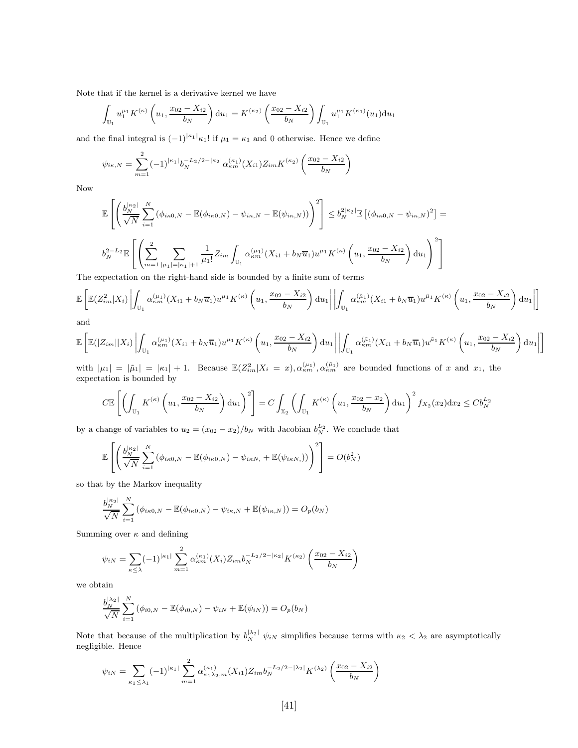Note that if the kernel is a derivative kernel we have

$$
\int_{\mathbb{U}_1} u_1^{\mu_1} K^{(\kappa)}\left(u_1, \frac{x_{02} - X_{i2}}{b_N}\right) \mathrm{d}u_1 = K^{(\kappa_2)}\left(\frac{x_{02} - X_{i2}}{b_N}\right) \int_{\mathbb{U}_1} u_1^{\mu_1} K^{(\kappa_1)}(u_1) \mathrm{d}u_1
$$

and the final integral is  $(-1)^{|\kappa_1|}\kappa_1!$  if  $\mu_1 = \kappa_1$  and 0 otherwise. Hence we define

$$
\psi_{i\kappa,N} = \sum_{m=1}^{2} (-1)^{|k_1|} b_N^{-L_2/2 - |k_2|} \alpha_{\kappa m}^{(k_1)}(X_{i1}) Z_{im} K^{(k_2)}\left(\frac{x_{02} - X_{i2}}{b_N}\right)
$$

Now

$$
\mathbb{E}\left[\left(\frac{b_N^{|\kappa_2|}}{\sqrt{N}}\sum_{i=1}^N\left(\phi_{i\kappa 0,N} - \mathbb{E}(\phi_{i\kappa 0,N}) - \psi_{i\kappa,N} - \mathbb{E}(\psi_{i\kappa,N})\right)\right)^2\right] \le b_N^{2|\kappa_2|} \mathbb{E}\left[\left(\phi_{i\kappa 0,N} - \psi_{i\kappa,N}\right)^2\right] = b_N^{2-L_2} \mathbb{E}\left[\left(\sum_{m=1}^2 \sum_{|\mu_1|=|\kappa_1|+1} \frac{1}{\mu_1!} Z_{im} \int_{\mathbb{U}_1} \alpha_{\kappa m}^{(\mu_1)}(X_{i1} + b_N \overline{u}_1) u^{\mu_1} K^{(\kappa)}\left(u_1, \frac{x_{02} - X_{i2}}{b_N}\right) du_1\right)^2\right]
$$

The expectation on the right-hand side is bounded by a finite sum of terms

$$
\mathbb{E}\left[\mathbb{E}(Z_{im}^2|X_i)\left|\int_{\mathbb{U}_1}\alpha_{km}^{(\mu_1)}(X_{i1}+b_N\overline{u}_1)u^{\mu_1}K^{(\kappa)}\left(u_1,\frac{x_{02}-X_{i2}}{b_N}\right)\mathrm{d}u_1\right|\left|\int_{\mathbb{U}_1}\alpha_{km}^{(\tilde{\mu}_1)}(X_{i1}+b_N\overline{u}_1)u^{\tilde{\mu}_1}K^{(\kappa)}\left(u_1,\frac{x_{02}-X_{i2}}{b_N}\right)\mathrm{d}u_1\right|\right]
$$

and

$$
\mathbb{E}\left[\mathbb{E}(|Z_{im}||X_i)\left|\int_{\mathbb{U}_1}\alpha_{km}^{(\mu_1)}(X_{i1}+b_N\overline{u}_1)u^{\mu_1}K^{(\kappa)}\left(u_1,\frac{x_{02}-X_{i2}}{b_N}\right)\mathrm{d}u_1\right|\left|\int_{\mathbb{U}_1}\alpha_{km}^{(\tilde{\mu}_1)}(X_{i1}+b_N\overline{u}_1)u^{\tilde{\mu}_1}K^{(\kappa)}\left(u_1,\frac{x_{02}-X_{i2}}{b_N}\right)\mathrm{d}u_1\right|\right]
$$

with  $|\mu_1| = |\tilde{\mu}_1| = |\kappa_1| + 1$ . Because  $\mathbb{E}(Z_{im}^2 | X_i = x), \alpha_{km}^{(\mu_1)}, \alpha_{km}^{(\tilde{\mu}_1)}$  are bounded functions of x and  $x_1$ , the expectation is bounded by

$$
C \mathbb{E}\left[\left(\int_{\mathbb{U}_1} K^{(\kappa)}\left(u_1, \frac{x_{02} - X_{i2}}{b_N}\right) \mathrm{d}u_1\right)^2\right] = C \int_{\mathbb{X}_2} \left(\int_{\mathbb{U}_1} K^{(\kappa)}\left(u_1, \frac{x_{02} - x_2}{b_N}\right) \mathrm{d}u_1\right)^2 f_{X_2}(x_2) \mathrm{d}x_2 \le C b_N^{L_2}
$$

by a change of variables to  $u_2 = (x_{02} - x_2)/b_N$  with Jacobian  $b_N^{L_2}$ . We conclude that

$$
\mathbb{E}\left[\left(\frac{b_N^{|\kappa_2|}}{\sqrt{N}}\sum_{i=1}^N\left(\phi_{i\kappa 0,N}-\mathbb{E}(\phi_{i\kappa 0,N})-\psi_{i\kappa N_i}+\mathbb{E}(\psi_{i\kappa N_i})\right)\right)^2\right]=O(b_N^2)
$$

so that by the Markov inequality

$$
\frac{b_N^{|\kappa_2|}}{\sqrt{N}} \sum_{i=1}^N (\phi_{i\kappa 0,N} - \mathbb{E}(\phi_{i\kappa 0,N}) - \psi_{i\kappa,N} + \mathbb{E}(\psi_{i\kappa,N})) = O_p(b_N)
$$

Summing over  $\kappa$  and defining

$$
\psi_{iN} = \sum_{\kappa \le \lambda} (-1)^{|\kappa_1|} \sum_{m=1}^2 \alpha_{\kappa m}^{(\kappa_1)}(X_i) Z_{im} b_N^{-L_2/2 - |\kappa_2|} K^{(\kappa_2)} \left( \frac{x_{02} - X_{i2}}{b_N} \right)
$$

we obtain

$$
\frac{b_N^{|\lambda_2|}}{\sqrt{N}} \sum_{i=1}^N (\phi_{i0,N} - \mathbb{E}(\phi_{i0,N}) - \psi_{iN} + \mathbb{E}(\psi_{iN})) = O_p(b_N)
$$

Note that because of the multiplication by  $b_N^{|\lambda_2|} \psi_{iN}$  simplifies because terms with  $\kappa_2 < \lambda_2$  are asymptotically negligible. Hence

$$
\psi_{iN} = \sum_{\kappa_1 \leq \lambda_1} (-1)^{|\kappa_1|} \sum_{m=1}^2 \alpha_{\kappa_1 \lambda_2, m}^{(\kappa_1)}(X_{i1}) Z_{im} b_N^{-L_2/2 - |\lambda_2|} K^{(\lambda_2)} \left( \frac{x_{02} - X_{i2}}{b_N} \right)
$$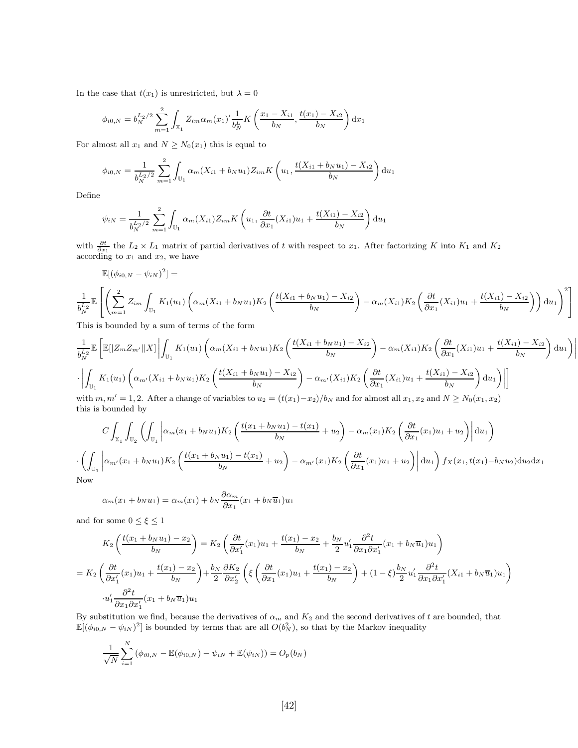In the case that  $t(x_1)$  is unrestricted, but  $\lambda = 0$ 

$$
\phi_{i0,N} = b_N^{L_2/2} \sum_{m=1}^2 \int_{\mathbb{X}_1} Z_{im} \alpha_m(x_1)' \frac{1}{b_N^L} K\left(\frac{x_1 - X_{i1}}{b_N}, \frac{t(x_1) - X_{i2}}{b_N}\right) dx_1
$$

For almost all  $x_1$  and  $N \geq N_0(x_1)$  this is equal to

$$
\phi_{i0,N} = \frac{1}{b_N^{L_2/2}} \sum_{m=1}^2 \int_{\mathbb{U}_1} \alpha_m (X_{i1} + b_N u_1) Z_{im} K\left(u_1, \frac{t(X_{i1} + b_N u_1) - X_{i2}}{b_N}\right) \mathrm{d}u_1
$$

Define

$$
\psi_{iN} = \frac{1}{b_N^{L_2/2}} \sum_{m=1}^{2} \int_{\mathbb{U}_1} \alpha_m(X_{i1}) Z_{im} K\left(u_1, \frac{\partial t}{\partial x_1}(X_{i1})u_1 + \frac{t(X_{i1}) - X_{i2}}{b_N}\right) \mathrm{d}u_1
$$

with  $\frac{\partial t}{\partial x_1}$  the  $L_2 \times L_1$  matrix of partial derivatives of t with respect to  $x_1$ . After factorizing K into  $K_1$  and  $K_2$ according to  $x_1$  and  $x_2$ , we have

$$
\mathbb{E}[(\phi_{i0,N} - \psi_{iN})^2] =
$$
\n
$$
\frac{1}{b_N^{L_2}} \mathbb{E}\left[\left(\sum_{m=1}^2 Z_{im} \int_{\mathbb{U}_1} K_1(u_1) \left(\alpha_m (X_{i1} + b_N u_1) K_2 \left(\frac{t(X_{i1} + b_N u_1) - X_{i2}}{b_N}\right) - \alpha_m (X_{i1}) K_2 \left(\frac{\partial t}{\partial x_1} (X_{i1}) u_1 + \frac{t(X_{i1}) - X_{i2}}{b_N}\right)\right) du_1\right)^2\right]
$$

This is bounded by a sum of terms of the form

$$
\frac{1}{b_N^{L_2}} \mathbb{E} \left[ \mathbb{E} [|Z_m Z_{m'}||X] | \int_{\mathbb{U}_1} K_1(u_1) \left( \alpha_m (X_{i1} + b_N u_1) K_2 \left( \frac{t(X_{i1} + b_N u_1) - X_{i2}}{b_N} \right) - \alpha_m (X_{i1}) K_2 \left( \frac{\partial t}{\partial x_1} (X_{i1}) u_1 + \frac{t(X_{i1}) - X_{i2}}{b_N} \right) du_1 \right) \right|
$$
  
 
$$
\cdot \left| \int_{\mathbb{U}_1} K_1(u_1) \left( \alpha_{m'} (X_{i1} + b_N u_1) K_2 \left( \frac{t(X_{i1} + b_N u_1) - X_{i2}}{b_N} \right) - \alpha_{m'} (X_{i1}) K_2 \left( \frac{\partial t}{\partial x_1} (X_{i1}) u_1 + \frac{t(X_{i1}) - X_{i2}}{b_N} \right) du_1 \right) \right| \right]
$$
  
with  $m m' = 1, 2$ . After a change of variables to  $u_2 = (t(x_1) - x_2)/b_N$  and for almost all  $x_1$ ,  $x_2$  and  $N > N_2(x_1, x_2)$ .

 $\frac{1}{2}$  $\bigg]$  $\begin{array}{c} \hline \end{array}$ 

with  $m, m' = 1, 2$ . After a change of variables to  $u_2 = (t(x_1) - x_2)/b_N$  and for almost all  $x_1, x_2$  and  $N \ge N_0(x_1, x_2)$ this is bounded by

$$
C\int_{\mathbb{X}_{1}}\int_{\mathbb{U}_{2}}\left(\int_{\mathbb{U}_{1}}\left|\alpha_{m}(x_{1}+b_{N}u_{1})K_{2}\left(\frac{t(x_{1}+b_{N}u_{1})-t(x_{1})}{b_{N}}+u_{2}\right)-\alpha_{m}(x_{1})K_{2}\left(\frac{\partial t}{\partial x_{1}}(x_{1})u_{1}+u_{2}\right)\right|du_{1}\right)
$$

$$
\cdot\left(\int_{\mathbb{U}_{1}}\left|\alpha_{m'}(x_{1}+b_{N}u_{1})K_{2}\left(\frac{t(x_{1}+b_{N}u_{1})-t(x_{1})}{b_{N}}+u_{2}\right)-\alpha_{m'}(x_{1})K_{2}\left(\frac{\partial t}{\partial x_{1}}(x_{1})u_{1}+u_{2}\right)\right|du_{1}\right)f_{X}(x_{1},t(x_{1})-b_{N}u_{2})du_{2}dx_{1}
$$
Now

 $\overline{N}$ 

$$
\alpha_m(x_1 + b_N u_1) = \alpha_m(x_1) + b_N \frac{\partial \alpha_m}{\partial x_1}(x_1 + b_N \overline{u}_1) u_1
$$

and for some  $0\leq\xi\leq1$ 

$$
K_2\left(\frac{t(x_1+b_Nu_1)-x_2}{b_N}\right) = K_2\left(\frac{\partial t}{\partial x_1'}(x_1)u_1 + \frac{t(x_1)-x_2}{b_N} + \frac{b_N}{2}u_1'\frac{\partial^2 t}{\partial x_1\partial x_1'}(x_1+b_N\overline{u}_1)u_1\right)
$$
  
= 
$$
K_2\left(\frac{\partial t}{\partial x_1'}(x_1)u_1 + \frac{t(x_1)-x_2}{b_N}\right) + \frac{b_N}{2}\frac{\partial K_2}{\partial x_2'}\left(\xi\left(\frac{\partial t}{\partial x_1}(x_1)u_1 + \frac{t(x_1)-x_2}{b_N}\right) + (1-\xi)\frac{b_N}{2}u_1'\frac{\partial^2 t}{\partial x_1\partial x_1'}(X_{i1}+b_N\overline{u}_1)u_1\right)
$$
  

$$
u_1'\frac{\partial^2 t}{\partial x_1\partial x_1'}(x_1+b_N\overline{u}_1)u_1
$$

By substitution we find, because the derivatives of  $\alpha_m$  and  $K_2$  and the second derivatives of t are bounded, that  $\mathbb{E}[(\phi_{i0,N} - \psi_{iN})^2]$  is bounded by terms that are all  $O(b_N^2)$ , so that by the Markov inequality

$$
\frac{1}{\sqrt{N}}\sum_{i=1}^{N} (\phi_{i0,N} - \mathbb{E}(\phi_{i0,N}) - \psi_{iN} + \mathbb{E}(\psi_{iN})) = O_p(b_N)
$$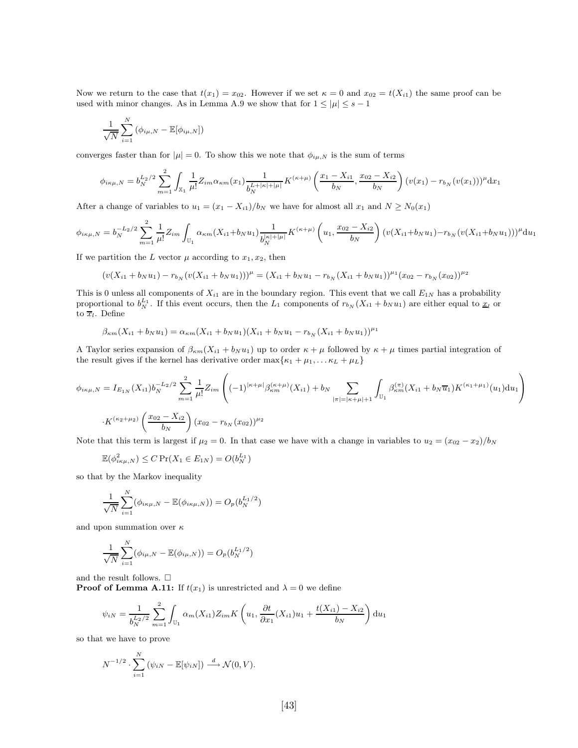Now we return to the case that  $t(x_1) = x_{02}$ . However if we set  $\kappa = 0$  and  $x_{02} = t(X_{i1})$  the same proof can be used with minor changes. As in Lemma A.9 we show that for  $1 \leq |\mu| \leq s - 1$ 

$$
\frac{1}{\sqrt{N}}\sum_{i=1}^{N}(\phi_{i\mu,N}-\mathbb{E}[\phi_{i\mu,N}])
$$

converges faster than for  $|\mu| = 0$ . To show this we note that  $\phi_{i\mu,N}$  is the sum of terms

$$
\phi_{i\kappa\mu,N} = b_N^{L_2/2} \sum_{m=1}^2 \int_{\mathbb{X}_1} \frac{1}{\mu!} Z_{im} \alpha_{\kappa m}(x_1) \frac{1}{b_N^{L+|\kappa|+|\mu|}} K^{(\kappa+\mu)} \left(\frac{x_1 - X_{i1}}{b_N}, \frac{x_{02} - X_{i2}}{b_N}\right) (v(x_1) - r_{b_N}(v(x_1)))^\mu \mathrm{d}x_1
$$

After a change of variables to  $u_1 = (x_1 - X_{i1})/b_N$  we have for almost all  $x_1$  and  $N \ge N_0(x_1)$ 

$$
\phi_{i\kappa\mu,N} = b_N^{-L_2/2} \sum_{m=1}^2 \frac{1}{\mu!} Z_{im} \int_{\mathbb{U}_1} \alpha_{\kappa m}(X_{i1} + b_N u_1) \frac{1}{b_N^{|\kappa|+|\mu|}} K^{(\kappa+\mu)}\left(u_1, \frac{x_{02} - X_{i2}}{b_N}\right) \left(v(X_{i1} + b_N u_1) - r_{b_N}(v(X_{i1} + b_N u_1))\right)^{\mu} du_1
$$

If we partition the L vector  $\mu$  according to  $x_1, x_2$ , then

$$
(v(X_{i1} + b_N u_1) - r_{b_N}(v(X_{i1} + b_N u_1)))^{\mu} = (X_{i1} + b_N u_1 - r_{b_N}(X_{i1} + b_N u_1))^{\mu_1}(x_{02} - r_{b_N}(x_{02}))^{\mu_2}
$$

This is 0 unless all components of  $X_{i1}$  are in the boundary region. This event that we call  $E_{1N}$  has a probability proportional to  $b_N^{L_1}$ . If this event occurs, then the  $L_1$  components of  $r_{b_N}(X_{i1} + b_N u_1)$  are either equal to  $\underline{x}_l$  or to  $\overline{x}_l$ . Define

$$
\beta_{\kappa m}(X_{i1} + b_N u_1) = \alpha_{\kappa m}(X_{i1} + b_N u_1)(X_{i1} + b_N u_1 - r_{b_N}(X_{i1} + b_N u_1))^{\mu_1}
$$

A Taylor series expansion of  $\beta_{\kappa m}(X_{i1} + b_N u_1)$  up to order  $\kappa + \mu$  followed by  $\kappa + \mu$  times partial integration of the result gives if the kernel has derivative order  $\max\{\kappa_1 + \mu_1, \dots \kappa_L + \mu_L\}$ 

$$
\phi_{i\kappa\mu,N} = I_{E_{1N}}(X_{i1})b_N^{-L_2/2} \sum_{m=1}^2 \frac{1}{\mu!} Z_{im} \left( (-1)^{|\kappa+\mu|} \beta_{\kappa m}^{(\kappa+\mu)}(X_{i1}) + b_N \sum_{|\pi|=|\kappa+\mu|+1} \int_{\mathbb{U}_1} \beta_{\kappa m}^{(\pi)}(X_{i1} + b_N \overline{u}_1) K^{(\kappa_1+\mu_1)}(u_1) \mathrm{d}u_1 \right)
$$

$$
\cdot K^{(\kappa_2+\mu_2)} \left( \frac{x_{02} - X_{i2}}{b_N} \right) (x_{02} - r_{b_N}(x_{02}))^{\mu_2}
$$

Note that this term is largest if  $\mu_2 = 0$ . In that case we have with a change in variables to  $u_2 = (x_{02} - x_2)/b_N$ 

$$
\mathbb{E}(\phi_{i\kappa\mu,N}^2) \le C \Pr(X_1 \in E_{1N}) = O(b_N^{L_1})
$$

so that by the Markov inequality

$$
\frac{1}{\sqrt{N}} \sum_{i=1}^{N} (\phi_{i\kappa\mu,N} - \mathbb{E}(\phi_{i\kappa\mu,N})) = O_p(b_N^{L_1/2})
$$

and upon summation over  $\kappa$ 

$$
\frac{1}{\sqrt{N}}\sum_{i=1}^{N}(\phi_{i\mu,N}-\mathbb{E}(\phi_{i\mu,N}))=O_p(b_N^{L_1/2})
$$

and the result follows.  $\square$ 

**Proof of Lemma A.11:** If  $t(x_1)$  is unrestricted and  $\lambda = 0$  we define

$$
\psi_{iN} = \frac{1}{b_N^{L_2/2}} \sum_{m=1}^{2} \int_{\mathbb{U}_1} \alpha_m(X_{i1}) Z_{im} K\left(u_1, \frac{\partial t}{\partial x_1}(X_{i1}) u_1 + \frac{t(X_{i1}) - X_{i2}}{b_N}\right) \mathrm{d}u_1
$$

so that we have to prove

$$
N^{-1/2} \cdot \sum_{i=1}^{N} (\psi_{iN} - \mathbb{E}[\psi_{iN}]) \xrightarrow{d} \mathcal{N}(0, V).
$$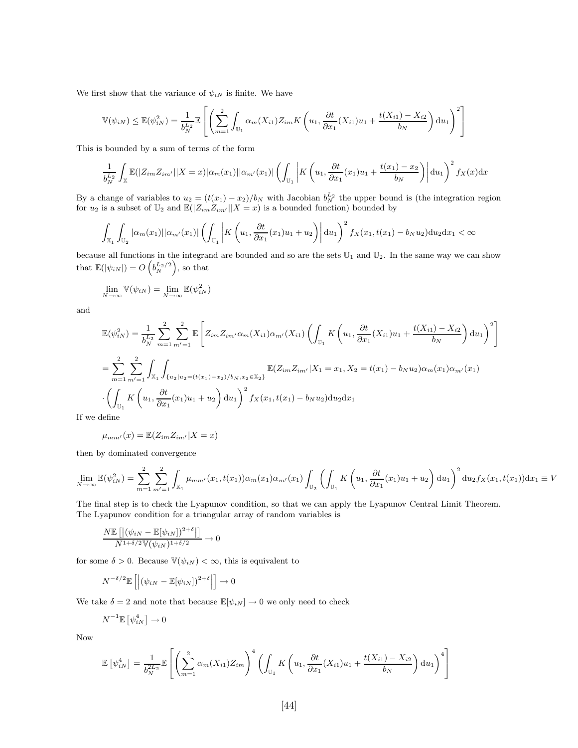We first show that the variance of  $\psi_{iN}$  is finite. We have

$$
\mathbb{V}(\psi_{iN}) \leq \mathbb{E}(\psi_{iN}^2) = \frac{1}{b_N^{L_2}} \mathbb{E}\left[\left(\sum_{m=1}^2 \int_{\mathbb{U}_1} \alpha_m(X_{i1}) Z_{im} K\left(u_1, \frac{\partial t}{\partial x_1}(X_{i1}) u_1 + \frac{t(X_{i1}) - X_{i2}}{b_N}\right) du_1\right)^2\right]
$$

This is bounded by a sum of terms of the form

$$
\frac{1}{b_N^{L_2}}\int_{\mathbb{X}}\mathbb{E}(|Z_{im}Z_{im'}||X=x)|\alpha_m(x_1)||\alpha_{m'}(x_1)|\left(\int_{\mathbb{U}_1}\left|K\left(u_1,\frac{\partial t}{\partial x_1}(x_1)u_1+\frac{t(x_1)-x_2}{b_N}\right)\right|du_1\right)^2f_X(x)dx
$$

By a change of variables to  $u_2 = (t(x_1) - x_2)/b_N$  with Jacobian  $b_N^{L_2}$  the upper bound is (the integration region for  $u_2$  is a subset of  $\mathbb{U}_2$  and  $\mathbb{E}(|Z_{im}Z_{im'}||X = x)$  is a bounded function) bounded by

$$
\int_{\mathbb{X}_1} \int_{\mathbb{U}_2} |\alpha_m(x_1)| |\alpha_{m'}(x_1)| \left( \int_{\mathbb{U}_1} \left| K\left(u_1, \frac{\partial t}{\partial x_1}(x_1)u_1 + u_2 \right) \right| \mathrm{d}u_1 \right)^2 f_X(x_1, t(x_1) - b_N u_2) \mathrm{d}u_2 \mathrm{d}x_1 < \infty
$$

because all functions in the integrand are bounded and so are the sets  $\mathbb{U}_1$  and  $\mathbb{U}_2$ . In the same way we can show that  $\mathbb{E}(|\psi_{iN}|) = O\left(b_N^{L_2/2}\right)$ , so that

$$
\lim_{N \to \infty} \mathbb{V}(\psi_{iN}) = \lim_{N \to \infty} \mathbb{E}(\psi_{iN}^2)
$$

and

$$
\mathbb{E}(\psi_{iN}^{2}) = \frac{1}{b_{N}^{L_{2}}} \sum_{m=1}^{2} \sum_{m'=1}^{2} \mathbb{E}\left[Z_{im}Z_{im'}\alpha_{m}(X_{i1})\alpha_{m'}(X_{i1})\left(\int_{\mathbb{U}_{1}} K\left(u_{1}, \frac{\partial t}{\partial x_{1}}(X_{i1})u_{1} + \frac{t(X_{i1}) - X_{i2}}{b_{N}}\right)du_{1}\right)^{2}\right]
$$
\n
$$
= \sum_{m=1}^{2} \sum_{m'=1}^{2} \int_{\mathbb{X}_{1}} \int_{\{u_{2}|u_{2} = (t(x_{1}) - x_{2})/b_{N}, x_{2} \in \mathbb{X}_{2}\}} \mathbb{E}(Z_{im}Z_{im'}|X_{1} = x_{1}, X_{2} = t(x_{1}) - b_{N}u_{2})\alpha_{m}(x_{1})\alpha_{m'}(x_{1})
$$
\n
$$
\cdot \left(\int_{\mathbb{U}_{1}} K\left(u_{1}, \frac{\partial t}{\partial x_{1}}(x_{1})u_{1} + u_{2}\right)du_{1}\right)^{2} f_{X}(x_{1}, t(x_{1}) - b_{N}u_{2})du_{2}dx_{1}
$$

If we define

$$
\mu_{mm'}(x) = \mathbb{E}(Z_{im}Z_{im'}|X=x)
$$

then by dominated convergence

$$
\lim_{N \to \infty} \mathbb{E}(\psi_{iN}^2) = \sum_{m=1}^2 \sum_{m'=1}^2 \int_{\mathbb{X}_1} \mu_{mm'}(x_1, t(x_1)) \alpha_m(x_1) \alpha_{m'}(x_1) \int_{\mathbb{U}_2} \left( \int_{\mathbb{U}_1} K\left(u_1, \frac{\partial t}{\partial x_1}(x_1) u_1 + u_2 \right) \mathrm{d}u_1 \right)^2 \mathrm{d}u_2 f_X(x_1, t(x_1)) \mathrm{d}x_1 \equiv V
$$

The final step is to check the Lyapunov condition, so that we can apply the Lyapunov Central Limit Theorem. The Lyapunov condition for a triangular array of random variables is

$$
\frac{N\mathbb{E}\left[\left|\left(\psi_{iN} - \mathbb{E}[\psi_{iN}]\right)^{2+\delta}\right|\right]}{N^{1+\delta/2}\mathbb{V}(\psi_{iN})^{1+\delta/2}} \to 0
$$

for some  $\delta > 0$ . Because  $\mathbb{V}(\psi_{iN}) < \infty$ , this is equivalent to

$$
N^{-\delta/2} \mathbb{E}\left[ \left| \left( \psi_{iN} - \mathbb{E}[\psi_{iN}] \right)^{2+\delta} \right| \right] \to 0
$$

We take  $\delta = 2$  and note that because  $\mathbb{E}[\psi_{iN}] \to 0$  we only need to check

$$
N^{-1}\mathbb{E}\left[\psi_{iN}^4\right] \to 0
$$

Now

$$
\mathbb{E}\left[\psi_{iN}^4\right] = \frac{1}{b_N^{2L_2}} \mathbb{E}\left[\left(\sum_{m=1}^2 \alpha_m(X_{i1}) Z_{im}\right)^4 \left(\int_{\mathbb{U}_1} K\left(u_1, \frac{\partial t}{\partial x_1}(X_{i1}) u_1 + \frac{t(X_{i1}) - X_{i2}}{b_N}\right) \mathrm{d}u_1\right)^4\right]
$$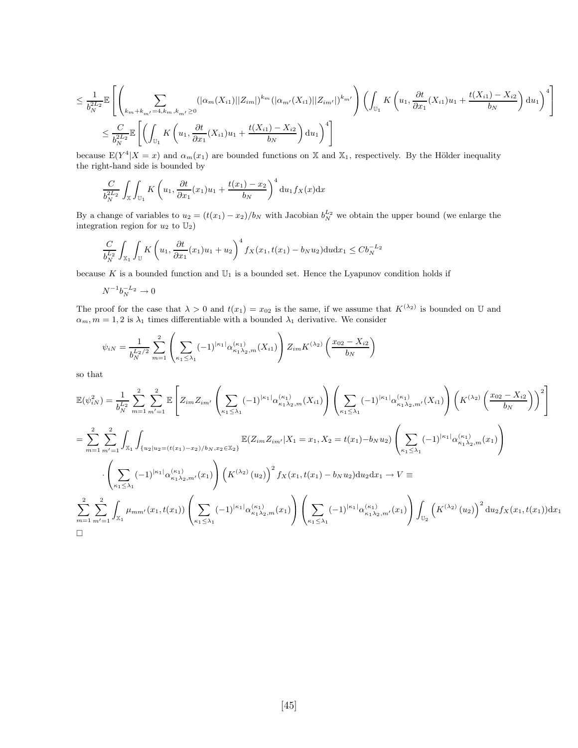$$
\leq \frac{1}{b_N^{2L_2}} \mathbb{E}\left[\left(\sum_{k_m+k_{m'}=4, k_m, k_{m'}\geq 0}(|\alpha_m(X_{i1})||Z_{im}|)^{k_m}(|\alpha_{m'}(X_{i1})||Z_{im'}|)^{k_{m'}}\right)\left(\int_{\mathbb{U}_1} K\left(u_1, \frac{\partial t}{\partial x_1}(X_{i1})u_1 + \frac{t(X_{i1}) - X_{i2}}{b_N}\right)du_1\right)^4\right]
$$
\n
$$
\leq \frac{C}{b_N^{2L_2}} \mathbb{E}\left[\left(\int_{\mathbb{U}_1} K\left(u_1, \frac{\partial t}{\partial x_1}(X_{i1})u_1 + \frac{t(X_{i1}) - X_{i2}}{b_N}\right)du_1\right)^4\right]
$$

because  $E(Y^4|X=x)$  and  $\alpha_m(x_1)$  are bounded functions on X and X<sub>1</sub>, respectively. By the Hölder inequality the right-hand side is bounded by

$$
\frac{C}{b_N^{2L_2}} \int_{\mathbb{X}} \int_{\mathbb{U}_1} K\left(u_1, \frac{\partial t}{\partial x_1}(x_1)u_1 + \frac{t(x_1) - x_2}{b_N}\right)^4 du_1 f_X(x) dx
$$

By a change of variables to  $u_2 = (t(x_1) - x_2)/b_N$  with Jacobian  $b_N^{L_2}$  we obtain the upper bound (we enlarge the integration region for  $u_2$  to  $\mathbb{U}_2$ )

$$
\frac{C}{b_N^{L_2}} \int_{\mathbb{X}_1} \int_{\mathbb{U}} K\left(u_1, \frac{\partial t}{\partial x_1}(x_1)u_1 + u_2\right)^4 f_X(x_1, t(x_1) - b_N u_2) \mathrm{d}u \mathrm{d}x_1 \le Cb_N^{-L_2}
$$

because K is a bounded function and  $\mathbb{U}_1$  is a bounded set. Hence the Lyapunov condition holds if

$$
N^{-1}b_N^{-L_2}\to 0
$$

The proof for the case that  $\lambda > 0$  and  $t(x_1) = x_{02}$  is the same, if we assume that  $K^{(\lambda_2)}$  is bounded on U and  $\alpha_m, m = 1, 2$  is  $\lambda_1$  times differentiable with a bounded  $\lambda_1$  derivative. We consider

$$
\psi_{iN} = \frac{1}{b_N^{L_2/2}} \sum_{m=1}^2 \left( \sum_{\kappa_1 \le \lambda_1} (-1)^{|\kappa_1|} \alpha_{\kappa_1 \lambda_2, m}^{(\kappa_1)}(X_{i1}) \right) Z_{im} K^{(\lambda_2)} \left( \frac{x_{02} - X_{i2}}{b_N} \right)
$$

so that

$$
\mathbb{E}(\psi_{iN}^{2}) = \frac{1}{b_{N}^{L_{2}}} \sum_{m=1}^{2} \sum_{m'=1}^{2} \mathbb{E}\left[Z_{im} Z_{im'} \left(\sum_{\kappa_{1} \leq \lambda_{1}} (-1)^{|\kappa_{1}|} \alpha_{\kappa_{1} \lambda_{2},m}^{(\kappa_{1})}(X_{i1})\right) \left(\sum_{\kappa_{1} \leq \lambda_{1}} (-1)^{|\kappa_{1}|} \alpha_{\kappa_{1} \lambda_{2},m'}^{(\kappa_{1})}(X_{i1})\right) \left(K^{(\lambda_{2})} \left(\frac{x_{02} - X_{i2}}{b_{N}}\right)\right)^{2}\right]
$$
\n
$$
= \sum_{m=1}^{2} \sum_{m'=1}^{2} \int_{X_{1}} \int_{\{u_{2}|u_{2} = (t(x_{1}) - x_{2})/b_{N}, x_{2} \in \mathbb{X}_{2}\}} \mathbb{E}(Z_{im} Z_{im'} | X_{1} = x_{1}, X_{2} = t(x_{1}) - b_{N} u_{2}) \left(\sum_{\kappa_{1} \leq \lambda_{1}} (-1)^{|\kappa_{1}|} \alpha_{\kappa_{1} \lambda_{2},m}^{(\kappa_{1})}(x_{1})\right)
$$
\n
$$
\cdot \left(\sum_{\kappa_{1} \leq \lambda_{1}} (-1)^{|\kappa_{1}|} \alpha_{\kappa_{1} \lambda_{2},m'}^{(\kappa_{1})}(x_{1})\right) \left(K^{(\lambda_{2})} (u_{2})\right)^{2} f_{X}(x_{1}, t(x_{1}) - b_{N} u_{2}) du_{2} dx_{1} \to V \equiv
$$
\n
$$
\sum_{m=1}^{2} \sum_{m'=1}^{2} \int_{X_{1}} \mu_{mm'}(x_{1}, t(x_{1})) \left(\sum_{\kappa_{1} \leq \lambda_{1}} (-1)^{|\kappa_{1}|} \alpha_{\kappa_{1} \lambda_{2},m}^{(\kappa_{1})}(x_{1})\right) \left(\sum_{\kappa_{1} \leq \lambda_{1}} (-1)^{|\kappa_{1}|} \alpha_{\kappa_{1} \lambda_{2},m'}^{(\kappa_{1})}(x_{1})\right) \int_{\mathbb{U}_{2}} \left(K^{(\lambda_{2})} (u_{2})\right)^{2} du_{2} f_{X}(x_{1}, t
$$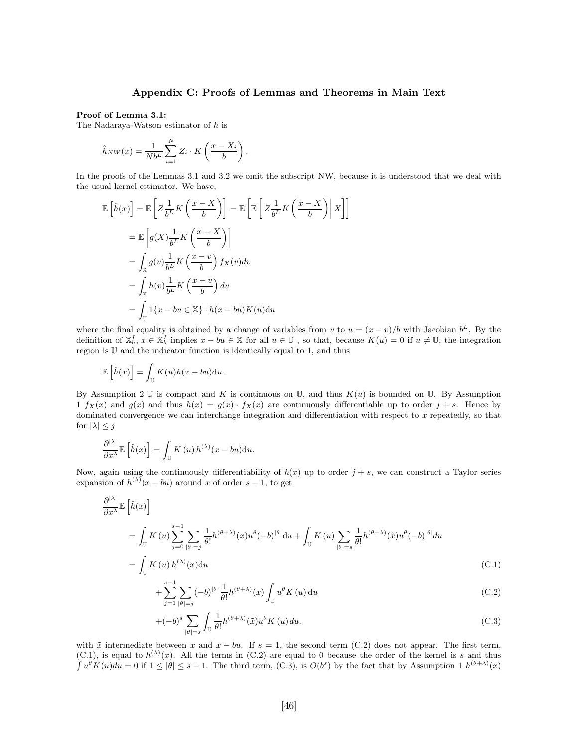#### Appendix C: Proofs of Lemmas and Theorems in Main Text

#### Proof of Lemma 3.1:

The Nadaraya-Watson estimator of h is

$$
\hat{h}_{NW}(x) = \frac{1}{Nb^L} \sum_{i=1}^{N} Z_i \cdot K\left(\frac{x - X_i}{b}\right).
$$

In the proofs of the Lemmas 3.1 and 3.2 we omit the subscript NW, because it is understood that we deal with the usual kernel estimator. We have,

$$
\mathbb{E}\left[\hat{h}(x)\right] = \mathbb{E}\left[Z\frac{1}{b^L}K\left(\frac{x-X}{b}\right)\right] = \mathbb{E}\left[\mathbb{E}\left[Z\frac{1}{b^L}K\left(\frac{x-X}{b}\right)\right|X\right]\right]
$$

$$
= \mathbb{E}\left[g(X)\frac{1}{b^L}K\left(\frac{x-X}{b}\right)\right]
$$

$$
= \int_{\mathbb{X}}g(v)\frac{1}{b^L}K\left(\frac{x-v}{b}\right)f_X(v)dv
$$

$$
= \int_{\mathbb{X}}h(v)\frac{1}{b^L}K\left(\frac{x-v}{b}\right)dv
$$

$$
= \int_{\mathbb{U}}1\{x-bu\in\mathbb{X}\}\cdot h(x-bu)K(u)du
$$

where the final equality is obtained by a change of variables from v to  $u = (x - v)/b$  with Jacobian  $b^L$ . By the definition of  $\mathbb{X}_b^I$ ,  $x \in \mathbb{X}_b^I$  implies  $x - bu \in \mathbb{X}$  for all  $u \in \mathbb{U}$ , so that, because  $K(u) = 0$  if  $u \neq \mathbb{U}$ , the integration region is U and the indicator function is identically equal to 1, and thus

$$
\mathbb{E}\left[\hat{h}(x)\right] = \int_{\mathbb{U}} K(u)h(x - bu) \mathrm{d}u.
$$

By Assumption 2 U is compact and K is continuous on U, and thus  $K(u)$  is bounded on U. By Assumption 1  $f_X(x)$  and  $g(x)$  and thus  $h(x) = g(x) \cdot f_X(x)$  are continuously differentiable up to order  $j + s$ . Hence by dominated convergence we can interchange integration and differentiation with respect to  $x$  repeatedly, so that for  $|\lambda| \leq j$ 

$$
\frac{\partial^{|\lambda|}}{\partial x^{\lambda}} \mathbb{E}\left[\hat{h}(x)\right] = \int_{\mathbb{U}} K(u) h^{(\lambda)}(x - bu) \mathrm{d}u.
$$

Now, again using the continuously differentiability of  $h(x)$  up to order  $j + s$ , we can construct a Taylor series expansion of  $h^{(\lambda)}(x - bu)$  around x of order  $s - 1$ , to get

$$
\frac{\partial^{|\lambda|}}{\partial x^{\lambda}} \mathbb{E} \left[ \hat{h}(x) \right]
$$
\n
$$
= \int_{\mathbb{U}} K(u) \sum_{j=0}^{s-1} \sum_{|\theta|=j} \frac{1}{\theta!} h^{(\theta+\lambda)}(x) u^{\theta}(-b)^{|\theta|} \mathrm{d}u + \int_{\mathbb{U}} K(u) \sum_{|\theta|=s} \frac{1}{\theta!} h^{(\theta+\lambda)}(\tilde{x}) u^{\theta}(-b)^{|\theta|} \mathrm{d}u
$$
\n
$$
= \int_{\mathbb{U}} K(u) h^{(\lambda)}(x) \mathrm{d}u \tag{C.1}
$$

$$
+\sum_{j=1}^{s-1}\sum_{|\theta|=j}(-b)^{|\theta|}\frac{1}{\theta!}h^{(\theta+\lambda)}(x)\int_{\mathbb{U}}u^{\theta}K(u)\,\mathrm{d}u\tag{C.2}
$$

$$
+(-b)^{s} \sum_{|\theta|=s} \int_{\mathbb{U}} \frac{1}{\theta!} h^{(\theta+\lambda)}(\tilde{x}) u^{\theta} K(u) du.
$$
 (C.3)

with  $\tilde{x}$  intermediate between x and  $x - bu$ . If  $s = 1$ , the second term (C.2) does not appear. The first term, (C.1), is equal to  $h^{(\lambda)}(x)$ . All the terms in (C.2) are equal to 0 because the order of the kernel is s and thus  $\int u^{\theta} K(u) du = 0$  if  $1 \leq |\theta| \leq s - 1$ . The third term, (C.3), is  $O(b^s)$  by the fact that by Assumption 1  $h^{(\theta+\lambda)}(x)$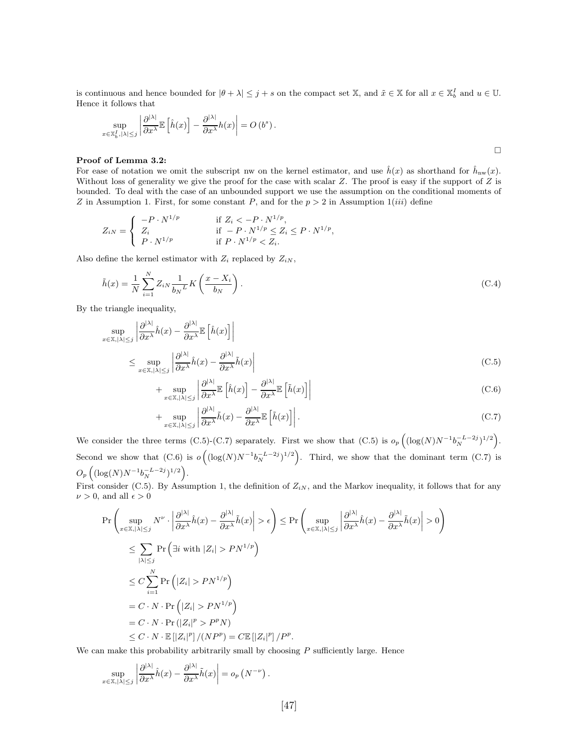is continuous and hence bounded for  $|\theta + \lambda| \leq j + s$  on the compact set X, and  $\tilde{x} \in \mathbb{X}$  for all  $x \in \mathbb{X}_b^I$  and  $u \in \mathbb{U}$ . Hence it follows that

$$
\sup_{x \in \mathbb{X}_b^I, |\lambda| \leq j} \left| \frac{\partial^{|\lambda|}}{\partial x^{\lambda}} \mathbb{E}\left[\hat{h}(x)\right] - \frac{\partial^{|\lambda|}}{\partial x^{\lambda}} h(x)\right| = O\left(b^s\right).
$$

#### Proof of Lemma 3.2:

For ease of notation we omit the subscript nw on the kernel estimator, and use  $\hat{h}(x)$  as shorthand for  $\hat{h}_{nw}(x)$ . Without loss of generality we give the proof for the case with scalar  $Z$ . The proof is easy if the support of  $Z$  is bounded. To deal with the case of an unbounded support we use the assumption on the conditional moments of Z in Assumption 1. First, for some constant P, and for the  $p > 2$  in Assumption 1(*iii*) define

$$
Z_{iN} = \begin{cases} -P \cdot N^{1/p} & \text{if } Z_i < -P \cdot N^{1/p}, \\ Z_i & \text{if } -P \cdot N^{1/p} \le Z_i \le P \cdot N^{1/p}, \\ P \cdot N^{1/p} & \text{if } P \cdot N^{1/p} < Z_i. \end{cases}
$$

Also define the kernel estimator with  $Z_i$  replaced by  $Z_{iN}$ ,

$$
\tilde{h}(x) = \frac{1}{N} \sum_{i=1}^{N} Z_{iN} \frac{1}{b_N L} K\left(\frac{x - X_i}{b_N}\right). \tag{C.4}
$$

By the triangle inequality,

$$
\sup_{x \in \mathbb{X}, |\lambda| \le j} \left| \frac{\partial^{|\lambda|}}{\partial x^{\lambda}} \hat{h}(x) - \frac{\partial^{|\lambda|}}{\partial x^{\lambda}} \mathbb{E} \left[ \hat{h}(x) \right] \right|
$$
\n
$$
\le \sup_{x \in \mathbb{X}, |\lambda| \le j} \left| \frac{\partial^{|\lambda|}}{\partial x^{\lambda}} \hat{h}(x) - \frac{\partial^{|\lambda|}}{\partial x^{\lambda}} \tilde{h}(x) \right| \tag{C.5}
$$

$$
+\sup_{x\in\mathbb{X},|\lambda|\leq j}\left|\frac{\partial^{|\lambda|}}{\partial x^{\lambda}}\mathbb{E}\left[\hat{h}(x)\right]-\frac{\partial^{|\lambda|}}{\partial x^{\lambda}}\mathbb{E}\left[\tilde{h}(x)\right]\right|\tag{C.6}
$$

+ 
$$
\sup_{x \in \mathbb{X}, |\lambda| \le j} \left| \frac{\partial^{|\lambda|}}{\partial x^{\lambda}} \tilde{h}(x) - \frac{\partial^{|\lambda|}}{\partial x^{\lambda}} \mathbb{E} \left[ \tilde{h}(x) \right] \right|.
$$
 (C.7)

We consider the three terms (C.5)-(C.7) separately. First we show that (C.5) is  $o_p\left( (\log(N)N^{-1}b_N^{-L-2j})^{1/2} \right)$ . Second we show that  $(C.6)$  is  $o((\log(N)N^{-1}b_N^{-L-2j})^{1/2})$ . Third, we show that the dominant term  $(C.7)$  is  $O_p\left((\log(N)N^{-1}b_N^{-L-2j})^{1/2}\right).$ 

First consider (C.5). By Assumption 1, the definition of  $Z_{iN}$ , and the Markov inequality, it follows that for any  $\nu>0,$  and all  $\epsilon>0$ 

$$
\Pr\left(\sup_{x\in\mathbb{X},|\lambda|\leq j} N^{\nu}\cdot \left|\frac{\partial^{|\lambda|}}{\partial x^{\lambda}}\hat{h}(x) - \frac{\partial^{|\lambda|}}{\partial x^{\lambda}}\tilde{h}(x)\right| > \epsilon\right) \leq \Pr\left(\sup_{x\in\mathbb{X},|\lambda|\leq j} \left|\frac{\partial^{|\lambda|}}{\partial x^{\lambda}}\hat{h}(x) - \frac{\partial^{|\lambda|}}{\partial x^{\lambda}}\tilde{h}(x)\right| > 0\right)
$$
\n
$$
\leq \sum_{|\lambda|\leq j} \Pr\left(\exists i \text{ with } |Z_i| > PN^{1/p}\right)
$$
\n
$$
\leq C \sum_{i=1}^N \Pr\left(|Z_i| > PN^{1/p}\right)
$$
\n
$$
= C \cdot N \cdot \Pr\left(|Z_i| > PN^{1/p}\right)
$$
\n
$$
= C \cdot N \cdot \Pr(|Z_i|^p > P^p N)
$$
\n
$$
\leq C \cdot N \cdot \mathbb{E}[|Z_i|^p]/(NP^p) = C \mathbb{E}[|Z_i|^p]/P^p.
$$

We can make this probability arbitrarily small by choosing  $P$  sufficiently large. Hence

$$
\sup_{x\in\mathbb{X},|\lambda|\leq j}\left|\frac{\partial^{|\lambda|}}{\partial x^{\lambda}}\hat{h}(x)-\frac{\partial^{|\lambda|}}{\partial x^{\lambda}}\tilde{h}(x)\right|=o_p\left(N^{-\nu}\right).
$$

 $\Box$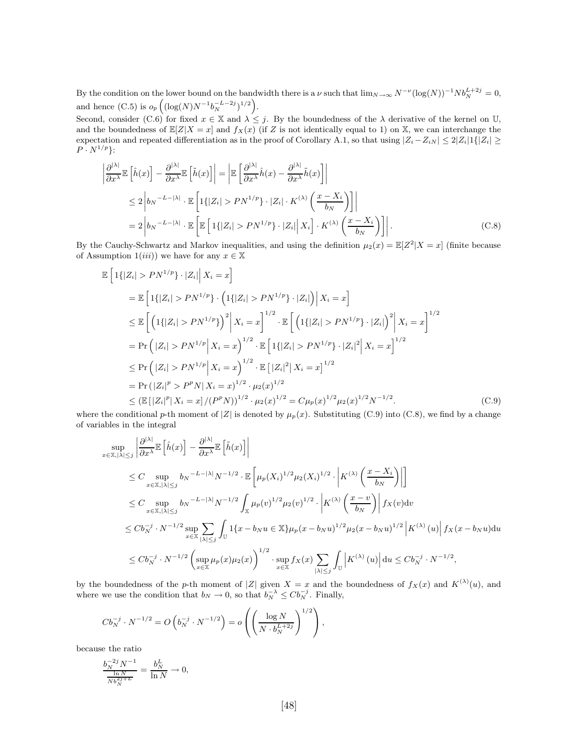By the condition on the lower bound on the bandwidth there is a  $\nu$  such that  $\lim_{N\to\infty} N^{-\nu} (\log(N))^{-1} N b_N^{L+2j} = 0$ , and hence (C.5) is  $o_p\left( (\log(N)N^{-1}b_N^{-L-2j})^{1/2} \right)$ .

Second, consider (C.6) for fixed  $x \in \mathbb{X}$  and  $\lambda \leq j$ . By the boundedness of the  $\lambda$  derivative of the kernel on U, and the boundedness of  $\mathbb{E}[Z|X=x]$  and  $f_X(x)$  (if Z is not identically equal to 1) on X, we can interchange the expectation and repeated differentiation as in the proof of Corollary A.1, so that using  $|Z_i - Z_{iN}| \leq 2|Z_i|1\{|Z_i| \geq$  $P \cdot N^{1/p}$ :

$$
\left| \frac{\partial^{|\lambda|}}{\partial x^{\lambda}} \mathbb{E} \left[ \hat{h}(x) \right] - \frac{\partial^{|\lambda|}}{\partial x^{\lambda}} \mathbb{E} \left[ \tilde{h}(x) \right] \right| = \left| \mathbb{E} \left[ \frac{\partial^{|\lambda|}}{\partial x^{\lambda}} \hat{h}(x) - \frac{\partial^{|\lambda|}}{\partial x^{\lambda}} \tilde{h}(x) \right] \right|
$$
  
\n
$$
\leq 2 \left| b_N^{-L-|\lambda|} \cdot \mathbb{E} \left[ 1\{|Z_i| > PN^{1/p}\} \cdot |Z_i| \cdot K^{(\lambda)} \left( \frac{x - X_i}{b_N} \right) \right] \right|
$$
  
\n
$$
= 2 \left| b_N^{-L-|\lambda|} \cdot \mathbb{E} \left[ \mathbb{E} \left[ 1\{|Z_i| > PN^{1/p}\} \cdot |Z_i| \right] X_i \right] \cdot K^{(\lambda)} \left( \frac{x - X_i}{b_N} \right) \right| \right].
$$
 (C.8)

By the Cauchy-Schwartz and Markov inequalities, and using the definition  $\mu_2(x) = \mathbb{E}[Z^2 | X = x]$  (finite because of Assumption  $1(iii)$  we have for any  $x \in \mathbb{X}$ 

$$
\mathbb{E}\left[1\{|Z_i| > PN^{1/p}\}\cdot |Z_i|\middle|X_i = x\right]
$$
\n
$$
= \mathbb{E}\left[1\{|Z_i| > PN^{1/p}\}\cdot \left(1\{|Z_i| > PN^{1/p}\}\cdot |Z_i|\right)\middle|X_i = x\right]
$$
\n
$$
\leq \mathbb{E}\left[\left(1\{|Z_i| > PN^{1/p}\}\right)^2\middle|X_i = x\right]^{1/2}\cdot \mathbb{E}\left[\left(1\{|Z_i| > PN^{1/p}\}\cdot |Z_i|\right)^2\middle|X_i = x\right]^{1/2}
$$
\n
$$
= \Pr\left(|Z_i| > PN^{1/p}\middle|X_i = x\right)^{1/2}\cdot \mathbb{E}\left[1\{|Z_i| > PN^{1/p}\}\cdot |Z_i|^2\middle|X_i = x\right]^{1/2}
$$
\n
$$
\leq \Pr\left(|Z_i| > PN^{1/p}\middle|X_i = x\right)^{1/2}\cdot \mathbb{E}\left[|Z_i|^2\middle|X_i = x\right]^{1/2}
$$
\n
$$
= \Pr\left(|Z_i|^p > P^pN\middle|X_i = x\right)^{1/2}\cdot \mu_2(x)^{1/2}
$$
\n
$$
\leq (\mathbb{E}\left[|Z_i|^p\middle|X_i = x\right]/(P^pN))^{1/2}\cdot \mu_2(x)^{1/2} = C\mu_p(x)^{1/2}\mu_2(x)^{1/2}N^{-1/2}.\tag{C.9}
$$

where the conditional p-th moment of  $|Z|$  is denoted by  $\mu<sub>p</sub>(x)$ . Substituting (C.9) into (C.8), we find by a change of variables in the integral

$$
\sup_{x \in \mathbb{X}, |\lambda| \leq j} \left| \frac{\partial^{|\lambda|}}{\partial x^{\lambda}} \mathbb{E} \left[ \hat{h}(x) \right] - \frac{\partial^{|\lambda|}}{\partial x^{\lambda}} \mathbb{E} \left[ \tilde{h}(x) \right] \right|
$$
\n
$$
\leq C \sup_{x \in \mathbb{X}, |\lambda| \leq j} b_N^{-L - |\lambda|} N^{-1/2} \cdot \mathbb{E} \left[ \mu_p(X_i)^{1/2} \mu_2(X_i)^{1/2} \cdot \left| K^{(\lambda)} \left( \frac{x - X_i}{b_N} \right) \right| \right]
$$
\n
$$
\leq C \sup_{x \in \mathbb{X}, |\lambda| \leq j} b_N^{-L - |\lambda|} N^{-1/2} \int_{\mathbb{X}} \mu_p(v)^{1/2} \mu_2(v)^{1/2} \cdot \left| K^{(\lambda)} \left( \frac{x - v}{b_N} \right) \right| f_X(v) dv
$$
\n
$$
\leq C b_N^{-j} \cdot N^{-1/2} \sup_{x \in \mathbb{X}} \sum_{|\lambda| \leq j} \int_{\mathbb{U}} 1\{x - b_N u \in \mathbb{X}\} \mu_p(x - b_N u)^{1/2} \mu_2(x - b_N u)^{1/2} \left| K^{(\lambda)} (u) \right| f_X(x - b_N u) du
$$
\n
$$
\leq C b_N^{-j} \cdot N^{-1/2} \left( \sup_{x \in \mathbb{X}} \mu_p(x) \mu_2(x) \right)^{1/2} \cdot \sup_{x \in \mathbb{X}} f_X(x) \sum_{|\lambda| \leq j} \int_{\mathbb{U}} \left| K^{(\lambda)} (u) \right| du \leq C b_N^{-j} \cdot N^{-1/2},
$$

by the boundedness of the p-th moment of |Z| given  $X = x$  and the boundedness of  $f_X(x)$  and  $K^{(\lambda)}(u)$ , and where we use the condition that  $b_N \to 0$ , so that  $b_N^{-\lambda} \leq C b_N^{-j}$ . Finally,

$$
Cb_N^{-j} \cdot N^{-1/2} = O\left(b_N^{-j} \cdot N^{-1/2}\right) = o\left(\left(\frac{\log N}{N \cdot b_N^{L+2j}}\right)^{1/2}\right),\,
$$

because the ratio

$$
\frac{b_N^{-2j} N^{-1}}{\frac{\ln N}{N b_N^{2j+L}}} = \frac{b_N^L}{\ln N} \to 0,
$$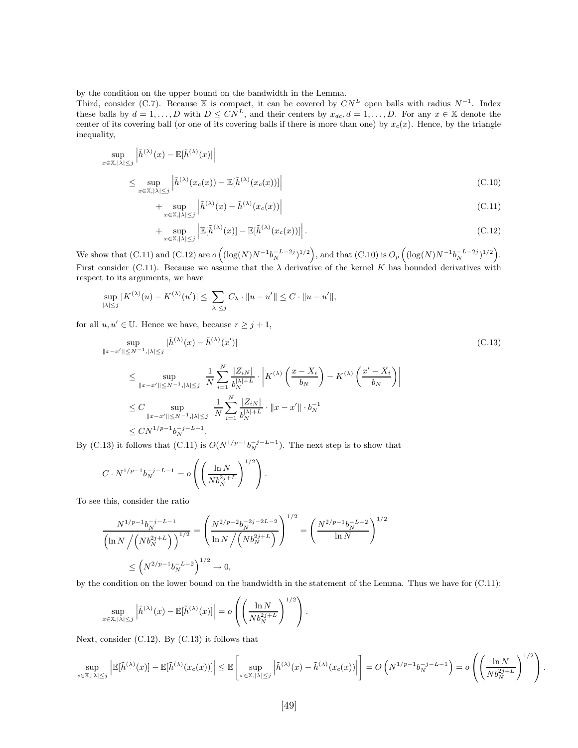by the condition on the upper bound on the bandwidth in the Lemma.

Third, consider (C.7). Because X is compact, it can be covered by  $CN^L$  open balls with radius  $N^{-1}$ . Index these balls by  $d = 1, ..., D$  with  $D \leq C N^L$ , and their centers by  $x_{dc}$ ,  $d = 1, ..., D$ . For any  $x \in \mathbb{X}$  denote the center of its covering ball (or one of its covering balls if there is more than one) by  $x_c(x)$ . Hence, by the triangle inequality,

$$
\sup_{x \in \mathbb{X}, |\lambda| \le j} \left| \tilde{h}^{(\lambda)}(x) - \mathbb{E}[\tilde{h}^{(\lambda)}(x)] \right|
$$
\n
$$
\le \sup_{x \in \mathbb{X}, |\lambda| \le j} \left| \tilde{h}^{(\lambda)}(x_c(x)) - \mathbb{E}[\tilde{h}^{(\lambda)}(x_c(x))] \right|
$$
\n(C.10)

+ 
$$
\sup_{x \in \mathbb{X}, |\lambda| \le j} \left| \tilde{h}^{(\lambda)}(x) - \tilde{h}^{(\lambda)}(x_c(x)) \right|
$$
 (C.11)

+ 
$$
\sup_{x \in \mathbb{X}, |\lambda| \leq j} \left| \mathbb{E}[\tilde{h}^{(\lambda)}(x)] - \mathbb{E}[\tilde{h}^{(\lambda)}(x_c(x))] \right|.
$$
 (C.12)

We show that  $(C.11)$  and  $(C.12)$  are  $o((\log(N)N^{-1}b_N^{-L-2j})^{1/2})$ , and that  $(C.10)$  is  $O_p((\log(N)N^{-1}b_N^{-L-2j})^{1/2})$ . First consider (C.11). Because we assume that the  $\lambda$  derivative of the kernel K has bounded derivatives with respect to its arguments, we have

$$
\sup_{|\lambda| \leq j} |K^{(\lambda)}(u) - K^{(\lambda)}(u')| \leq \sum_{|\lambda| \leq j} C_{\lambda} \cdot ||u - u'|| \leq C \cdot ||u - u'||,
$$

for all  $u, u' \in \mathbb{U}$ . Hence we have, because  $r \geq j+1$ ,

$$
\sup_{\|x-x'\| \le N^{-1}, |\lambda| \le j} |\tilde{h}^{(\lambda)}(x) - \tilde{h}^{(\lambda)}(x')|
$$
\n
$$
\le \sup_{\|x-x'\| \le N^{-1}, |\lambda| \le j} \frac{1}{N} \sum_{i=1}^{N} \frac{|Z_{iN}|}{b_N^{|\lambda|+L}} \cdot \left| K^{(\lambda)} \left( \frac{x - X_i}{b_N} \right) - K^{(\lambda)} \left( \frac{x' - X_i}{b_N} \right) \right|
$$
\n
$$
\le C \sup_{\|x-x'\| \le N^{-1}, |\lambda| \le j} \frac{1}{N} \sum_{i=1}^{N} \frac{|Z_{iN}|}{b_N^{|\lambda|+L}} \cdot \|x - x'\| \cdot b_N^{-1}
$$
\n
$$
\le C N^{1/p-1} b_N^{-j-L-1}.
$$
\n(C.13)

By (C.13) it follows that (C.11) is  $O(N^{1/p-1}b_N^{-j-L-1})$ . The next step is to show that

$$
C \cdot N^{1/p-1} b_N^{-j-L-1} = o\left( \left( \frac{\ln N}{N b_N^{2j+L}} \right)^{1/2} \right).
$$

To see this, consider the ratio

$$
\frac{N^{1/p-1}b_N^{-j-L-1}}{\left(\ln N/(\left(Nb_N^{2j+L}\right)\right)^{1/2}} = \left(\frac{N^{2/p-2}b_N^{-2j-2L-2}}{\ln N/(\left(Nb_N^{2j+L}\right)}\right)^{1/2} = \left(\frac{N^{2/p-1}b_N^{-L-2}}{\ln N}\right)^{1/2}
$$

$$
\leq \left(N^{2/p-1}b_N^{-L-2}\right)^{1/2} \to 0,
$$

by the condition on the lower bound on the bandwidth in the statement of the Lemma. Thus we have for (C.11):

$$
\sup_{x\in\mathbb{X},|\lambda|\leq j}\left|\tilde{h}^{(\lambda)}(x)-\mathbb{E}[\tilde{h}^{(\lambda)}(x)]\right|=o\left(\left(\frac{\ln N}{Nb_N^{2j+L}}\right)^{1/2}\right).
$$

Next, consider (C.12). By (C.13) it follows that

$$
\sup_{x\in\mathbb{X},|\lambda|\leq j}\left|\mathbb{E}[\tilde{h}^{(\lambda)}(x)]-\mathbb{E}[\tilde{h}^{(\lambda)}(x_c(x))]\right|\leq \mathbb{E}\left[\sup_{x\in\mathbb{X},|\lambda|\leq j}\left|\tilde{h}^{(\lambda)}(x)-\tilde{h}^{(\lambda)}(x_c(x))\right|\right]=O\left(N^{1/p-1}b_N^{-j-L-1}\right)=o\left(\left(\frac{\ln N}{Nb_N^{2j+L}}\right)^{1/2}\right).
$$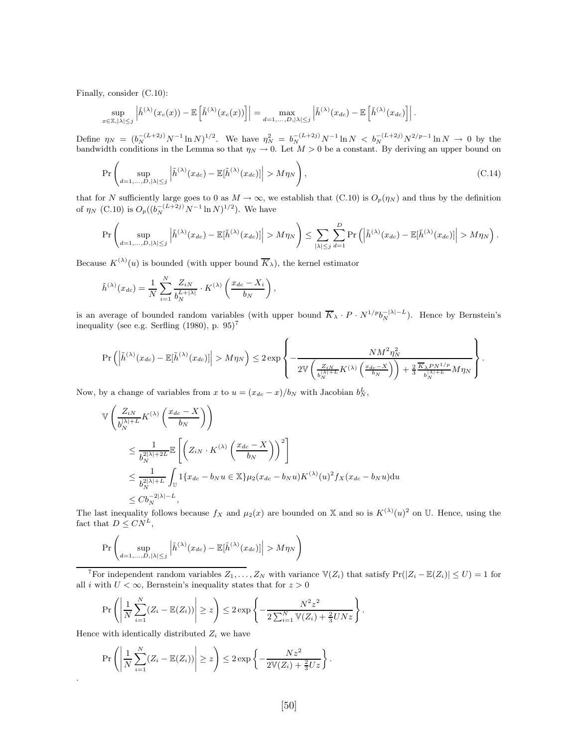Finally, consider (C.10):

$$
\sup_{x\in\mathbb{X},|\lambda|\leq j}\left|\tilde{h}^{(\lambda)}(x_c(x))-\mathbb{E}\left[\tilde{h}^{(\lambda)}(x_c(x))\right]\right|=\max_{d=1,\ldots,D,|\lambda|\leq j}\left|\tilde{h}^{(\lambda)}(x_{dc})-\mathbb{E}\left[\tilde{h}^{(\lambda)}(x_{dc})\right]\right|.
$$

Define  $\eta_N = (b_N^{-(L+2j)}N^{-1}\ln N)^{1/2}$ . We have  $\eta_N^2 = b_N^{-(L+2j)}N^{-1}\ln N < b_N^{-(L+2j)}N^{2/p-1}\ln N \to 0$  by the bandwidth conditions in the Lemma so that  $\eta_N \to 0$ . Let  $M > 0$  be a constant. By deriving an upper bound on

$$
\Pr\left(\sup_{d=1,\ldots,D,|\lambda|\leq j} \left|\tilde{h}^{(\lambda)}(x_{dc}) - \mathbb{E}[\tilde{h}^{(\lambda)}(x_{dc})]\right| > M\eta_N\right),\tag{C.14}
$$

that for N sufficiently large goes to 0 as  $M \to \infty$ , we establish that (C.10) is  $O_p(\eta_N)$  and thus by the definition of  $\eta_N$  (C.10) is  $O_p((b_N^{-(L+2j)}N^{-1}\ln N)^{1/2})$ . We have

$$
\Pr\left(\sup_{d=1,\ldots,D,|\lambda|\leq j}\left|\tilde{h}^{(\lambda)}(x_{dc})-\mathbb{E}[\tilde{h}^{(\lambda)}(x_{dc})]\right|>M\eta_N\right)\leq \sum_{|\lambda|\leq j}\sum_{d=1}^D \Pr\left(\left|\tilde{h}^{(\lambda)}(x_{dc})-\mathbb{E}[\tilde{h}^{(\lambda)}(x_{dc})]\right|>M\eta_N\right).
$$

Because  $K^{(\lambda)}(u)$  is bounded (with upper bound  $\overline{K}_{\lambda}$ ), the kernel estimator

$$
\tilde{h}^{(\lambda)}(x_{dc}) = \frac{1}{N} \sum_{i=1}^{N} \frac{Z_{iN}}{b_N^{L+|\lambda|}} \cdot K^{(\lambda)}\left(\frac{x_{dc} - X_i}{b_N}\right),\,
$$

is an average of bounded random variables (with upper bound  $\overline{K}_{\lambda} \cdot P \cdot N^{1/p} b_N^{-|\lambda|-L}$ ). Hence by Bernstein's inequality (see e.g. Serfling  $(1980)$ , p.  $95)^7$ 

$$
\Pr\left(\left|\tilde{h}^{(\lambda)}(x_{dc}) - \mathbb{E}[\tilde{h}^{(\lambda)}(x_{dc})]\right| > M\eta_N\right) \leq 2 \exp\left\{-\frac{N M^2 \eta_N^2}{2 \mathbb{V}\left(\frac{Z_{iN}}{b_N^{|\lambda|+L}} K^{(\lambda)}\left(\frac{x_{dc} - X}{b_N}\right)\right) + \frac{2}{3} \frac{\overline{K}_{\lambda} P N^{1/p}}{b_N^{|\lambda|+L}} M\eta_N\right\}}.
$$

Now, by a change of variables from x to  $u = (x_{dc} - x)/b_N$  with Jacobian  $b_N^L$ ,

$$
\begin{split} \mathbb{V}&\left(\frac{Z_{iN}}{b_N^{|\lambda|+L}}K^{(\lambda)}\left(\frac{x_{dc}-X}{b_N}\right)\right) \\ &\leq \frac{1}{b_N^{2|\lambda|+2L}}\mathbb{E}\left[\left(Z_{iN}\cdot K^{(\lambda)}\left(\frac{x_{dc}-X}{b_N}\right)\right)^2\right] \\ &\leq \frac{1}{b_N^{2|\lambda|+L}}\int_{\mathbb{U}}1\{x_{dc}-b_Nu\in \mathbb{X}\}\mu_2(x_{dc}-b_Nu)K^{(\lambda)}(u)^2f_X(x_{dc}-b_Nu)du \\ &\leq C b_N^{-2|\lambda|-L}, \end{split}
$$

The last inequality follows because  $f_X$  and  $\mu_2(x)$  are bounded on X and so is  $K^{(\lambda)}(u)^2$  on U. Hence, using the fact that  $D \leq C N^L$ ,

$$
\Pr\left(\sup_{d=1,\ldots,D,|\lambda|\leq j} \left|\hat{h}^{(\lambda)}(x_{dc}) - \mathbb{E}[\hat{h}^{(\lambda)}(x_{dc})]\right| > M\eta_N\right)
$$

<sup>7</sup>For independent random variables  $Z_1, \ldots, Z_N$  with variance  $\mathbb{V}(Z_i)$  that satisfy  $Pr(|Z_i - \mathbb{E}(Z_i)| \leq U) = 1$  for all i with  $U < \infty$ , Bernstein's inequality states that for  $z > 0$ 

$$
\Pr\left(\left|\frac{1}{N}\sum_{i=1}^{N}(Z_i - \mathbb{E}(Z_i))\right| \geq z\right) \leq 2\exp\left\{-\frac{N^2z^2}{2\sum_{i=1}^{N}\mathbb{V}(Z_i) + \frac{2}{3}UNz}\right\}.
$$

Hence with identically distributed  $Z_i$  we have

.

$$
\Pr\left(\left|\frac{1}{N}\sum_{i=1}^{N}(Z_i - \mathbb{E}(Z_i))\right| \geq z\right) \leq 2\exp\left\{-\frac{Nz^2}{2\mathbb{V}(Z_i) + \frac{2}{3}Uz}\right\}.
$$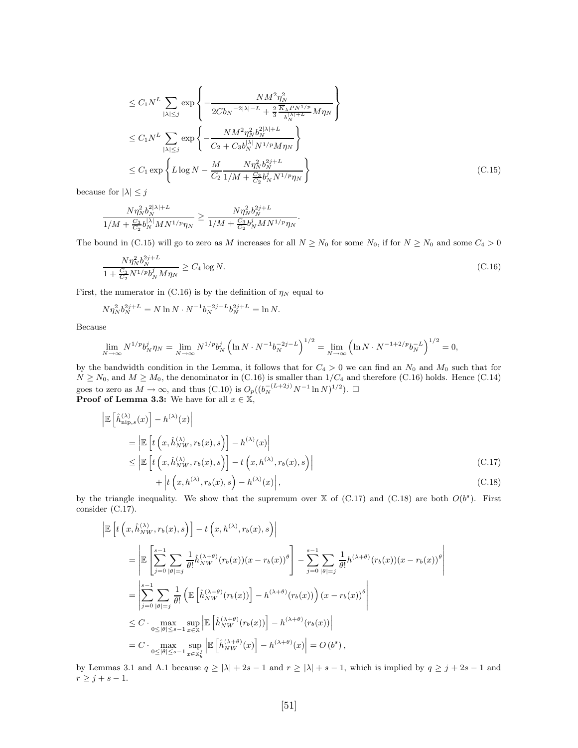$$
\leq C_1 N^L \sum_{|\lambda| \leq j} \exp \left\{ -\frac{N M^2 \eta_N^2}{2 C b_N^{-2|\lambda| - L} + \frac{2}{3} \frac{K_{\lambda} P N^{1/p}}{b_N^{\lambda| + L}} M \eta_N} \right\}
$$
\n
$$
\leq C_1 N^L \sum_{|\lambda| \leq j} \exp \left\{ -\frac{N M^2 \eta_N^2 b_N^{2|\lambda| + L}}{C_2 + C_3 b_N^{\lambda| \lambda} N^{1/p} M \eta_N} \right\}
$$
\n
$$
\leq C_1 \exp \left\{ L \log N - \frac{M}{C_2} \frac{N \eta_N^2 b_N^{2j + L}}{1/M + \frac{C_3}{C_2} b_N^j N^{1/p} \eta_N} \right\}
$$
\n(C.15)

because for  $|\lambda| \leq j$ 

$$
\frac{N\eta_N^2b_N^{2|\lambda|+L}}{1/M+\frac{C_3}{C_2}b_N^{|\lambda|}MN^{1/p}\eta_N}\geq \frac{N\eta_N^2b_N^{2j+L}}{1/M+\frac{C_3}{C_2}b_N^{j}MN^{1/p}\eta_N}.
$$

The bound in (C.15) will go to zero as M increases for all  $N \ge N_0$  for some  $N_0$ , if for  $N \ge N_0$  and some  $C_4 > 0$ 

$$
\frac{N\eta_N^2 b_N^{2j+L}}{1 + \frac{C_3}{C_2} N^{1/p} b_N^j M \eta_N} \ge C_4 \log N. \tag{C.16}
$$

First, the numerator in (C.16) is by the definition of  $\eta_N$  equal to

$$
N\eta_N^2 b_N^{2j+L} = N \ln N \cdot N^{-1} b_N^{-2j-L} b_N^{2j+L} = \ln N.
$$

Because

$$
\lim_{N \to \infty} N^{1/p} b_N^j \eta_N = \lim_{N \to \infty} N^{1/p} b_N^j \left( \ln N \cdot N^{-1} b_N^{-2j - L} \right)^{1/2} = \lim_{N \to \infty} \left( \ln N \cdot N^{-1 + 2/p} b_N^{-L} \right)^{1/2} = 0,
$$

by the bandwidth condition in the Lemma, it follows that for  $C_4 > 0$  we can find an  $N_0$  and  $M_0$  such that for  $N \ge N_0$ , and  $M \ge M_0$ , the denominator in (C.16) is smaller than  $1/C_4$  and therefore (C.16) holds. Hence (C.14) goes to zero as  $M \to \infty$ , and thus  $(C.10)$  is  $O_p((b_N^{-(L+2j)}N^{-1}\ln N)^{1/2})$ .  $\Box$ **Proof of Lemma 3.3:** We have for all  $x \in \mathbb{X}$ ,

$$
\begin{split} \left| \mathbb{E} \left[ \hat{h}_{\text{nip},s}^{(\lambda)}(x) \right] - h^{(\lambda)}(x) \right| \\ &= \left| \mathbb{E} \left[ t \left( x, \hat{h}_{NW}^{(\lambda)}, r_b(x), s \right) \right] - h^{(\lambda)}(x) \right| \\ &\leq \left| \mathbb{E} \left[ t \left( x, \hat{h}_{NW}^{(\lambda)}, r_b(x), s \right) \right] - t \left( x, h^{(\lambda)}, r_b(x), s \right) \right| \\ &\quad + \left| t \left( x, h^{(\lambda)}, r_b(x), s \right) - h^{(\lambda)}(x) \right|, \end{split} \tag{C.18}
$$

by the triangle inequality. We show that the supremum over  $\mathbb X$  of (C.17) and (C.18) are both  $O(b^s)$ . First consider (C.17).

$$
\begin{split}\n\left| \mathbb{E} \left[ t \left( x, \hat{h}_{NW}^{(\lambda)}, r_b(x), s \right) \right] - t \left( x, h^{(\lambda)}, r_b(x), s \right) \right| \\
&= \left| \mathbb{E} \left[ \sum_{j=0}^{s-1} \sum_{|\theta|=j} \frac{1}{\theta!} \hat{h}_{NW}^{(\lambda+\theta)}(r_b(x))(x - r_b(x))^\theta \right] - \sum_{j=0}^{s-1} \sum_{|\theta|=j} \frac{1}{\theta!} h^{(\lambda+\theta)}(r_b(x))(x - r_b(x))^\theta \right| \\
&= \left| \sum_{j=0}^{s-1} \sum_{|\theta|=j} \frac{1}{\theta!} \left( \mathbb{E} \left[ \hat{h}_{NW}^{(\lambda+\theta)}(r_b(x)) \right] - h^{(\lambda+\theta)}(r_b(x)) \right) (x - r_b(x))^\theta \right| \\
&\leq C \cdot \max_{0 \leq |\theta| \leq s-1} \sup_{x \in \mathbb{X}} \left| \mathbb{E} \left[ \hat{h}_{NW}^{(\lambda+\theta)}(r_b(x)) \right] - h^{(\lambda+\theta)}(r_b(x)) \right| \\
&= C \cdot \max_{0 \leq |\theta| \leq s-1} \sup_{x \in \mathbb{X}_b} \left| \mathbb{E} \left[ \hat{h}_{NW}^{(\lambda+\theta)}(x) \right] - h^{(\lambda+\theta)}(x) \right| = O(b^s),\n\end{split}
$$

by Lemmas 3.1 and A.1 because  $q \ge |\lambda| + 2s - 1$  and  $r \ge |\lambda| + s - 1$ , which is implied by  $q \ge j + 2s - 1$  and  $r \geq j + s - 1.$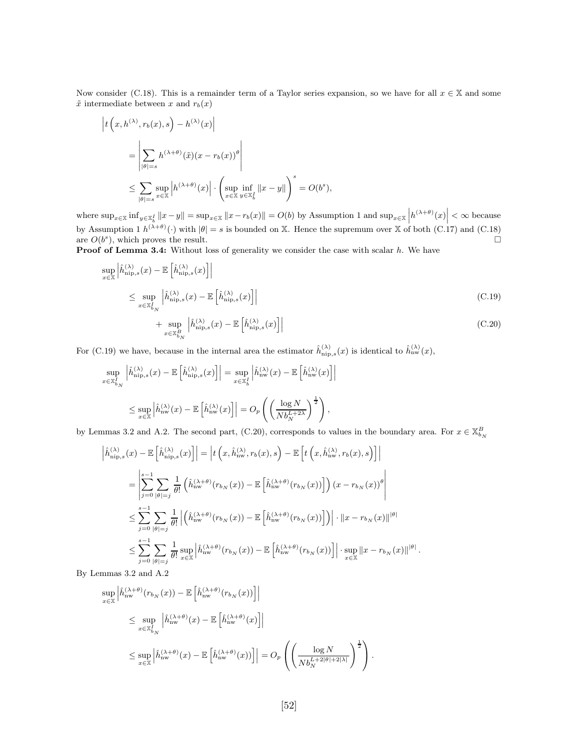Now consider (C.18). This is a remainder term of a Taylor series expansion, so we have for all  $x \in \mathbb{X}$  and some  $\tilde{x}$  intermediate between x and  $r_b(x)$ 

$$
\begin{aligned} \left| t \left( x, h^{(\lambda)}, r_b(x), s \right) - h^{(\lambda)}(x) \right| \\ &= \left| \sum_{|\theta|=s} h^{(\lambda+\theta)}(\tilde{x})(x - r_b(x))^{\theta} \right| \\ &\leq \sum_{|\theta|=s} \sup_{x \in \mathbb{X}} \left| h^{(\lambda+\theta)}(x) \right| \cdot \left( \sup_{x \in \mathbb{X}} \inf_{y \in \mathbb{X}_b^I} \left\| x - y \right\| \right)^s = O(b^s), \end{aligned}
$$

where  $\sup_{x \in \mathbb{X}} \inf_{y \in \mathbb{X}_b^I} ||x - y|| = \sup_{x \in \mathbb{X}} ||x - r_b(x)|| = O(b)$  by Assumption 1 and  $\sup_{x \in \mathbb{X}} |h^{(\lambda + \theta)}(x)| < \infty$  because by Assumption 1  $h^{(\lambda+\theta)}(\cdot)$  with  $|\theta|=s$  is bounded on X. Hence the supremum over X of both (C.17) and (C.18) are  $O(b^s)$ ), which proves the result.  $\square$ 

Proof of Lemma 3.4: Without loss of generality we consider the case with scalar h. We have

$$
\sup_{x \in \mathbb{X}} \left| \hat{h}_{\text{nip},s}^{(\lambda)}(x) - \mathbb{E}\left[\hat{h}_{\text{nip},s}^{(\lambda)}(x)\right] \right|
$$
\n
$$
\leq \sup_{x \in \mathbb{X}_{b_N}^I} \left| \hat{h}_{\text{nip},s}^{(\lambda)}(x) - \mathbb{E}\left[\hat{h}_{\text{nip},s}^{(\lambda)}(x)\right] \right|
$$
\n
$$
+ \sup_{x \in \mathbb{X}_{b_N}^B} \left| \hat{h}_{\text{nip},s}^{(\lambda)}(x) - \mathbb{E}\left[\hat{h}_{\text{nip},s}^{(\lambda)}(x)\right] \right|
$$
\n(C.20)

For (C.19) we have, because in the internal area the estimator  $\hat{h}_{\text{nip},s}^{(\lambda)}(x)$  is identical to  $\hat{h}_{\text{nw}}^{(\lambda)}(x)$ ,

$$
\sup_{x \in \mathbb{X}_{b_N}^I} \left| \hat{h}_{\text{nip},s}^{(\lambda)}(x) - \mathbb{E} \left[ \hat{h}_{\text{nip},s}^{(\lambda)}(x) \right] \right| = \sup_{x \in \mathbb{X}_{b}^I} \left| \hat{h}_{\text{nw}}^{(\lambda)}(x) - \mathbb{E} \left[ \hat{h}_{\text{nw}}^{(\lambda)}(x) \right] \right|
$$
  

$$
\leq \sup_{x \in \mathbb{X}} \left| \hat{h}_{\text{nw}}^{(\lambda)}(x) - \mathbb{E} \left[ \hat{h}_{\text{nw}}^{(\lambda)}(x) \right] \right| = O_p \left( \left( \frac{\log N}{Nb_N^{L+2\lambda}} \right)^{\frac{1}{2}} \right),
$$

by Lemmas 3.2 and A.2. The second part, (C.20), corresponds to values in the boundary area. For  $x \in \mathbb{X}_{b_N}^B$ 

$$
\left| \hat{h}_{\text{nip},s}^{(\lambda)}(x) - \mathbb{E}\left[\hat{h}_{\text{nip},s}^{(\lambda)}(x)\right] \right| = \left| t\left(x, \hat{h}_{\text{nw}}^{(\lambda)}, r_b(x), s\right) - \mathbb{E}\left[t\left(x, \hat{h}_{\text{nw}}^{(\lambda)}, r_b(x), s\right) \right] \right|
$$
\n
$$
= \left| \sum_{j=0}^{s-1} \sum_{|\theta| = j} \frac{1}{\theta!} \left( \hat{h}_{\text{nw}}^{(\lambda + \theta)}(r_{b_N}(x)) - \mathbb{E}\left[\hat{h}_{\text{nw}}^{(\lambda + \theta)}(r_{b_N}(x))\right] \right) (x - r_{b_N}(x))^{\theta} \right|
$$
\n
$$
\leq \sum_{j=0}^{s-1} \sum_{|\theta| = j} \frac{1}{\theta!} \left| \left( \hat{h}_{\text{nw}}^{(\lambda + \theta)}(r_{b_N}(x)) - \mathbb{E}\left[\hat{h}_{\text{nw}}^{(\lambda + \theta)}(r_{b_N}(x))\right] \right) \right| \cdot \left\| x - r_{b_N}(x) \right\|^{\left|\theta\right|}
$$
\n
$$
\leq \sum_{j=0}^{s-1} \sum_{|\theta| = j} \frac{1}{\theta!} \sup_{x \in \mathbb{X}} \left| \hat{h}_{\text{nw}}^{(\lambda + \theta)}(r_{b_N}(x)) - \mathbb{E}\left[\hat{h}_{\text{nw}}^{(\lambda + \theta)}(r_{b_N}(x))\right] \right| \cdot \sup_{x \in \mathbb{X}} \left\| x - r_{b_N}(x) \right\|^{\left|\theta\right|}.
$$

By Lemmas 3.2 and A.2

$$
\sup_{x \in \mathbb{X}} \left| \hat{h}_{\text{nw}}^{(\lambda+\theta)}(r_{b_N}(x)) - \mathbb{E}\left[\hat{h}_{\text{nw}}^{(\lambda+\theta)}(r_{b_N}(x))\right] \right|
$$
\n
$$
\leq \sup_{x \in \mathbb{X}_{b_N}^I} \left| \hat{h}_{\text{nw}}^{(\lambda+\theta)}(x) - \mathbb{E}\left[\hat{h}_{\text{nw}}^{(\lambda+\theta)}(x)\right] \right|
$$
\n
$$
\leq \sup_{x \in \mathbb{X}} \left| \hat{h}_{\text{nw}}^{(\lambda+\theta)}(x) - \mathbb{E}\left[\hat{h}_{\text{nw}}^{(\lambda+\theta)}(x)\right] \right| = O_p\left(\left(\frac{\log N}{Nb_N^{L+2|\theta|+2|\lambda|}}\right)^{\frac{1}{2}}\right).
$$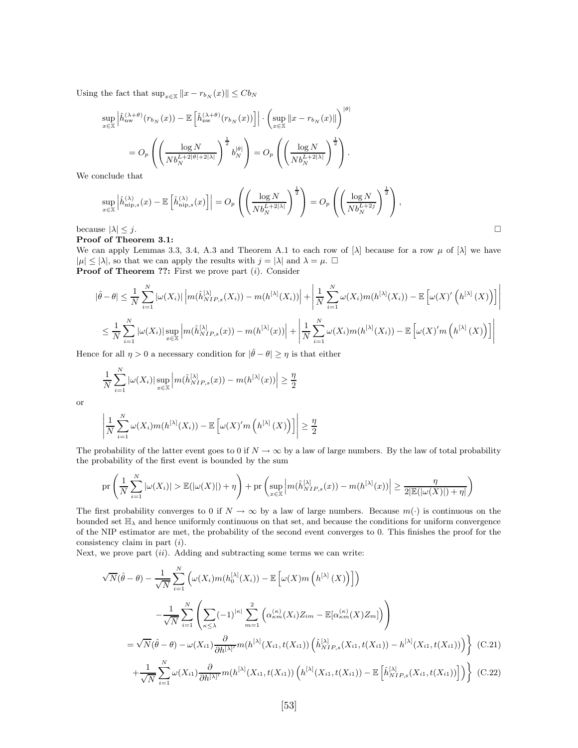Using the fact that  $\sup_{x \in \mathbb{X}} ||x - r_{b_N}(x)|| \leq C b_N$ 

$$
\sup_{x \in \mathbb{X}} \left| \hat{h}_{\text{nw}}^{(\lambda + \theta)}(r_{b_N}(x)) - \mathbb{E}\left[\hat{h}_{\text{nw}}^{(\lambda + \theta)}(r_{b_N}(x))\right] \right| \cdot \left(\sup_{x \in \mathbb{X}} \|x - r_{b_N}(x)\|\right)^{|\theta|}
$$

$$
= O_p\left(\left(\frac{\log N}{Nb_N^{L+2|\theta|+2|\lambda|}}\right)^{\frac{1}{2}} b_N^{|\theta|}\right) = O_p\left(\left(\frac{\log N}{Nb_N^{L+2|\lambda|}}\right)^{\frac{1}{2}}\right).
$$

We conclude that

$$
\sup_{x \in \mathbb{X}} \left| \hat{h}_{\text{nip},s}^{(\lambda)}(x) - \mathbb{E}\left[\hat{h}_{\text{nip},s}^{(\lambda)}(x)\right] \right| = O_p\left(\left(\frac{\log N}{Nb_N^{L+2|\lambda|}}\right)^{\frac{1}{2}}\right) = O_p\left(\left(\frac{\log N}{Nb_N^{L+2j}}\right)^{\frac{1}{2}}\right),
$$
  
because  $|\lambda| \leq j$ .

Proof of Theorem 3.1:

We can apply Lemmas 3.3, 3.4, A.3 and Theorem A.1 to each row of  $[\lambda]$  because for a row  $\mu$  of  $[\lambda]$  we have  $|\mu| \leq |\lambda|$ , so that we can apply the results with  $j = |\lambda|$  and  $\lambda = \mu$ .  $\Box$ **Proof of Theorem ??:** First we prove part  $(i)$ . Consider

$$
|\hat{\theta} - \theta| \leq \frac{1}{N} \sum_{i=1}^{N} |\omega(X_i)| \left| m(\hat{h}_{NIP,s}^{[\lambda]}(X_i)) - m(h^{[\lambda]}(X_i)) \right| + \left| \frac{1}{N} \sum_{i=1}^{N} \omega(X_i) m(h^{[\lambda]}(X_i)) - \mathbb{E} \left[ \omega(X)'\left(h^{[\lambda]}(X)\right) \right] \right|
$$
  

$$
\leq \frac{1}{N} \sum_{i=1}^{N} |\omega(X_i)| \sup_{x \in \mathbb{X}} \left| m(\hat{h}_{NIP,s}^{[\lambda]}(x)) - m(h^{[\lambda]}(x)) \right| + \left| \frac{1}{N} \sum_{i=1}^{N} \omega(X_i) m(h^{[\lambda]}(X_i)) - \mathbb{E} \left[ \omega(X)' m\left(h^{[\lambda]}(X)\right) \right] \right|
$$

Hence for all  $\eta > 0$  a necessary condition for  $|\hat{\theta} - \theta| \ge \eta$  is that either

$$
\frac{1}{N}\sum_{i=1}^N|\omega(X_i)|\sup_{x\in\mathbb{X}}\left|m(\hat{h}_{NIP,s}^{[\lambda]}(x))-m(h^{[\lambda]}(x))\right|\geq\frac{\eta}{2}
$$

or

$$
\left| \frac{1}{N} \sum_{i=1}^{N} \omega(X_i) m(h^{[\lambda]}(X_i)) - \mathbb{E}\left[\omega(X)' m\left(h^{[\lambda]}(X)\right)\right] \right| \geq \frac{\eta}{2}
$$

The probability of the latter event goes to 0 if  $N \to \infty$  by a law of large numbers. By the law of total probability the probability of the first event is bounded by the sum

$$
\mathrm{pr}\left(\frac{1}{N}\sum_{i=1}^N|\omega(X_i)|\geq \mathbb{E}(|\omega(X)|)+\eta\right)+\mathrm{pr}\left(\sup_{x\in\mathbb{X}}\left|m(\hat{h}_{NIP,s}^{[\lambda]}(x))-m(h^{[\lambda]}(x))\right|\geq \frac{\eta}{2|\mathbb{E}(|\omega(X)|)+\eta|}\right)
$$

The first probability converges to 0 if  $N \to \infty$  by a law of large numbers. Because  $m(\cdot)$  is continuous on the bounded set  $\mathbb{H}_{\lambda}$  and hence uniformly continuous on that set, and because the conditions for uniform convergence of the NIP estimator are met, the probability of the second event converges to 0. This finishes the proof for the consistency claim in part (i).

Next, we prove part  $(ii)$ . Adding and subtracting some terms we can write:

$$
\sqrt{N}(\hat{\theta} - \theta) - \frac{1}{\sqrt{N}} \sum_{i=1}^{N} \left( \omega(X_i) m(h_0^{[\lambda]}(X_i)) - \mathbb{E}\left[\omega(X) m\left(h^{[\lambda]}(X)\right)\right] \right)
$$
  

$$
- \frac{1}{\sqrt{N}} \sum_{i=1}^{N} \left( \sum_{\kappa \le \lambda} (-1)^{|\kappa|} \sum_{m=1}^{2} \left( \alpha_{\kappa m}^{(\kappa)}(X_i) Z_{im} - \mathbb{E}[\alpha_{\kappa m}^{(\kappa)}(X) Z_m]\right) \right)
$$
  

$$
= \sqrt{N}(\hat{\theta} - \theta) - \omega(X_{i1}) \frac{\partial}{\partial h^{[\lambda]'}} m(h^{[\lambda]}(X_{i1}, t(X_{i1})) \left(\hat{h}_{NIP,s}^{[\lambda]}(X_{i1}, t(X_{i1})) - h^{[\lambda]}(X_{i1}, t(X_{i1}))\right) \right) \quad (C.21)
$$
  

$$
+ \frac{1}{\sqrt{N}} \sum_{i=1}^{N} \omega(X_{i1}) \frac{\partial}{\partial h^{[\lambda]'}} m(h^{[\lambda]}(X_{i1}, t(X_{i1})) \left(h^{[\lambda]}(X_{i1}, t(X_{i1})) - \mathbb{E}\left[\hat{h}_{NIP,s}^{[\lambda]}(X_{i1}, t(X_{i1}))\right]\right) \right) \quad (C.22)
$$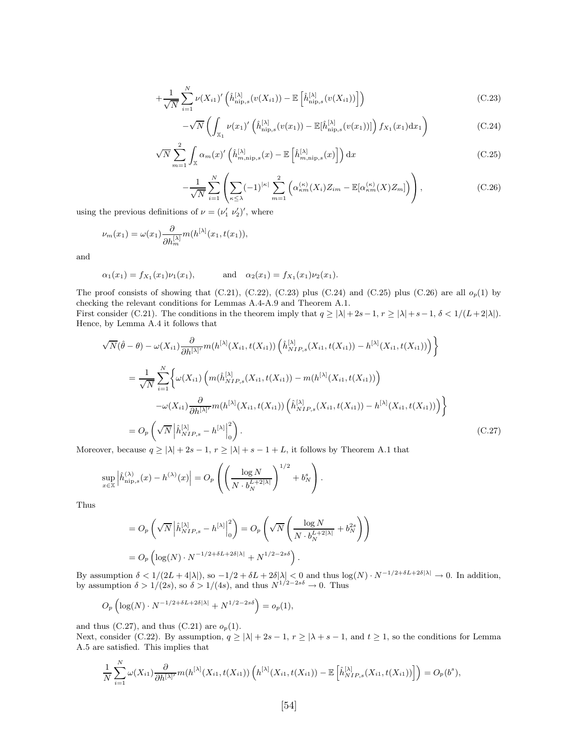$$
+\frac{1}{\sqrt{N}}\sum_{i=1}^{N}\nu(X_{i1})'\left(\hat{h}_{\text{nip},s}^{[\lambda]}(v(X_{i1}))-\mathbb{E}\left[\hat{h}_{\text{nip},s}^{[\lambda]}(v(X_{i1}))\right]\right) \tag{C.23}
$$

$$
-\sqrt{N}\left(\int_{\mathbb{X}_{1}}\nu(x_{1})'\left(\hat{h}_{\text{nip},s}^{[\lambda]}(v(x_{1}))-\mathbb{E}[\hat{h}_{\text{nip},s}^{[\lambda]}(v(x_{1}))]\right)f_{X_{1}}(x_{1})dx_{1}\right) \tag{C.24}
$$

$$
\sqrt{N} \sum_{m=1}^{2} \int_{\mathbb{X}} \alpha_m(x)' \left( \hat{h}_{m,\text{nip},s}^{[\lambda]}(x) - \mathbb{E}\left[\hat{h}_{m,\text{nip},s}^{[\lambda]}(x)\right] \right) dx \tag{C.25}
$$

$$
-\frac{1}{\sqrt{N}}\sum_{i=1}^{N}\left(\sum_{\kappa\leq\lambda}(-1)^{|\kappa|}\sum_{m=1}^{2}\left(\alpha_{\kappa m}^{(\kappa)}(X_{i})Z_{im}-\mathbb{E}[\alpha_{\kappa m}^{(\kappa)}(X)Z_{m}]\right)\right),\tag{C.26}
$$

using the previous definitions of  $\nu = (\nu'_1 \ \nu'_2)'$ , where

$$
\nu_m(x_1) = \omega(x_1) \frac{\partial}{\partial h_m^{[\lambda]}} m(h^{[\lambda]}(x_1, t(x_1)),
$$

and

$$
\alpha_1(x_1) = f_{X_1}(x_1)\nu_1(x_1)
$$
, and  $\alpha_2(x_1) = f_{X_1}(x_1)\nu_2(x_1)$ .

The proof consists of showing that  $(C.21)$ ,  $(C.22)$ ,  $(C.23)$  plus  $(C.24)$  and  $(C.25)$  plus  $(C.26)$  are all  $o_p(1)$  by checking the relevant conditions for Lemmas A.4-A.9 and Theorem A.1. First consider (C.21). The conditions in the theorem imply that  $q \ge |\lambda| + 2s - 1$ ,  $r \ge |\lambda| + s - 1$ ,  $\delta < 1/(L + 2|\lambda|)$ . Hence, by Lemma A.4 it follows that

$$
\sqrt{N}(\hat{\theta} - \theta) - \omega(X_{i1}) \frac{\partial}{\partial h^{[\lambda]'}} m(h^{[\lambda]}(X_{i1}, t(X_{i1})) \left(\hat{h}_{NIP,s}^{[\lambda]}(X_{i1}, t(X_{i1})) - h^{[\lambda]}(X_{i1}, t(X_{i1}))\right) \}
$$
  
\n
$$
= \frac{1}{\sqrt{N}} \sum_{i=1}^{N} \left\{ \omega(X_{i1}) \left( m(\hat{h}_{NIP,s}^{[\lambda]}(X_{i1}, t(X_{i1})) - m(h^{[\lambda]}(X_{i1}, t(X_{i1})) \right) - \omega(X_{i1}) \frac{\partial}{\partial h^{[\lambda]'}} m(h^{[\lambda]}(X_{i1}, t(X_{i1})) \left(\hat{h}_{NIP,s}^{[\lambda]}(X_{i1}, t(X_{i1})) - h^{[\lambda]}(X_{i1}, t(X_{i1}))\right) \right\}
$$
  
\n
$$
= O_p\left(\sqrt{N} |\hat{h}_{NIP,s}^{[\lambda]} - h^{[\lambda]}|_0^2\right).
$$
 (C.27)

Moreover, because  $q \geq |\lambda| + 2s - 1,$   $r \geq |\lambda| + s - 1 + L,$  it follows by Theorem A.1 that

$$
\sup_{x \in \mathbb{X}} \left| \hat{h}_{\mathrm{nip},s}^{(\lambda)}(x) - h^{(\lambda)}(x) \right| = O_p\left( \left( \frac{\log N}{N \cdot b_N^{L+2|\lambda|}} \right)^{1/2} + b_N^s \right).
$$

Thus

$$
= O_p\left(\sqrt{N} \left|\hat{h}_{NIP,s}^{[\lambda]} - h^{[\lambda]}\right|_0^2\right) = O_p\left(\sqrt{N} \left(\frac{\log N}{N \cdot b_N^{L+2|\lambda|}} + b_N^{2s}\right)\right)
$$
  
= 
$$
O_p\left(\log(N) \cdot N^{-1/2 + \delta L + 2\delta |\lambda|} + N^{1/2 - 2s\delta}\right).
$$

By assumption  $\delta < 1/(2L+4|\lambda|)$ , so  $-1/2 + \delta L + 2\delta |\lambda| < 0$  and thus  $\log(N) \cdot N^{-1/2+\delta L + 2\delta |\lambda|} \to 0$ . In addition, by assumption  $\delta > 1/(2s)$ , so  $\delta > 1/(4s)$ , and thus  $N^{1/2-2s\delta} \to 0$ . Thus

$$
O_p\left(\log(N) \cdot N^{-1/2 + \delta L + 2\delta |\lambda|} + N^{1/2 - 2s\delta}\right) = o_p(1),
$$

and thus (C.27), and thus (C.21) are  $o_p(1)$ .

Next, consider (C.22). By assumption,  $q \ge |\lambda| + 2s - 1$ ,  $r \ge |\lambda + s - 1$ , and  $t \ge 1$ , so the conditions for Lemma A.5 are satisfied. This implies that

$$
\frac{1}{N}\sum_{i=1}^N \omega(X_{i1}) \frac{\partial}{\partial h^{[\lambda]'}} m(h^{[\lambda]}(X_{i1}, t(X_{i1})) \left( h^{[\lambda]}(X_{i1}, t(X_{i1})) - \mathbb{E}\left[ \hat{h}_{NIP,s}^{[\lambda]}(X_{i1}, t(X_{i1})) \right] \right) = O_p(b^s),
$$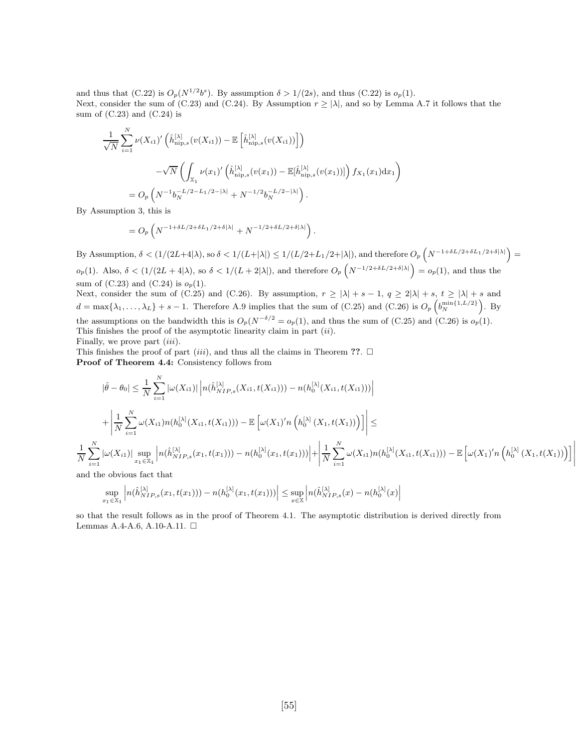and thus that  $(C.22)$  is  $O_p(N^{1/2}b^s)$ . By assumption  $\delta > 1/(2s)$ , and thus  $(C.22)$  is  $o_p(1)$ . Next, consider the sum of (C.23) and (C.24). By Assumption  $r \ge |\lambda|$ , and so by Lemma A.7 it follows that the sum of  $(C.23)$  and  $(C.24)$  is

$$
\frac{1}{\sqrt{N}} \sum_{i=1}^{N} \nu(X_{i1})' \left( \hat{h}_{\text{nip},s}^{[\lambda]}(v(X_{i1})) - \mathbb{E}\left[\hat{h}_{\text{nip},s}^{[\lambda]}(v(X_{i1}))\right] \right)
$$

$$
-\sqrt{N} \left( \int_{\mathbb{X}_1} \nu(x_1)' \left( \hat{h}_{\text{nip},s}^{[\lambda]}(v(x_1)) - \mathbb{E}[\hat{h}_{\text{nip},s}^{[\lambda]}(v(x_1))] \right) f_{X_1}(x_1) dx_1 \right)
$$

$$
= O_p\left( N^{-1} b_N^{-L/2 - L_1/2 - |\lambda|} + N^{-1/2} b_N^{-L/2 - |\lambda|} \right).
$$

By Assumption 3, this is

$$
=O_p\left(N^{-1+\delta L/2+\delta L_1/2+\delta |\lambda|}+N^{-1/2+\delta L/2+\delta |\lambda|}\right).
$$

By Assumption,  $\delta < (1/(2L+4|\lambda))$ , so  $\delta < 1/(L+|\lambda|) \leq 1/(L/2+L_1/2+|\lambda|)$ , and therefore  $O_p\left(N^{-1+\delta L/2+\delta L_1/2+\delta|\lambda|}\right)$  $o_p(1)$ . Also,  $\delta < (1/(2L+4|\lambda)$ , so  $\delta < 1/(L+2|\lambda|)$ , and therefore  $O_p\left(N^{-1/2+\delta L/2+\delta|\lambda|}\right) = o_p(1)$ , and thus the sum of  $(C.23)$  and  $(C.24)$  is  $o_p(1)$ .

Next, consider the sum of (C.25) and (C.26). By assumption,  $r \ge |\lambda| + s - 1$ ,  $q \ge 2|\lambda| + s$ ,  $t \ge |\lambda| + s$  and  $d = \max\{\lambda_1,\ldots,\lambda_L\} + s - 1$ . Therefore A.9 implies that the sum of (C.25) and (C.26) is  $O_p\left(b_N^{\min\{1,L/2\}}\right)$ . By the assumptions on the bandwidth this is  $O_p(N^{-\delta/2} = o_p(1)$ , and thus the sum of (C.25) and (C.26) is  $o_p(1)$ . This finishes the proof of the asymptotic linearity claim in part  $(ii)$ . Finally, we prove part *(iii)*.

This finishes the proof of part *(iii)*, and thus all the claims in Theorem ??.  $\Box$ Proof of Theorem 4.4: Consistency follows from

$$
|\hat{\theta} - \theta_0| \leq \frac{1}{N} \sum_{i=1}^N |\omega(X_{i1})| \left| n(\hat{h}_{NIP,s}^{[\lambda]}(X_{i1}, t(X_{i1}))) - n(h_0^{[\lambda]}(X_{i1}, t(X_{i1}))) \right|
$$
  
+ 
$$
\left| \frac{1}{N} \sum_{i=1}^N \omega(X_{i1}) n(h_0^{[\lambda]}(X_{i1}, t(X_{i1}))) - \mathbb{E} \left[ \omega(X_1)' n \left( h_0^{[\lambda]}(X_1, t(X_1))) \right) \right] \right| \leq
$$
  

$$
\frac{1}{N} \sum_{i=1}^N |\omega(X_{i1})| \sup_{x_1 \in \mathbb{X}_1} \left| n(\hat{h}_{NIP,s}^{[\lambda]}(x_1, t(x_1))) - n(h_0^{[\lambda]}(x_1, t(x_1))) \right| + \left| \frac{1}{N} \sum_{i=1}^N \omega(X_{i1}) n(h_0^{[\lambda]}(X_{i1}, t(X_{i1}))) - \mathbb{E} \left[ \omega(X_1)' n \left( h_0^{[\lambda]}(X_1, t(X_1))) \right) \right] \right|
$$
  
and the obvious fact that

and the obvious fact that

$$
\sup_{x_1 \in \mathbb{X}_1} \left| n(\hat{h}_{NIP,s}^{[\lambda]}(x_1,t(x_1))) - n(h_0^{[\lambda]}(x_1,t(x_1))) \right| \leq \sup_{x \in \mathbb{X}} \left| n(\hat{h}_{NIP,s}^{[\lambda]}(x) - n(h_0^{[\lambda]}(x)) \right|
$$

so that the result follows as in the proof of Theorem 4.1. The asymptotic distribution is derived directly from Lemmas A.4-A.6, A.10-A.11. □